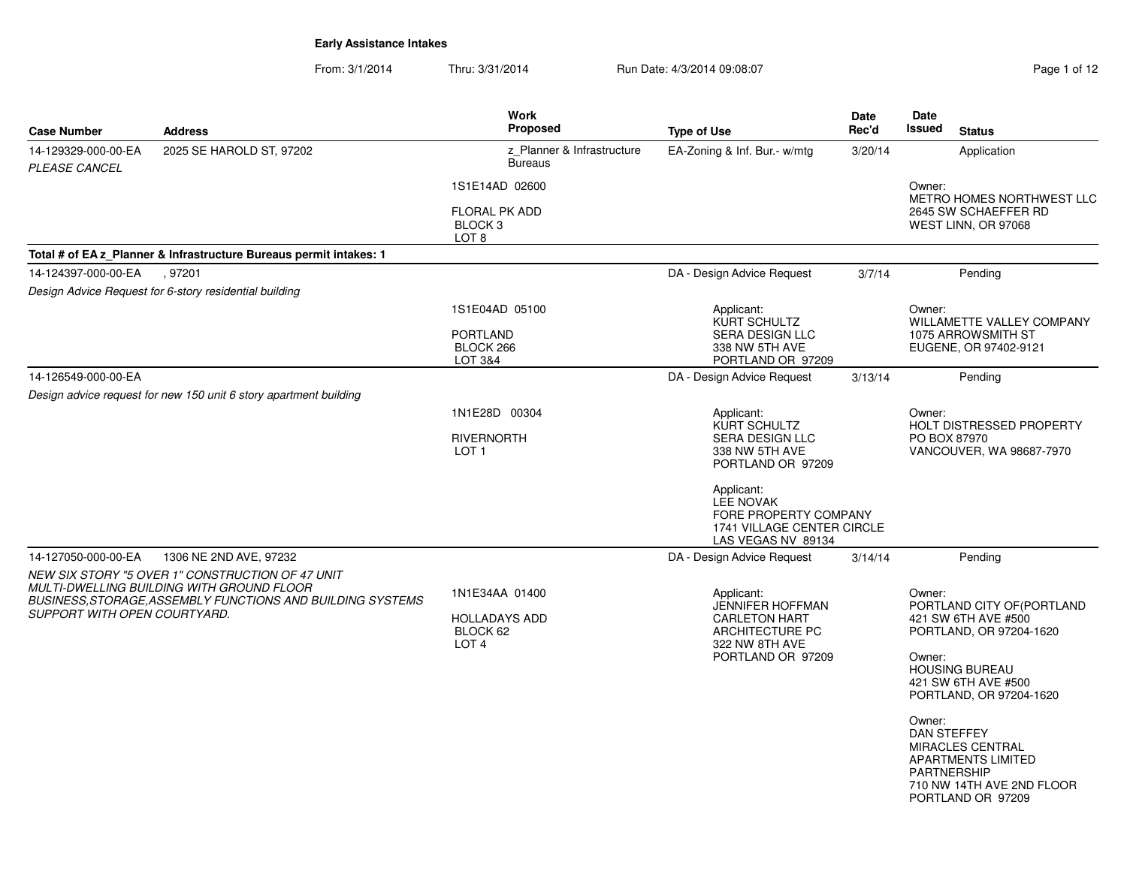From: 3/1/2014Thru: 3/31/2014 Run Date: 4/3/2014 09:08:07 Rage 1 of 12 of 12 of 12 of 12 of 12 of 12 of 12 of 12 of 12 of 12

| Page 1 of 12 |  |  |
|--------------|--|--|
|              |  |  |

| <b>Case Number</b>                   | <b>Address</b>                                                                                                                                            | <b>Work</b><br>Proposed                                                | <b>Type of Use</b>                                                                                                                                                                                         | <b>Date</b><br>Rec'd | Date<br><b>Issued</b><br><b>Status</b>                                                                                                                                                                                                                                                                                                      |
|--------------------------------------|-----------------------------------------------------------------------------------------------------------------------------------------------------------|------------------------------------------------------------------------|------------------------------------------------------------------------------------------------------------------------------------------------------------------------------------------------------------|----------------------|---------------------------------------------------------------------------------------------------------------------------------------------------------------------------------------------------------------------------------------------------------------------------------------------------------------------------------------------|
| 14-129329-000-00-EA<br>PLEASE CANCEL | 2025 SE HAROLD ST, 97202                                                                                                                                  | z Planner & Infrastructure<br><b>Bureaus</b>                           | EA-Zoning & Inf. Bur.- w/mtg                                                                                                                                                                               | 3/20/14              | Application                                                                                                                                                                                                                                                                                                                                 |
|                                      |                                                                                                                                                           | 1S1E14AD 02600                                                         |                                                                                                                                                                                                            |                      | Owner:                                                                                                                                                                                                                                                                                                                                      |
|                                      |                                                                                                                                                           | <b>FLORAL PK ADD</b><br>BLOCK <sub>3</sub><br>LOT <sub>8</sub>         |                                                                                                                                                                                                            |                      | METRO HOMES NORTHWEST LLC<br>2645 SW SCHAEFFER RD<br>WEST LINN, OR 97068                                                                                                                                                                                                                                                                    |
|                                      | Total # of EA z Planner & Infrastructure Bureaus permit intakes: 1                                                                                        |                                                                        |                                                                                                                                                                                                            |                      |                                                                                                                                                                                                                                                                                                                                             |
| 14-124397-000-00-EA                  | , 97201                                                                                                                                                   |                                                                        | DA - Design Advice Request                                                                                                                                                                                 | 3/7/14               | Pending                                                                                                                                                                                                                                                                                                                                     |
|                                      | Design Advice Request for 6-story residential building                                                                                                    |                                                                        |                                                                                                                                                                                                            |                      |                                                                                                                                                                                                                                                                                                                                             |
|                                      |                                                                                                                                                           | 1S1E04AD 05100<br><b>PORTLAND</b><br>BLOCK 266<br>LOT 3&4              | Applicant:<br>KURT SCHULTZ<br><b>SERA DESIGN LLC</b><br>338 NW 5TH AVE<br>PORTLAND OR 97209                                                                                                                |                      | Owner:<br>WILLAMETTE VALLEY COMPANY<br>1075 ARROWSMITH ST<br>EUGENE, OR 97402-9121                                                                                                                                                                                                                                                          |
| 14-126549-000-00-EA                  |                                                                                                                                                           |                                                                        | DA - Design Advice Request                                                                                                                                                                                 | 3/13/14              | Pending                                                                                                                                                                                                                                                                                                                                     |
|                                      | Design advice request for new 150 unit 6 story apartment building                                                                                         |                                                                        |                                                                                                                                                                                                            |                      |                                                                                                                                                                                                                                                                                                                                             |
|                                      |                                                                                                                                                           | 1N1E28D 00304<br><b>RIVERNORTH</b><br>LOT 1                            | Applicant:<br>KURT SCHULTZ<br><b>SERA DESIGN LLC</b><br>338 NW 5TH AVE<br>PORTLAND OR 97209<br>Applicant:<br><b>LEE NOVAK</b><br>FORE PROPERTY COMPANY<br>1741 VILLAGE CENTER CIRCLE<br>LAS VEGAS NV 89134 |                      | Owner:<br><b>HOLT DISTRESSED PROPERTY</b><br>PO BOX 87970<br>VANCOUVER, WA 98687-7970                                                                                                                                                                                                                                                       |
| 14-127050-000-00-EA                  | 1306 NE 2ND AVE, 97232                                                                                                                                    |                                                                        | DA - Design Advice Request                                                                                                                                                                                 | 3/14/14              | Pending                                                                                                                                                                                                                                                                                                                                     |
| SUPPORT WITH OPEN COURTYARD.         | NEW SIX STORY "5 OVER 1" CONSTRUCTION OF 47 UNIT<br>MULTI-DWELLING BUILDING WITH GROUND FLOOR<br>BUSINESS.STORAGE.ASSEMBLY FUNCTIONS AND BUILDING SYSTEMS | 1N1E34AA 01400<br><b>HOLLADAYS ADD</b><br>BLOCK 62<br>LOT <sub>4</sub> | Applicant:<br><b>JENNIFER HOFFMAN</b><br><b>CARLETON HART</b><br>ARCHITECTURE PC<br>322 NW 8TH AVE<br>PORTLAND OR 97209                                                                                    |                      | Owner:<br>PORTLAND CITY OF (PORTLAND<br>421 SW 6TH AVE #500<br>PORTLAND, OR 97204-1620<br>Owner:<br><b>HOUSING BUREAU</b><br>421 SW 6TH AVE #500<br>PORTLAND, OR 97204-1620<br>Owner:<br><b>DAN STEFFEY</b><br><b>MIRACLES CENTRAL</b><br><b>APARTMENTS LIMITED</b><br><b>PARTNERSHIP</b><br>710 NW 14TH AVE 2ND FLOOR<br>PORTLAND OR 97209 |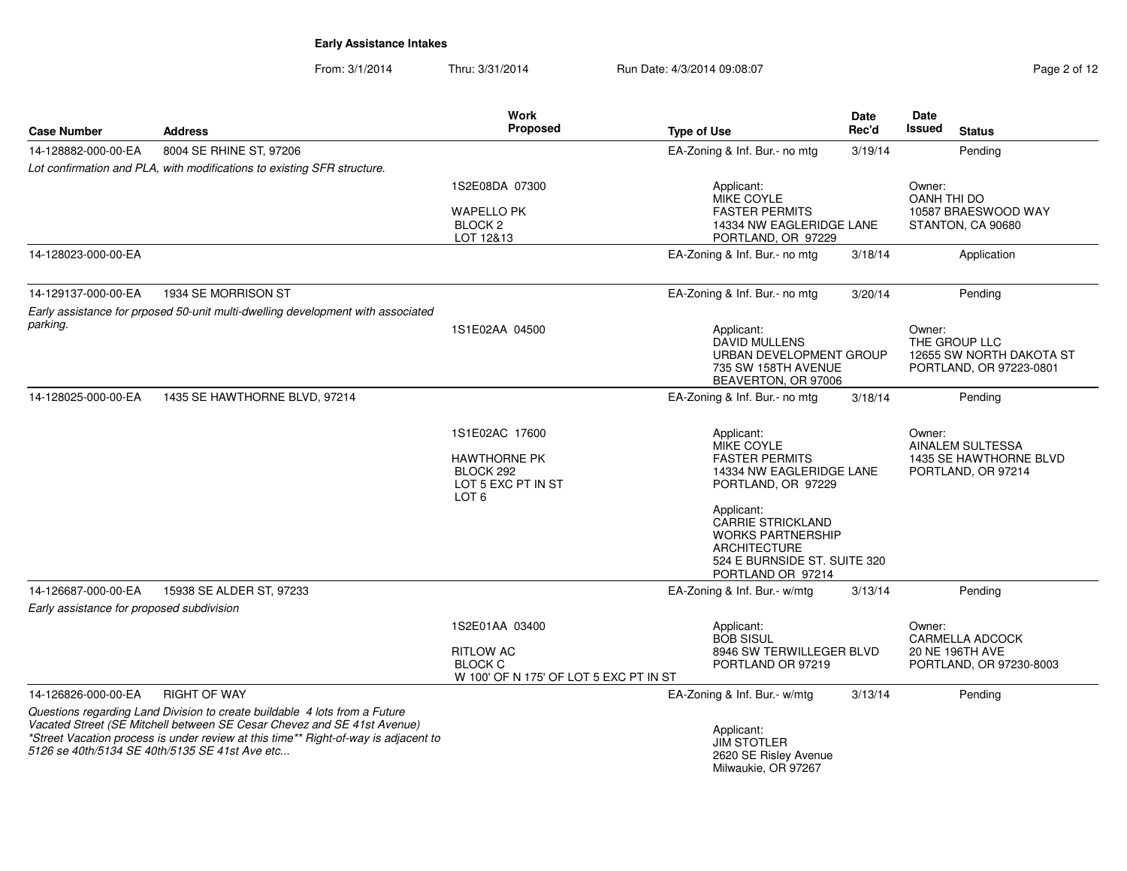From: 3/1/2014Thru: 3/31/2014 Run Date: 4/3/2014 09:08:07 Rege 2 of 12

|                                           |                                                                                                                                       | <b>Work</b><br>Proposed                             |                                                                                                                           | <b>Date</b><br>Rec'd | <b>Date</b><br>Issued                               |
|-------------------------------------------|---------------------------------------------------------------------------------------------------------------------------------------|-----------------------------------------------------|---------------------------------------------------------------------------------------------------------------------------|----------------------|-----------------------------------------------------|
| <b>Case Number</b>                        | <b>Address</b>                                                                                                                        |                                                     | <b>Type of Use</b>                                                                                                        |                      | <b>Status</b>                                       |
| 14-128882-000-00-EA                       | 8004 SE RHINE ST, 97206                                                                                                               |                                                     | EA-Zoning & Inf. Bur.- no mtg                                                                                             | 3/19/14              | Pending                                             |
|                                           | Lot confirmation and PLA, with modifications to existing SFR structure.                                                               |                                                     |                                                                                                                           |                      |                                                     |
|                                           |                                                                                                                                       | 1S2E08DA 07300                                      | Applicant:<br><b>MIKE COYLE</b>                                                                                           |                      | Owner:<br><b>OANH THI DO</b>                        |
|                                           |                                                                                                                                       | <b>WAPELLO PK</b>                                   | <b>FASTER PERMITS</b>                                                                                                     |                      | 10587 BRAESWOOD WAY                                 |
|                                           |                                                                                                                                       | BLOCK <sub>2</sub><br>LOT 12&13                     | 14334 NW EAGLERIDGE LANE<br>PORTLAND, OR 97229                                                                            |                      | STANTON, CA 90680                                   |
| 14-128023-000-00-EA                       |                                                                                                                                       |                                                     | EA-Zoning & Inf. Bur.- no mtg                                                                                             | 3/18/14              | Application                                         |
|                                           |                                                                                                                                       |                                                     |                                                                                                                           |                      |                                                     |
| 14-129137-000-00-EA                       | 1934 SE MORRISON ST                                                                                                                   |                                                     | EA-Zoning & Inf. Bur.- no mtg                                                                                             | 3/20/14              | Pending                                             |
|                                           | Early assistance for prposed 50-unit multi-dwelling development with associated                                                       |                                                     |                                                                                                                           |                      |                                                     |
| parking.                                  |                                                                                                                                       | 1S1E02AA 04500                                      | Applicant:                                                                                                                |                      | Owner:                                              |
|                                           |                                                                                                                                       |                                                     | <b>DAVID MULLENS</b>                                                                                                      |                      | THE GROUP LLC                                       |
|                                           |                                                                                                                                       |                                                     | URBAN DEVELOPMENT GROUP<br>735 SW 158TH AVENUE                                                                            |                      | 12655 SW NORTH DAKOTA ST<br>PORTLAND, OR 97223-0801 |
|                                           |                                                                                                                                       |                                                     | BEAVERTON, OR 97006                                                                                                       |                      |                                                     |
| 14-128025-000-00-EA                       | 1435 SE HAWTHORNE BLVD, 97214                                                                                                         |                                                     | EA-Zoning & Inf. Bur.- no mtg                                                                                             | 3/18/14              | Pending                                             |
|                                           |                                                                                                                                       | 1S1E02AC 17600                                      | Applicant:                                                                                                                |                      | Owner:                                              |
|                                           |                                                                                                                                       |                                                     | <b>MIKE COYLE</b>                                                                                                         |                      | AINALEM SULTESSA                                    |
|                                           |                                                                                                                                       | <b>HAWTHORNE PK</b>                                 | <b>FASTER PERMITS</b>                                                                                                     |                      | 1435 SE HAWTHORNE BLVD                              |
|                                           |                                                                                                                                       | BLOCK 292<br>LOT 5 EXC PT IN ST<br>LOT <sub>6</sub> | 14334 NW EAGLERIDGE LANE<br>PORTLAND, OR 97229                                                                            |                      | PORTLAND, OR 97214                                  |
|                                           |                                                                                                                                       |                                                     | Applicant:<br><b>CARRIE STRICKLAND</b><br><b>WORKS PARTNERSHIP</b><br><b>ARCHITECTURE</b><br>524 E BURNSIDE ST. SUITE 320 |                      |                                                     |
|                                           |                                                                                                                                       |                                                     | PORTLAND OR 97214                                                                                                         |                      |                                                     |
| 14-126687-000-00-EA                       | 15938 SE ALDER ST, 97233                                                                                                              |                                                     | EA-Zoning & Inf. Bur.- w/mtg                                                                                              | 3/13/14              | Pending                                             |
| Early assistance for proposed subdivision |                                                                                                                                       |                                                     |                                                                                                                           |                      |                                                     |
|                                           |                                                                                                                                       | 1S2E01AA 03400                                      | Applicant:<br><b>BOB SISUL</b>                                                                                            |                      | Owner:<br>CARMELLA ADCOCK                           |
|                                           |                                                                                                                                       | <b>RITLOW AC</b>                                    | 8946 SW TERWILLEGER BLVD                                                                                                  |                      | 20 NE 196TH AVE                                     |
|                                           |                                                                                                                                       | <b>BLOCK C</b>                                      | PORTLAND OR 97219                                                                                                         |                      | PORTLAND, OR 97230-8003                             |
| 14-126826-000-00-EA                       | <b>RIGHT OF WAY</b>                                                                                                                   | W 100' OF N 175' OF LOT 5 EXC PT IN ST              | EA-Zoning & Inf. Bur.- w/mtg                                                                                              | 3/13/14              | Pending                                             |
|                                           | Questions regarding Land Division to create buildable 4 lots from a Future                                                            |                                                     |                                                                                                                           |                      |                                                     |
|                                           | Vacated Street (SE Mitchell between SE Cesar Chevez and SE 41st Avenue)                                                               |                                                     | Applicant:                                                                                                                |                      |                                                     |
|                                           | *Street Vacation process is under review at this time** Right-of-way is adjacent to<br>5126 se 40th/5134 SE 40th/5135 SE 41st Ave etc |                                                     | <b>JIM STOTLER</b>                                                                                                        |                      |                                                     |
|                                           |                                                                                                                                       |                                                     | 2620 SE Risley Avenue<br>Milwaukie, OR 97267                                                                              |                      |                                                     |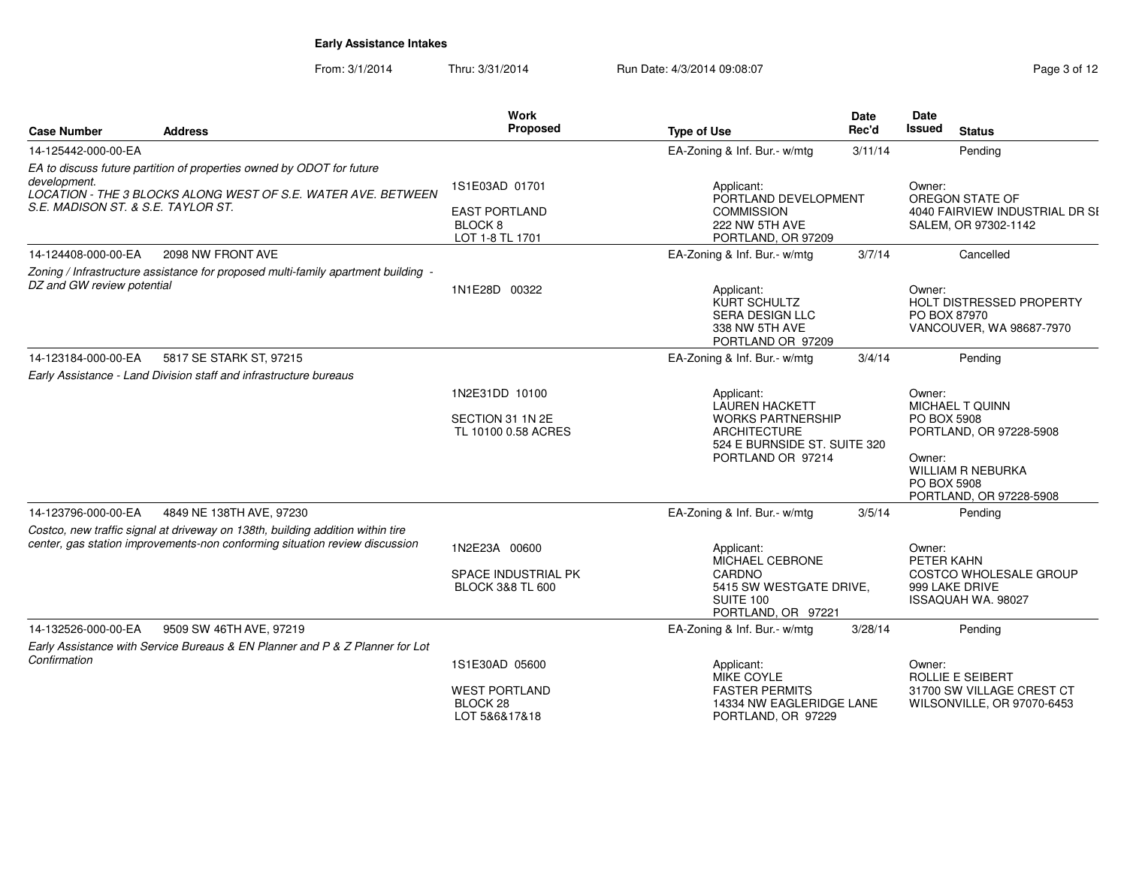From: 3/1/2014Thru: 3/31/2014 Run Date: 4/3/2014 09:08:07 Rege 3 of 12

| Case Number                                        | <b>Address</b>                                                                                                                                                | <b>Work</b><br><b>Proposed</b>                                       | <b>Type of Use</b>                                                                                                                          | <b>Date</b><br>Rec'd | <b>Date</b><br>Issued                          | <b>Status</b>                                                                                     |
|----------------------------------------------------|---------------------------------------------------------------------------------------------------------------------------------------------------------------|----------------------------------------------------------------------|---------------------------------------------------------------------------------------------------------------------------------------------|----------------------|------------------------------------------------|---------------------------------------------------------------------------------------------------|
| 14-125442-000-00-EA                                |                                                                                                                                                               |                                                                      | EA-Zoning & Inf. Bur.- w/mtg                                                                                                                | 3/11/14              |                                                | Pending                                                                                           |
| development.<br>S.E. MADISON ST. & S.E. TAYLOR ST. | EA to discuss future partition of properties owned by ODOT for future<br>LOCATION - THE 3 BLOCKS ALONG WEST OF S.E. WATER AVE. BETWEEN                        | 1S1E03AD 01701<br><b>EAST PORTLAND</b><br>BLOCK 8<br>LOT 1-8 TL 1701 | Applicant:<br>PORTLAND DEVELOPMENT<br><b>COMMISSION</b><br>222 NW 5TH AVE<br>PORTLAND, OR 97209                                             |                      | Owner:                                         | OREGON STATE OF<br>4040 FAIRVIEW INDUSTRIAL DR SI<br>SALEM, OR 97302-1142                         |
| 14-124408-000-00-EA                                | 2098 NW FRONT AVE                                                                                                                                             |                                                                      | EA-Zoning & Inf. Bur.- w/mtg                                                                                                                | 3/7/14               |                                                | Cancelled                                                                                         |
| DZ and GW review potential                         | Zoning / Infrastructure assistance for proposed multi-family apartment building -                                                                             | 1N1E28D 00322                                                        | Applicant:<br><b>KURT SCHULTZ</b><br><b>SERA DESIGN LLC</b><br>338 NW 5TH AVE<br>PORTLAND OR 97209                                          |                      | Owner:<br>PO BOX 87970                         | <b>HOLT DISTRESSED PROPERTY</b><br>VANCOUVER, WA 98687-7970                                       |
| 14-123184-000-00-EA                                | 5817 SE STARK ST, 97215                                                                                                                                       |                                                                      | EA-Zoning & Inf. Bur.- w/mtg                                                                                                                | 3/4/14               |                                                | Pending                                                                                           |
|                                                    | Early Assistance - Land Division staff and infrastructure bureaus                                                                                             |                                                                      |                                                                                                                                             |                      |                                                |                                                                                                   |
|                                                    |                                                                                                                                                               | 1N2E31DD 10100<br>SECTION 31 1N 2E<br>TL 10100 0.58 ACRES            | Applicant:<br><b>LAUREN HACKETT</b><br><b>WORKS PARTNERSHIP</b><br><b>ARCHITECTURE</b><br>524 E BURNSIDE ST. SUITE 320<br>PORTLAND OR 97214 |                      | Owner:<br>PO BOX 5908<br>Owner:<br>PO BOX 5908 | MICHAEL T QUINN<br>PORTLAND, OR 97228-5908<br><b>WILLIAM R NEBURKA</b><br>PORTLAND, OR 97228-5908 |
| 14-123796-000-00-EA                                | 4849 NE 138TH AVE, 97230                                                                                                                                      |                                                                      | EA-Zoning & Inf. Bur.- w/mtg                                                                                                                | 3/5/14               |                                                | Pending                                                                                           |
|                                                    | Costco, new traffic signal at driveway on 138th, building addition within tire<br>center, gas station improvements-non conforming situation review discussion | 1N2E23A 00600<br>SPACE INDUSTRIAL PK<br><b>BLOCK 3&amp;8 TL 600</b>  | Applicant:<br>MICHAEL CEBRONE<br>CARDNO<br>5415 SW WESTGATE DRIVE,<br>SUITE 100<br>PORTLAND, OR 97221                                       |                      | Owner:<br>PETER KAHN                           | COSTCO WHOLESALE GROUP<br>999 LAKE DRIVE<br>ISSAQUAH WA. 98027                                    |
| 14-132526-000-00-EA                                | 9509 SW 46TH AVE, 97219                                                                                                                                       |                                                                      | EA-Zoning & Inf. Bur.- w/mtg                                                                                                                | 3/28/14              |                                                | Pending                                                                                           |
| Confirmation                                       | Early Assistance with Service Bureaus & EN Planner and P & Z Planner for Lot                                                                                  | 1S1E30AD 05600<br><b>WEST PORTLAND</b><br>BLOCK 28<br>LOT 5&6&17&18  | Applicant:<br>MIKE COYLE<br><b>FASTER PERMITS</b><br>14334 NW EAGLERIDGE LANE<br>PORTLAND, OR 97229                                         |                      | Owner:                                         | ROLLIE E SEIBERT<br>31700 SW VILLAGE CREST CT<br>WILSONVILLE, OR 97070-6453                       |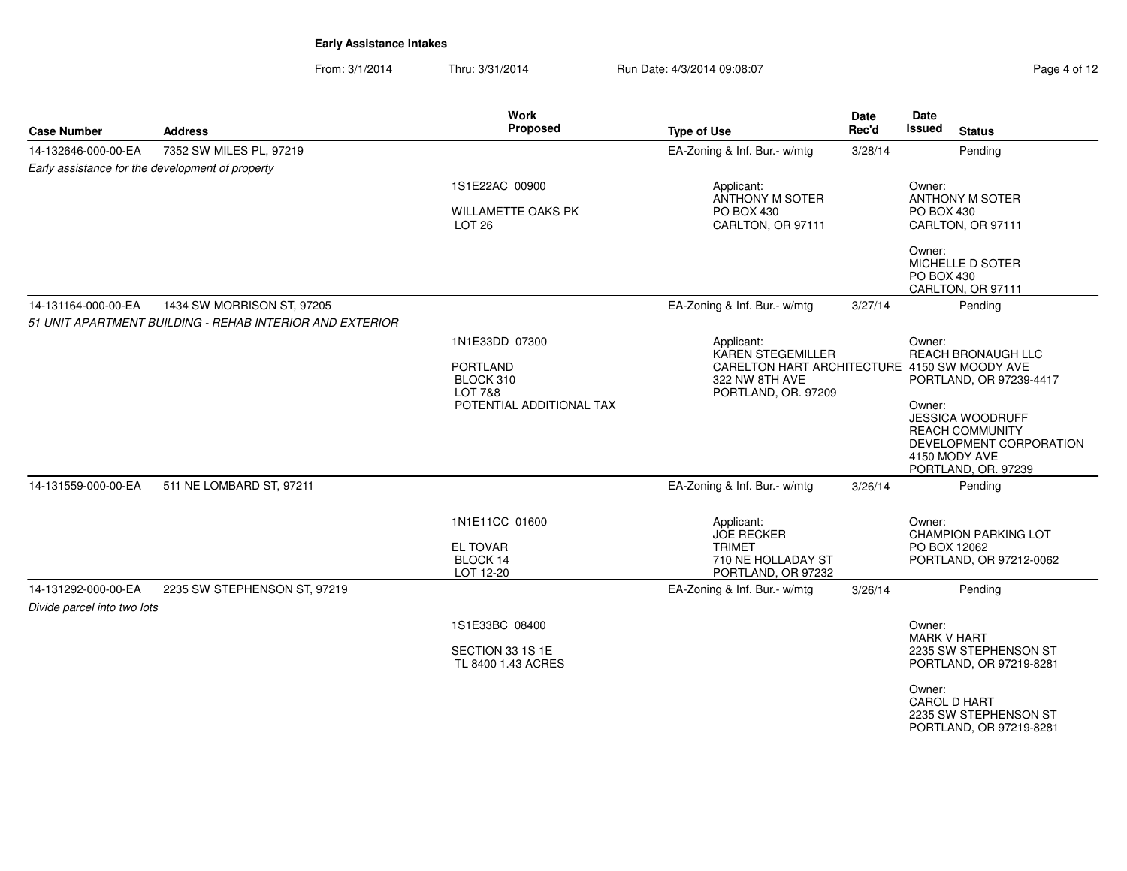From: 3/1/2014Thru: 3/31/2014 Run Date: 4/3/2014 09:08:07 Register 4/3/2014 09:08:07

| Page 4 of 12 |  |  |
|--------------|--|--|
|              |  |  |

| <b>Case Number</b>                                 | <b>Address</b>                                           | Work<br>Proposed                                                                                                                                        | <b>Type of Use</b>                                                                           | Date<br>Rec'd                                                                                           | Date<br>Issued<br><b>Status</b>                                                                                         |
|----------------------------------------------------|----------------------------------------------------------|---------------------------------------------------------------------------------------------------------------------------------------------------------|----------------------------------------------------------------------------------------------|---------------------------------------------------------------------------------------------------------|-------------------------------------------------------------------------------------------------------------------------|
| 14-132646-000-00-EA                                | 7352 SW MILES PL, 97219                                  |                                                                                                                                                         | EA-Zoning & Inf. Bur.- w/mtg                                                                 | 3/28/14                                                                                                 | Pending                                                                                                                 |
|                                                    | Early assistance for the development of property         |                                                                                                                                                         |                                                                                              |                                                                                                         |                                                                                                                         |
|                                                    |                                                          | 1S1E22AC 00900<br>WILLAMETTE OAKS PK<br>LOT <sub>26</sub>                                                                                               | Applicant:<br>ANTHONY M SOTER<br>PO BOX 430<br>CARLTON, OR 97111                             |                                                                                                         | Owner:<br>ANTHONY M SOTER<br>PO BOX 430<br>CARLTON, OR 97111                                                            |
|                                                    |                                                          |                                                                                                                                                         |                                                                                              |                                                                                                         | Owner:<br>MICHELLE D SOTER<br>PO BOX 430<br>CARLTON, OR 97111                                                           |
| 14-131164-000-00-EA                                | 1434 SW MORRISON ST, 97205                               |                                                                                                                                                         | EA-Zoning & Inf. Bur.- w/mtg                                                                 | 3/27/14                                                                                                 | Pendina                                                                                                                 |
|                                                    | 51 UNIT APARTMENT BUILDING - REHAB INTERIOR AND EXTERIOR |                                                                                                                                                         |                                                                                              |                                                                                                         |                                                                                                                         |
|                                                    |                                                          | 1N1E33DD 07300<br>Applicant:<br><b>KAREN STEGEMILLER</b><br><b>PORTLAND</b><br>BLOCK 310<br>322 NW 8TH AVE<br><b>LOT 7&amp;8</b><br>PORTLAND, OR. 97209 |                                                                                              | Owner:<br>REACH BRONAUGH LLC<br>CARELTON HART ARCHITECTURE 4150 SW MOODY AVE<br>PORTLAND, OR 97239-4417 |                                                                                                                         |
|                                                    |                                                          | POTENTIAL ADDITIONAL TAX                                                                                                                                |                                                                                              |                                                                                                         | Owner:<br>JESSICA WOODRUFF<br><b>REACH COMMUNITY</b><br>DEVELOPMENT CORPORATION<br>4150 MODY AVE<br>PORTLAND, OR. 97239 |
| 14-131559-000-00-EA                                | 511 NE LOMBARD ST, 97211                                 |                                                                                                                                                         | EA-Zoning & Inf. Bur.- w/mtg                                                                 | 3/26/14                                                                                                 | Pending                                                                                                                 |
|                                                    |                                                          | 1N1E11CC 01600<br><b>EL TOVAR</b><br>BLOCK 14<br>LOT 12-20                                                                                              | Applicant:<br><b>JOE RECKER</b><br><b>TRIMET</b><br>710 NE HOLLADAY ST<br>PORTLAND, OR 97232 |                                                                                                         | Owner:<br><b>CHAMPION PARKING LOT</b><br>PO BOX 12062<br>PORTLAND, OR 97212-0062                                        |
| 14-131292-000-00-EA<br>Divide parcel into two lots | 2235 SW STEPHENSON ST, 97219                             |                                                                                                                                                         | EA-Zoning & Inf. Bur.- w/mtg                                                                 | 3/26/14                                                                                                 | Pending                                                                                                                 |
|                                                    |                                                          | 1S1E33BC 08400                                                                                                                                          |                                                                                              |                                                                                                         | Owner:<br><b>MARK V HART</b>                                                                                            |
|                                                    |                                                          | SECTION 33 1S 1E<br>TL 8400 1.43 ACRES                                                                                                                  |                                                                                              |                                                                                                         | 2235 SW STEPHENSON ST<br>PORTLAND, OR 97219-8281                                                                        |
|                                                    |                                                          |                                                                                                                                                         |                                                                                              |                                                                                                         | Owner:<br>CAROL D HART<br>2235 SW STEPHENSON ST<br>PORTLAND, OR 97219-8281                                              |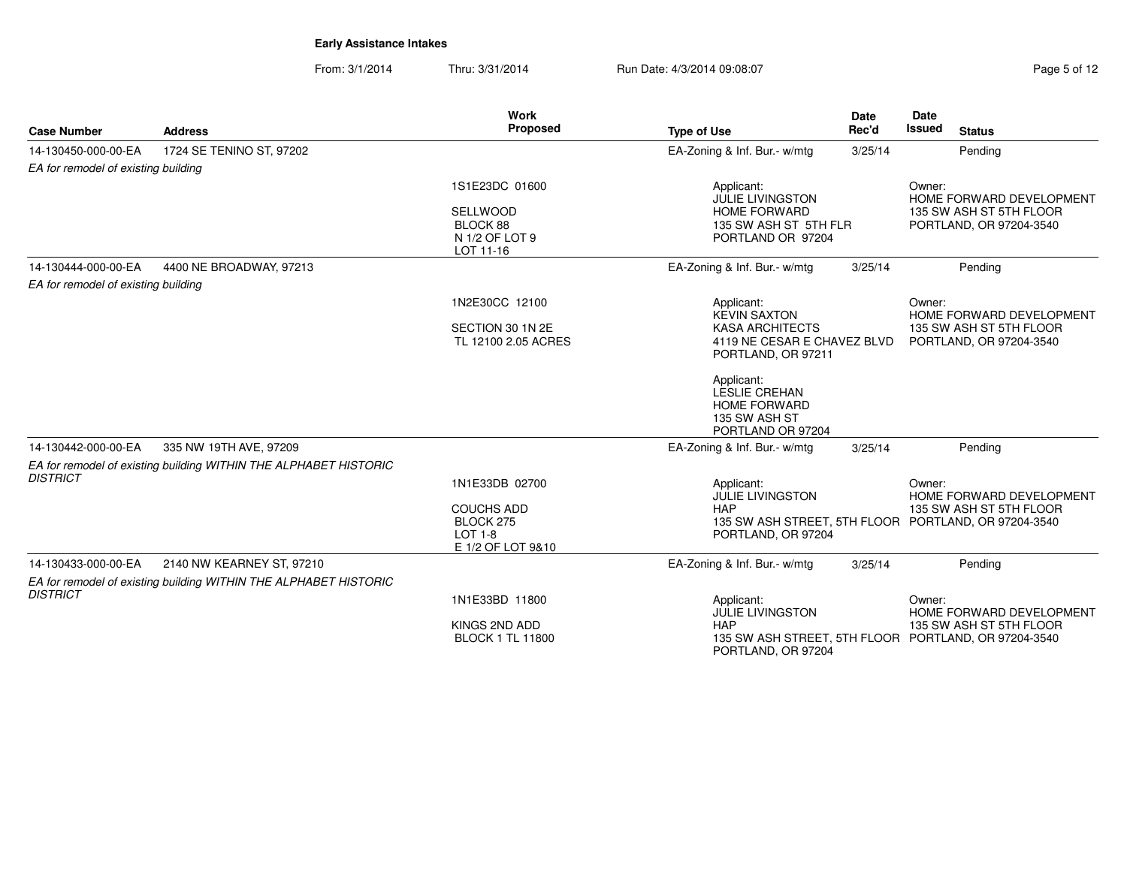From: 3/1/2014Thru: 3/31/2014 Run Date: 4/3/2014 09:08:07 Rege 5 of 12

| <b>Case Number</b>                  | <b>Address</b>                                                   | <b>Work</b><br>Proposed                                                      | <b>Type of Use</b>                                                                                               | <b>Date</b><br>Rec'd | <b>Date</b><br><b>Issued</b><br><b>Status</b>                                                                         |  |
|-------------------------------------|------------------------------------------------------------------|------------------------------------------------------------------------------|------------------------------------------------------------------------------------------------------------------|----------------------|-----------------------------------------------------------------------------------------------------------------------|--|
| 14-130450-000-00-EA                 | 1724 SE TENINO ST, 97202                                         |                                                                              | EA-Zoning & Inf. Bur.- w/mtg                                                                                     | 3/25/14              | Pendina                                                                                                               |  |
| EA for remodel of existing building |                                                                  |                                                                              |                                                                                                                  |                      |                                                                                                                       |  |
|                                     |                                                                  | 1S1E23DC 01600<br><b>SELLWOOD</b><br>BLOCK 88<br>N 1/2 OF LOT 9<br>LOT 11-16 | Applicant:<br><b>JULIE LIVINGSTON</b><br><b>HOME FORWARD</b><br>135 SW ASH ST 5TH FLR<br>PORTLAND OR 97204       |                      | Owner:<br>HOME FORWARD DEVELOPMENT<br>135 SW ASH ST 5TH FLOOR<br>PORTLAND, OR 97204-3540                              |  |
| 14-130444-000-00-EA                 | 4400 NE BROADWAY, 97213                                          |                                                                              | EA-Zoning & Inf. Bur.- w/mtg                                                                                     | 3/25/14              | Pendina                                                                                                               |  |
| EA for remodel of existing building |                                                                  |                                                                              |                                                                                                                  |                      |                                                                                                                       |  |
|                                     |                                                                  | 1N2E30CC 12100<br>SECTION 30 1N 2E<br>TL 12100 2.05 ACRES                    | Applicant:<br><b>KEVIN SAXTON</b><br><b>KASA ARCHITECTS</b><br>4119 NE CESAR E CHAVEZ BLVD<br>PORTLAND, OR 97211 |                      | Owner:<br>HOME FORWARD DEVELOPMENT<br>135 SW ASH ST 5TH FLOOR<br>PORTLAND, OR 97204-3540                              |  |
|                                     |                                                                  |                                                                              | Applicant:<br>LESLIE CREHAN<br><b>HOME FORWARD</b><br>135 SW ASH ST<br>PORTLAND OR 97204                         |                      |                                                                                                                       |  |
| 14-130442-000-00-EA                 | 335 NW 19TH AVE, 97209                                           |                                                                              | EA-Zoning & Inf. Bur.- w/mtg                                                                                     | 3/25/14              | Pending                                                                                                               |  |
|                                     | EA for remodel of existing building WITHIN THE ALPHABET HISTORIC |                                                                              |                                                                                                                  |                      |                                                                                                                       |  |
| <b>DISTRICT</b>                     |                                                                  | 1N1E33DB 02700                                                               | Applicant:<br><b>JULIE LIVINGSTON</b>                                                                            |                      | Owner:<br>HOME FORWARD DEVELOPMENT                                                                                    |  |
|                                     |                                                                  | <b>COUCHS ADD</b><br>BLOCK 275<br><b>LOT 1-8</b><br>E 1/2 OF LOT 9&10        | <b>HAP</b><br>PORTLAND, OR 97204                                                                                 |                      | 135 SW ASH ST 5TH FLOOR<br>135 SW ASH STREET, 5TH FLOOR PORTLAND, OR 97204-3540                                       |  |
| 14-130433-000-00-EA                 | 2140 NW KEARNEY ST, 97210                                        |                                                                              | EA-Zoning & Inf. Bur.- w/mtg                                                                                     | 3/25/14              | Pending                                                                                                               |  |
| <b>DISTRICT</b>                     | EA for remodel of existing building WITHIN THE ALPHABET HISTORIC | 1N1E33BD 11800<br>KINGS 2ND ADD<br><b>BLOCK 1 TL 11800</b>                   | Applicant:<br><b>JULIE LIVINGSTON</b><br><b>HAP</b>                                                              |                      | Owner:<br>HOME FORWARD DEVELOPMENT<br>135 SW ASH ST 5TH FLOOR<br>135 SW ASH STREET, 5TH FLOOR PORTLAND, OR 97204-3540 |  |
|                                     |                                                                  |                                                                              | PORTLAND, OR 97204                                                                                               |                      |                                                                                                                       |  |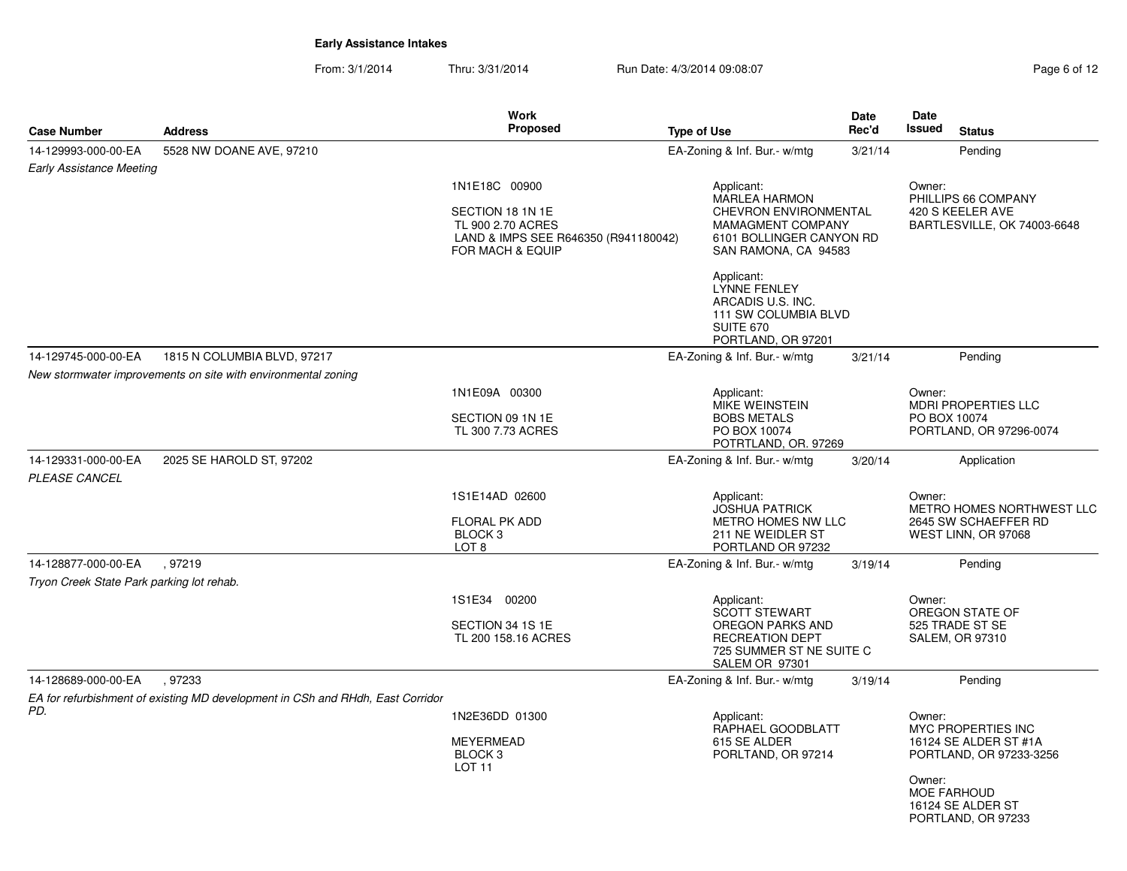From: 3/1/2014Thru: 3/31/2014 Run Date: 4/3/2014 09:08:07 Rege 6 of 12

|                                             |                                                                                | <b>Work</b>                                                                                                        |                    |                                                                                                                                             | Date    | Date         |                                                                          |
|---------------------------------------------|--------------------------------------------------------------------------------|--------------------------------------------------------------------------------------------------------------------|--------------------|---------------------------------------------------------------------------------------------------------------------------------------------|---------|--------------|--------------------------------------------------------------------------|
| <b>Case Number</b>                          | <b>Address</b>                                                                 | <b>Proposed</b>                                                                                                    | <b>Type of Use</b> |                                                                                                                                             | Rec'd   | Issued       | <b>Status</b>                                                            |
| 14-129993-000-00-EA                         | 5528 NW DOANE AVE, 97210                                                       |                                                                                                                    |                    | EA-Zoning & Inf. Bur.- w/mtg                                                                                                                | 3/21/14 |              | Pending                                                                  |
| <b>Early Assistance Meeting</b>             |                                                                                |                                                                                                                    |                    |                                                                                                                                             |         |              |                                                                          |
|                                             |                                                                                | 1N1E18C 00900<br>SECTION 18 1N 1E<br>TL 900 2.70 ACRES<br>LAND & IMPS SEE R646350 (R941180042)<br>FOR MACH & EQUIP |                    | Applicant:<br><b>MARLEA HARMON</b><br><b>CHEVRON ENVIRONMENTAL</b><br>MAMAGMENT COMPANY<br>6101 BOLLINGER CANYON RD<br>SAN RAMONA, CA 94583 |         | Owner:       | PHILLIPS 66 COMPANY<br>420 S KEELER AVE<br>BARTLESVILLE, OK 74003-6648   |
|                                             |                                                                                |                                                                                                                    |                    | Applicant:<br><b>LYNNE FENLEY</b><br>ARCADIS U.S. INC.<br>111 SW COLUMBIA BLVD<br><b>SUITE 670</b><br>PORTLAND, OR 97201                    |         |              |                                                                          |
| 14-129745-000-00-EA                         | 1815 N COLUMBIA BLVD, 97217                                                    |                                                                                                                    |                    | EA-Zoning & Inf. Bur.- w/mtg                                                                                                                | 3/21/14 |              | Pendina                                                                  |
|                                             | New stormwater improvements on site with environmental zoning                  |                                                                                                                    |                    |                                                                                                                                             |         |              |                                                                          |
|                                             |                                                                                | 1N1E09A 00300                                                                                                      |                    | Applicant:<br>MIKE WEINSTEIN                                                                                                                |         | Owner:       | <b>MDRI PROPERTIES LLC</b>                                               |
|                                             |                                                                                | SECTION 09 1N 1E                                                                                                   |                    | <b>BOBS METALS</b>                                                                                                                          |         | PO BOX 10074 |                                                                          |
|                                             |                                                                                | TL 300 7.73 ACRES                                                                                                  |                    | PO BOX 10074<br>POTRTLAND, OR. 97269                                                                                                        |         |              | PORTLAND, OR 97296-0074                                                  |
| 14-129331-000-00-EA<br><i>PLEASE CANCEL</i> | 2025 SE HAROLD ST, 97202                                                       |                                                                                                                    |                    | EA-Zoning & Inf. Bur.- w/mtg                                                                                                                | 3/20/14 |              | Application                                                              |
|                                             |                                                                                | 1S1E14AD 02600<br>FLORAL PK ADD<br>BLOCK <sub>3</sub><br>LOT <sub>8</sub>                                          |                    | Applicant:<br><b>JOSHUA PATRICK</b><br>METRO HOMES NW LLC<br>211 NE WEIDLER ST<br>PORTLAND OR 97232                                         |         | Owner:       | METRO HOMES NORTHWEST LLC<br>2645 SW SCHAEFFER RD<br>WEST LINN, OR 97068 |
| 14-128877-000-00-EA                         | .97219                                                                         |                                                                                                                    |                    | EA-Zoning & Inf. Bur.- w/mtg                                                                                                                | 3/19/14 |              | Pendina                                                                  |
| Tryon Creek State Park parking lot rehab.   |                                                                                |                                                                                                                    |                    |                                                                                                                                             |         |              |                                                                          |
|                                             |                                                                                | 1S1E34 00200<br>SECTION 34 1S 1E<br>TL 200 158.16 ACRES                                                            |                    | Applicant:<br><b>SCOTT STEWART</b><br>OREGON PARKS AND<br>RECREATION DEPT<br>725 SUMMER ST NE SUITE C<br>SALEM OR 97301                     |         | Owner:       | OREGON STATE OF<br>525 TRADE ST SE<br><b>SALEM, OR 97310</b>             |
| 14-128689-000-00-EA                         | .97233                                                                         |                                                                                                                    |                    | EA-Zoning & Inf. Bur.- w/mtg                                                                                                                | 3/19/14 |              | Pending                                                                  |
|                                             | EA for refurbishment of existing MD development in CSh and RHdh, East Corridor |                                                                                                                    |                    |                                                                                                                                             |         |              |                                                                          |
| PD.                                         |                                                                                | 1N2E36DD 01300<br><b>MEYERMEAD</b><br>BLOCK <sub>3</sub><br>LOT <sub>11</sub>                                      |                    | Applicant:<br>RAPHAEL GOODBLATT<br>615 SE ALDER<br>PORLTAND, OR 97214                                                                       |         | Owner:       | MYC PROPERTIES INC<br>16124 SE ALDER ST #1A<br>PORTLAND, OR 97233-3256   |
|                                             |                                                                                |                                                                                                                    |                    |                                                                                                                                             |         | Owner:       | <b>MOE FARHOUD</b><br>16124 SE ALDER ST<br>PORTLAND, OR 97233            |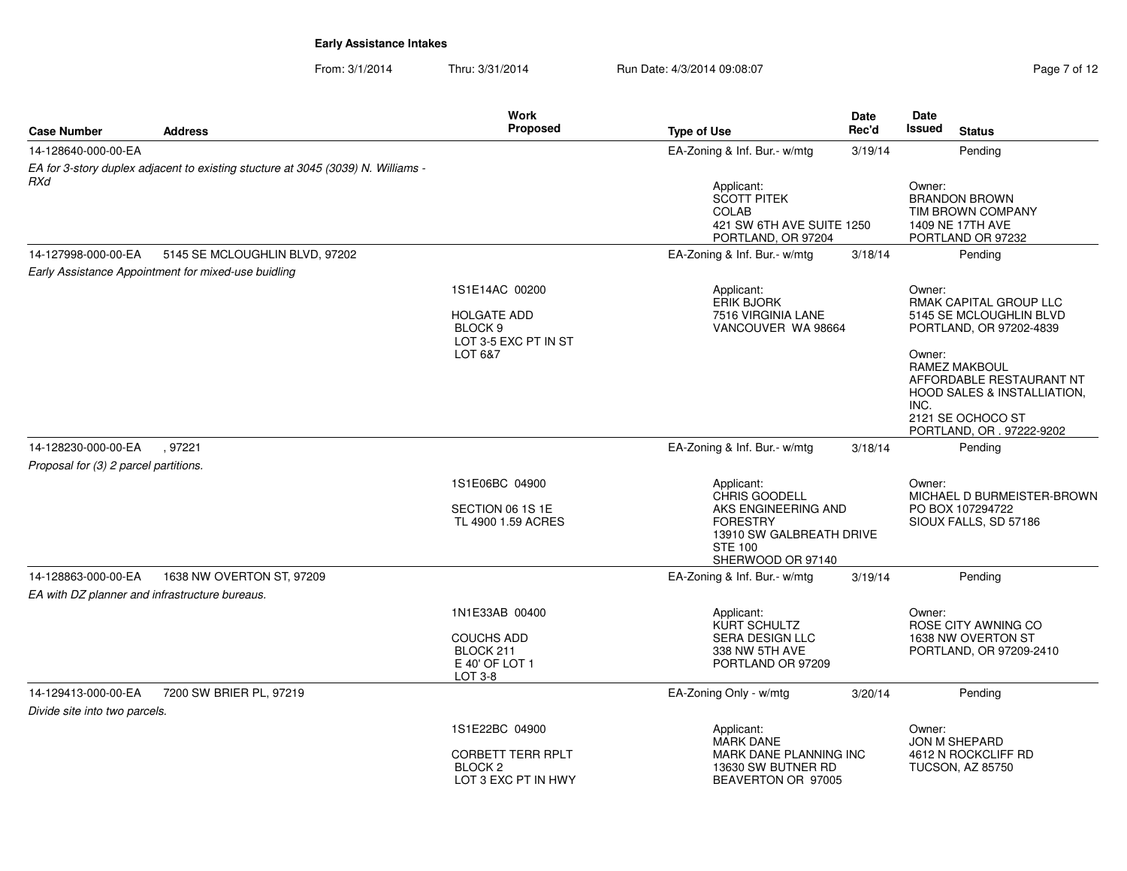From: 3/1/2014Thru: 3/31/2014 Run Date: 4/3/2014 09:08:07 Rage 7 of 12 of 12 of 12 of 12 of 12 of 12 of 12 of 12 of 12 of 12 of 12 of 12 of 12 of 12 of 12 of 12 of 12 of 12 of 12 of 12 of 12 of 12 of 12 of 12 of 12 of 12 of 12 of 12 of

| Page 7 of 12 |  |  |
|--------------|--|--|
|              |  |  |

| <b>Case Number</b>                             | <b>Address</b>                                                                   | Work<br><b>Proposed</b>                                                       | <b>Type of Use</b>                                                                                                                       | Date<br>Rec'd | Date<br><b>Issued</b><br><b>Status</b>                                                                |
|------------------------------------------------|----------------------------------------------------------------------------------|-------------------------------------------------------------------------------|------------------------------------------------------------------------------------------------------------------------------------------|---------------|-------------------------------------------------------------------------------------------------------|
| 14-128640-000-00-EA                            |                                                                                  |                                                                               | EA-Zoning & Inf. Bur.- w/mtg                                                                                                             | 3/19/14       | Pending                                                                                               |
| RXd                                            | EA for 3-story duplex adjacent to existing stucture at 3045 (3039) N. Williams - |                                                                               |                                                                                                                                          |               |                                                                                                       |
|                                                |                                                                                  |                                                                               | Applicant:<br><b>SCOTT PITEK</b><br><b>COLAB</b><br>421 SW 6TH AVE SUITE 1250<br>PORTLAND, OR 97204                                      |               | Owner:<br><b>BRANDON BROWN</b><br>TIM BROWN COMPANY<br>1409 NE 17TH AVE<br>PORTLAND OR 97232          |
| 14-127998-000-00-EA                            | 5145 SE MCLOUGHLIN BLVD, 97202                                                   |                                                                               | EA-Zoning & Inf. Bur.- w/mtg                                                                                                             | 3/18/14       | Pending                                                                                               |
|                                                | Early Assistance Appointment for mixed-use buidling                              |                                                                               |                                                                                                                                          |               |                                                                                                       |
|                                                |                                                                                  | 1S1E14AC 00200                                                                | Applicant:<br><b>ERIK BJORK</b>                                                                                                          |               | Owner:<br>RMAK CAPITAL GROUP LLC                                                                      |
|                                                |                                                                                  | <b>HOLGATE ADD</b><br>BLOCK <sub>9</sub><br>LOT 3-5 EXC PT IN ST              | 7516 VIRGINIA LANE<br>VANCOUVER WA 98664                                                                                                 |               | 5145 SE MCLOUGHLIN BLVD<br>PORTLAND, OR 97202-4839                                                    |
|                                                |                                                                                  | LOT 6&7                                                                       |                                                                                                                                          |               | Owner:<br>RAMEZ MAKBOUL<br>AFFORDABLE RESTAURANT NT<br><b>HOOD SALES &amp; INSTALLIATION,</b><br>INC. |
|                                                |                                                                                  |                                                                               |                                                                                                                                          |               | 2121 SE OCHOCO ST<br>PORTLAND, OR . 97222-9202                                                        |
| 14-128230-000-00-EA                            | .97221                                                                           |                                                                               | EA-Zoning & Inf. Bur.- w/mtg                                                                                                             | 3/18/14       | Pending                                                                                               |
| Proposal for (3) 2 parcel partitions.          |                                                                                  |                                                                               |                                                                                                                                          |               |                                                                                                       |
|                                                |                                                                                  | 1S1E06BC 04900<br>SECTION 06 1S 1E<br>TL 4900 1.59 ACRES                      | Applicant:<br>CHRIS GOODELL<br>AKS ENGINEERING AND<br><b>FORESTRY</b><br>13910 SW GALBREATH DRIVE<br><b>STE 100</b><br>SHERWOOD OR 97140 |               | Owner:<br>MICHAEL D BURMEISTER-BROWN<br>PO BOX 107294722<br>SIOUX FALLS, SD 57186                     |
| 14-128863-000-00-EA                            | 1638 NW OVERTON ST, 97209                                                        |                                                                               | EA-Zoning & Inf. Bur.- w/mtg                                                                                                             | 3/19/14       | Pending                                                                                               |
| EA with DZ planner and infrastructure bureaus. |                                                                                  |                                                                               |                                                                                                                                          |               |                                                                                                       |
|                                                |                                                                                  | 1N1E33AB 00400<br><b>COUCHS ADD</b><br>BLOCK 211<br>E 40' OF LOT 1<br>LOT 3-8 | Applicant:<br>KURT SCHULTZ<br><b>SERA DESIGN LLC</b><br>338 NW 5TH AVE<br>PORTLAND OR 97209                                              |               | Owner:<br>ROSE CITY AWNING CO<br>1638 NW OVERTON ST<br>PORTLAND, OR 97209-2410                        |
| 14-129413-000-00-EA                            | 7200 SW BRIER PL, 97219                                                          |                                                                               | EA-Zoning Only - w/mtg                                                                                                                   | 3/20/14       | Pending                                                                                               |
| Divide site into two parcels.                  |                                                                                  |                                                                               |                                                                                                                                          |               |                                                                                                       |
|                                                |                                                                                  | 1S1E22BC 04900                                                                | Applicant:<br><b>MARK DANE</b>                                                                                                           |               | Owner:<br>JON M SHEPARD                                                                               |
|                                                |                                                                                  | <b>CORBETT TERR RPLT</b><br>BLOCK <sub>2</sub><br>LOT 3 EXC PT IN HWY         | MARK DANE PLANNING INC<br>13630 SW BUTNER RD<br>BEAVERTON OR 97005                                                                       |               | 4612 N ROCKCLIFF RD<br><b>TUCSON, AZ 85750</b>                                                        |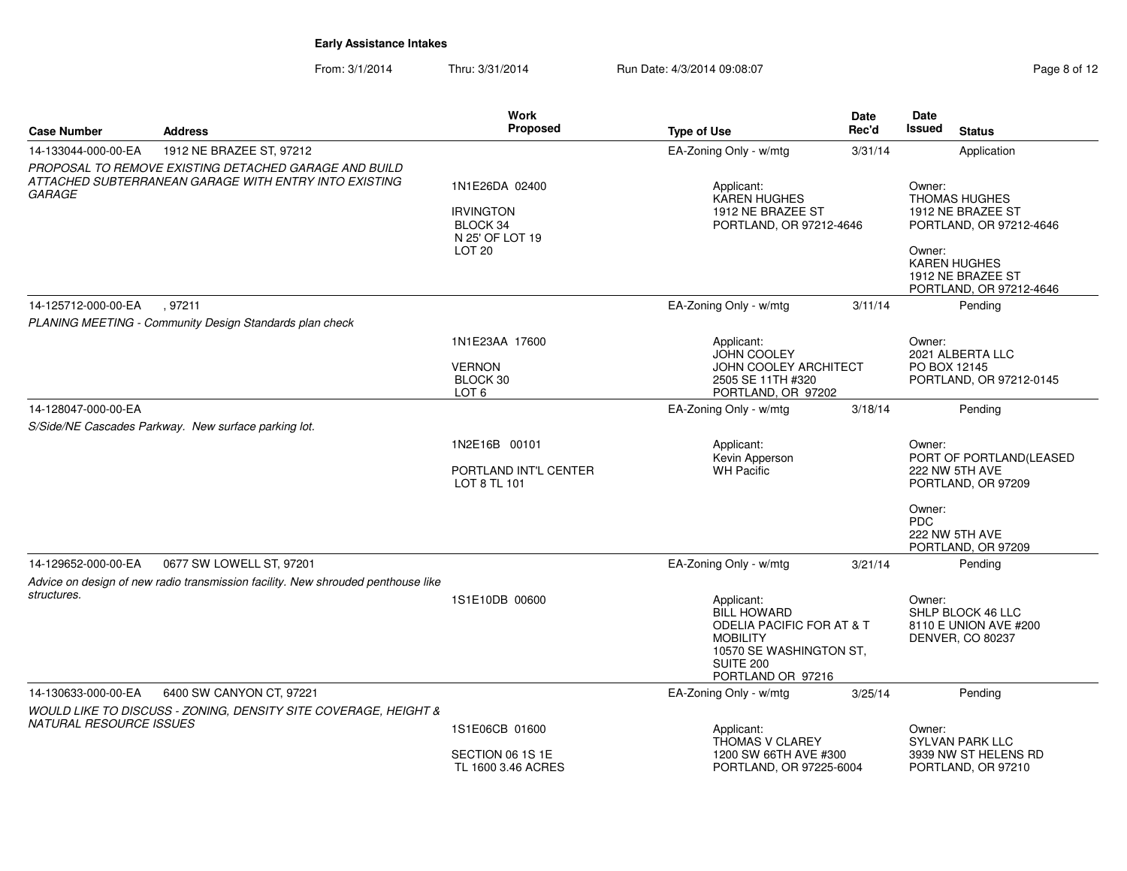From: 3/1/2014Thru: 3/31/2014 Run Date: 4/3/2014 09:08:07 Rege 8 of 12

| Rec'd<br>Issued<br><b>Type of Use</b><br><b>Status</b><br><b>Address</b><br>1912 NE BRAZEE ST, 97212<br>EA-Zoning Only - w/mtg<br>3/31/14<br>Application<br>PROPOSAL TO REMOVE EXISTING DETACHED GARAGE AND BUILD<br>ATTACHED SUBTERRANEAN GARAGE WITH ENTRY INTO EXISTING<br>1N1E26DA 02400<br>Applicant:<br>Owner:<br><b>KAREN HUGHES</b><br><b>THOMAS HUGHES</b><br>1912 NE BRAZEE ST<br>1912 NE BRAZEE ST<br><b>IRVINGTON</b><br>BLOCK 34<br>PORTLAND, OR 97212-4646<br>PORTLAND, OR 97212-4646<br>N 25' OF LOT 19<br>LOT <sub>20</sub><br>Owner:<br><b>KAREN HUGHES</b><br>1912 NE BRAZEE ST<br>PORTLAND, OR 97212-4646<br>EA-Zoning Only - w/mtg<br>14-125712-000-00-EA<br>.97211<br>3/11/14<br>Pending<br>PLANING MEETING - Community Design Standards plan check<br>1N1E23AA 17600<br>Applicant:<br>Owner:<br>JOHN COOLEY<br>2021 ALBERTA LLC<br><b>VERNON</b><br><b>JOHN COOLEY ARCHITECT</b><br>PO BOX 12145<br>BLOCK 30<br>2505 SE 11TH #320<br>PORTLAND, OR 97212-0145<br>LOT 6<br>PORTLAND, OR 97202<br>EA-Zoning Only - w/mtg<br>Pending<br>3/18/14<br>S/Side/NE Cascades Parkway. New surface parking lot.<br>1N2E16B 00101<br>Applicant:<br>Owner:<br>Kevin Apperson<br>PORT OF PORTLAND(LEASED<br>WH Pacific<br>222 NW 5TH AVE<br>PORTLAND INT'L CENTER<br>LOT 8 TL 101<br>PORTLAND, OR 97209<br>Owner:<br><b>PDC</b><br>222 NW 5TH AVE<br>PORTLAND, OR 97209<br>0677 SW LOWELL ST, 97201<br>EA-Zoning Only - w/mtg<br>Pending<br>3/21/14<br>Advice on design of new radio transmission facility. New shrouded penthouse like<br>structures.<br>1S1E10DB 00600<br>Applicant:<br>Owner:<br><b>BILL HOWARD</b><br>SHLP BLOCK 46 LLC<br><b>ODELIA PACIFIC FOR AT &amp; T</b><br>8110 E UNION AVE #200<br><b>MOBILITY</b><br>DENVER, CO 80237<br>10570 SE WASHINGTON ST,<br><b>SUITE 200</b><br>PORTLAND OR 97216<br>6400 SW CANYON CT, 97221<br>Pending<br>EA-Zoning Only - w/mtg<br>3/25/14<br>WOULD LIKE TO DISCUSS - ZONING, DENSITY SITE COVERAGE, HEIGHT &<br><i>NATURAL RESOURCE ISSUES</i><br>1S1E06CB 01600<br>Applicant:<br>Owner:<br><b>THOMAS V CLAREY</b><br>SYLVAN PARK LLC<br>SECTION 06 1S 1E<br>1200 SW 66TH AVE #300<br>3939 NW ST HELENS RD<br>TL 1600 3.46 ACRES<br>PORTLAND, OR 97225-6004<br>PORTLAND, OR 97210 |                     | Work            | <b>Date</b> | Date |
|----------------------------------------------------------------------------------------------------------------------------------------------------------------------------------------------------------------------------------------------------------------------------------------------------------------------------------------------------------------------------------------------------------------------------------------------------------------------------------------------------------------------------------------------------------------------------------------------------------------------------------------------------------------------------------------------------------------------------------------------------------------------------------------------------------------------------------------------------------------------------------------------------------------------------------------------------------------------------------------------------------------------------------------------------------------------------------------------------------------------------------------------------------------------------------------------------------------------------------------------------------------------------------------------------------------------------------------------------------------------------------------------------------------------------------------------------------------------------------------------------------------------------------------------------------------------------------------------------------------------------------------------------------------------------------------------------------------------------------------------------------------------------------------------------------------------------------------------------------------------------------------------------------------------------------------------------------------------------------------------------------------------------------------------------------------------------------------------------------------------------------------------------------------------------------------------------------------------------------------------------|---------------------|-----------------|-------------|------|
|                                                                                                                                                                                                                                                                                                                                                                                                                                                                                                                                                                                                                                                                                                                                                                                                                                                                                                                                                                                                                                                                                                                                                                                                                                                                                                                                                                                                                                                                                                                                                                                                                                                                                                                                                                                                                                                                                                                                                                                                                                                                                                                                                                                                                                                    | <b>Case Number</b>  | <b>Proposed</b> |             |      |
|                                                                                                                                                                                                                                                                                                                                                                                                                                                                                                                                                                                                                                                                                                                                                                                                                                                                                                                                                                                                                                                                                                                                                                                                                                                                                                                                                                                                                                                                                                                                                                                                                                                                                                                                                                                                                                                                                                                                                                                                                                                                                                                                                                                                                                                    | 14-133044-000-00-EA |                 |             |      |
|                                                                                                                                                                                                                                                                                                                                                                                                                                                                                                                                                                                                                                                                                                                                                                                                                                                                                                                                                                                                                                                                                                                                                                                                                                                                                                                                                                                                                                                                                                                                                                                                                                                                                                                                                                                                                                                                                                                                                                                                                                                                                                                                                                                                                                                    |                     |                 |             |      |
|                                                                                                                                                                                                                                                                                                                                                                                                                                                                                                                                                                                                                                                                                                                                                                                                                                                                                                                                                                                                                                                                                                                                                                                                                                                                                                                                                                                                                                                                                                                                                                                                                                                                                                                                                                                                                                                                                                                                                                                                                                                                                                                                                                                                                                                    | GARAGE              |                 |             |      |
|                                                                                                                                                                                                                                                                                                                                                                                                                                                                                                                                                                                                                                                                                                                                                                                                                                                                                                                                                                                                                                                                                                                                                                                                                                                                                                                                                                                                                                                                                                                                                                                                                                                                                                                                                                                                                                                                                                                                                                                                                                                                                                                                                                                                                                                    |                     |                 |             |      |
|                                                                                                                                                                                                                                                                                                                                                                                                                                                                                                                                                                                                                                                                                                                                                                                                                                                                                                                                                                                                                                                                                                                                                                                                                                                                                                                                                                                                                                                                                                                                                                                                                                                                                                                                                                                                                                                                                                                                                                                                                                                                                                                                                                                                                                                    |                     |                 |             |      |
|                                                                                                                                                                                                                                                                                                                                                                                                                                                                                                                                                                                                                                                                                                                                                                                                                                                                                                                                                                                                                                                                                                                                                                                                                                                                                                                                                                                                                                                                                                                                                                                                                                                                                                                                                                                                                                                                                                                                                                                                                                                                                                                                                                                                                                                    |                     |                 |             |      |
|                                                                                                                                                                                                                                                                                                                                                                                                                                                                                                                                                                                                                                                                                                                                                                                                                                                                                                                                                                                                                                                                                                                                                                                                                                                                                                                                                                                                                                                                                                                                                                                                                                                                                                                                                                                                                                                                                                                                                                                                                                                                                                                                                                                                                                                    |                     |                 |             |      |
|                                                                                                                                                                                                                                                                                                                                                                                                                                                                                                                                                                                                                                                                                                                                                                                                                                                                                                                                                                                                                                                                                                                                                                                                                                                                                                                                                                                                                                                                                                                                                                                                                                                                                                                                                                                                                                                                                                                                                                                                                                                                                                                                                                                                                                                    |                     |                 |             |      |
|                                                                                                                                                                                                                                                                                                                                                                                                                                                                                                                                                                                                                                                                                                                                                                                                                                                                                                                                                                                                                                                                                                                                                                                                                                                                                                                                                                                                                                                                                                                                                                                                                                                                                                                                                                                                                                                                                                                                                                                                                                                                                                                                                                                                                                                    |                     |                 |             |      |
|                                                                                                                                                                                                                                                                                                                                                                                                                                                                                                                                                                                                                                                                                                                                                                                                                                                                                                                                                                                                                                                                                                                                                                                                                                                                                                                                                                                                                                                                                                                                                                                                                                                                                                                                                                                                                                                                                                                                                                                                                                                                                                                                                                                                                                                    |                     |                 |             |      |
|                                                                                                                                                                                                                                                                                                                                                                                                                                                                                                                                                                                                                                                                                                                                                                                                                                                                                                                                                                                                                                                                                                                                                                                                                                                                                                                                                                                                                                                                                                                                                                                                                                                                                                                                                                                                                                                                                                                                                                                                                                                                                                                                                                                                                                                    |                     |                 |             |      |
|                                                                                                                                                                                                                                                                                                                                                                                                                                                                                                                                                                                                                                                                                                                                                                                                                                                                                                                                                                                                                                                                                                                                                                                                                                                                                                                                                                                                                                                                                                                                                                                                                                                                                                                                                                                                                                                                                                                                                                                                                                                                                                                                                                                                                                                    |                     |                 |             |      |
|                                                                                                                                                                                                                                                                                                                                                                                                                                                                                                                                                                                                                                                                                                                                                                                                                                                                                                                                                                                                                                                                                                                                                                                                                                                                                                                                                                                                                                                                                                                                                                                                                                                                                                                                                                                                                                                                                                                                                                                                                                                                                                                                                                                                                                                    |                     |                 |             |      |
|                                                                                                                                                                                                                                                                                                                                                                                                                                                                                                                                                                                                                                                                                                                                                                                                                                                                                                                                                                                                                                                                                                                                                                                                                                                                                                                                                                                                                                                                                                                                                                                                                                                                                                                                                                                                                                                                                                                                                                                                                                                                                                                                                                                                                                                    |                     |                 |             |      |
|                                                                                                                                                                                                                                                                                                                                                                                                                                                                                                                                                                                                                                                                                                                                                                                                                                                                                                                                                                                                                                                                                                                                                                                                                                                                                                                                                                                                                                                                                                                                                                                                                                                                                                                                                                                                                                                                                                                                                                                                                                                                                                                                                                                                                                                    | 14-128047-000-00-EA |                 |             |      |
|                                                                                                                                                                                                                                                                                                                                                                                                                                                                                                                                                                                                                                                                                                                                                                                                                                                                                                                                                                                                                                                                                                                                                                                                                                                                                                                                                                                                                                                                                                                                                                                                                                                                                                                                                                                                                                                                                                                                                                                                                                                                                                                                                                                                                                                    |                     |                 |             |      |
|                                                                                                                                                                                                                                                                                                                                                                                                                                                                                                                                                                                                                                                                                                                                                                                                                                                                                                                                                                                                                                                                                                                                                                                                                                                                                                                                                                                                                                                                                                                                                                                                                                                                                                                                                                                                                                                                                                                                                                                                                                                                                                                                                                                                                                                    |                     |                 |             |      |
|                                                                                                                                                                                                                                                                                                                                                                                                                                                                                                                                                                                                                                                                                                                                                                                                                                                                                                                                                                                                                                                                                                                                                                                                                                                                                                                                                                                                                                                                                                                                                                                                                                                                                                                                                                                                                                                                                                                                                                                                                                                                                                                                                                                                                                                    |                     |                 |             |      |
|                                                                                                                                                                                                                                                                                                                                                                                                                                                                                                                                                                                                                                                                                                                                                                                                                                                                                                                                                                                                                                                                                                                                                                                                                                                                                                                                                                                                                                                                                                                                                                                                                                                                                                                                                                                                                                                                                                                                                                                                                                                                                                                                                                                                                                                    |                     |                 |             |      |
|                                                                                                                                                                                                                                                                                                                                                                                                                                                                                                                                                                                                                                                                                                                                                                                                                                                                                                                                                                                                                                                                                                                                                                                                                                                                                                                                                                                                                                                                                                                                                                                                                                                                                                                                                                                                                                                                                                                                                                                                                                                                                                                                                                                                                                                    |                     |                 |             |      |
|                                                                                                                                                                                                                                                                                                                                                                                                                                                                                                                                                                                                                                                                                                                                                                                                                                                                                                                                                                                                                                                                                                                                                                                                                                                                                                                                                                                                                                                                                                                                                                                                                                                                                                                                                                                                                                                                                                                                                                                                                                                                                                                                                                                                                                                    |                     |                 |             |      |
|                                                                                                                                                                                                                                                                                                                                                                                                                                                                                                                                                                                                                                                                                                                                                                                                                                                                                                                                                                                                                                                                                                                                                                                                                                                                                                                                                                                                                                                                                                                                                                                                                                                                                                                                                                                                                                                                                                                                                                                                                                                                                                                                                                                                                                                    |                     |                 |             |      |
|                                                                                                                                                                                                                                                                                                                                                                                                                                                                                                                                                                                                                                                                                                                                                                                                                                                                                                                                                                                                                                                                                                                                                                                                                                                                                                                                                                                                                                                                                                                                                                                                                                                                                                                                                                                                                                                                                                                                                                                                                                                                                                                                                                                                                                                    | 14-129652-000-00-EA |                 |             |      |
|                                                                                                                                                                                                                                                                                                                                                                                                                                                                                                                                                                                                                                                                                                                                                                                                                                                                                                                                                                                                                                                                                                                                                                                                                                                                                                                                                                                                                                                                                                                                                                                                                                                                                                                                                                                                                                                                                                                                                                                                                                                                                                                                                                                                                                                    |                     |                 |             |      |
|                                                                                                                                                                                                                                                                                                                                                                                                                                                                                                                                                                                                                                                                                                                                                                                                                                                                                                                                                                                                                                                                                                                                                                                                                                                                                                                                                                                                                                                                                                                                                                                                                                                                                                                                                                                                                                                                                                                                                                                                                                                                                                                                                                                                                                                    |                     |                 |             |      |
|                                                                                                                                                                                                                                                                                                                                                                                                                                                                                                                                                                                                                                                                                                                                                                                                                                                                                                                                                                                                                                                                                                                                                                                                                                                                                                                                                                                                                                                                                                                                                                                                                                                                                                                                                                                                                                                                                                                                                                                                                                                                                                                                                                                                                                                    |                     |                 |             |      |
|                                                                                                                                                                                                                                                                                                                                                                                                                                                                                                                                                                                                                                                                                                                                                                                                                                                                                                                                                                                                                                                                                                                                                                                                                                                                                                                                                                                                                                                                                                                                                                                                                                                                                                                                                                                                                                                                                                                                                                                                                                                                                                                                                                                                                                                    |                     |                 |             |      |
|                                                                                                                                                                                                                                                                                                                                                                                                                                                                                                                                                                                                                                                                                                                                                                                                                                                                                                                                                                                                                                                                                                                                                                                                                                                                                                                                                                                                                                                                                                                                                                                                                                                                                                                                                                                                                                                                                                                                                                                                                                                                                                                                                                                                                                                    |                     |                 |             |      |
|                                                                                                                                                                                                                                                                                                                                                                                                                                                                                                                                                                                                                                                                                                                                                                                                                                                                                                                                                                                                                                                                                                                                                                                                                                                                                                                                                                                                                                                                                                                                                                                                                                                                                                                                                                                                                                                                                                                                                                                                                                                                                                                                                                                                                                                    |                     |                 |             |      |
|                                                                                                                                                                                                                                                                                                                                                                                                                                                                                                                                                                                                                                                                                                                                                                                                                                                                                                                                                                                                                                                                                                                                                                                                                                                                                                                                                                                                                                                                                                                                                                                                                                                                                                                                                                                                                                                                                                                                                                                                                                                                                                                                                                                                                                                    | 14-130633-000-00-EA |                 |             |      |
|                                                                                                                                                                                                                                                                                                                                                                                                                                                                                                                                                                                                                                                                                                                                                                                                                                                                                                                                                                                                                                                                                                                                                                                                                                                                                                                                                                                                                                                                                                                                                                                                                                                                                                                                                                                                                                                                                                                                                                                                                                                                                                                                                                                                                                                    |                     |                 |             |      |
|                                                                                                                                                                                                                                                                                                                                                                                                                                                                                                                                                                                                                                                                                                                                                                                                                                                                                                                                                                                                                                                                                                                                                                                                                                                                                                                                                                                                                                                                                                                                                                                                                                                                                                                                                                                                                                                                                                                                                                                                                                                                                                                                                                                                                                                    |                     |                 |             |      |
|                                                                                                                                                                                                                                                                                                                                                                                                                                                                                                                                                                                                                                                                                                                                                                                                                                                                                                                                                                                                                                                                                                                                                                                                                                                                                                                                                                                                                                                                                                                                                                                                                                                                                                                                                                                                                                                                                                                                                                                                                                                                                                                                                                                                                                                    |                     |                 |             |      |
|                                                                                                                                                                                                                                                                                                                                                                                                                                                                                                                                                                                                                                                                                                                                                                                                                                                                                                                                                                                                                                                                                                                                                                                                                                                                                                                                                                                                                                                                                                                                                                                                                                                                                                                                                                                                                                                                                                                                                                                                                                                                                                                                                                                                                                                    |                     |                 |             |      |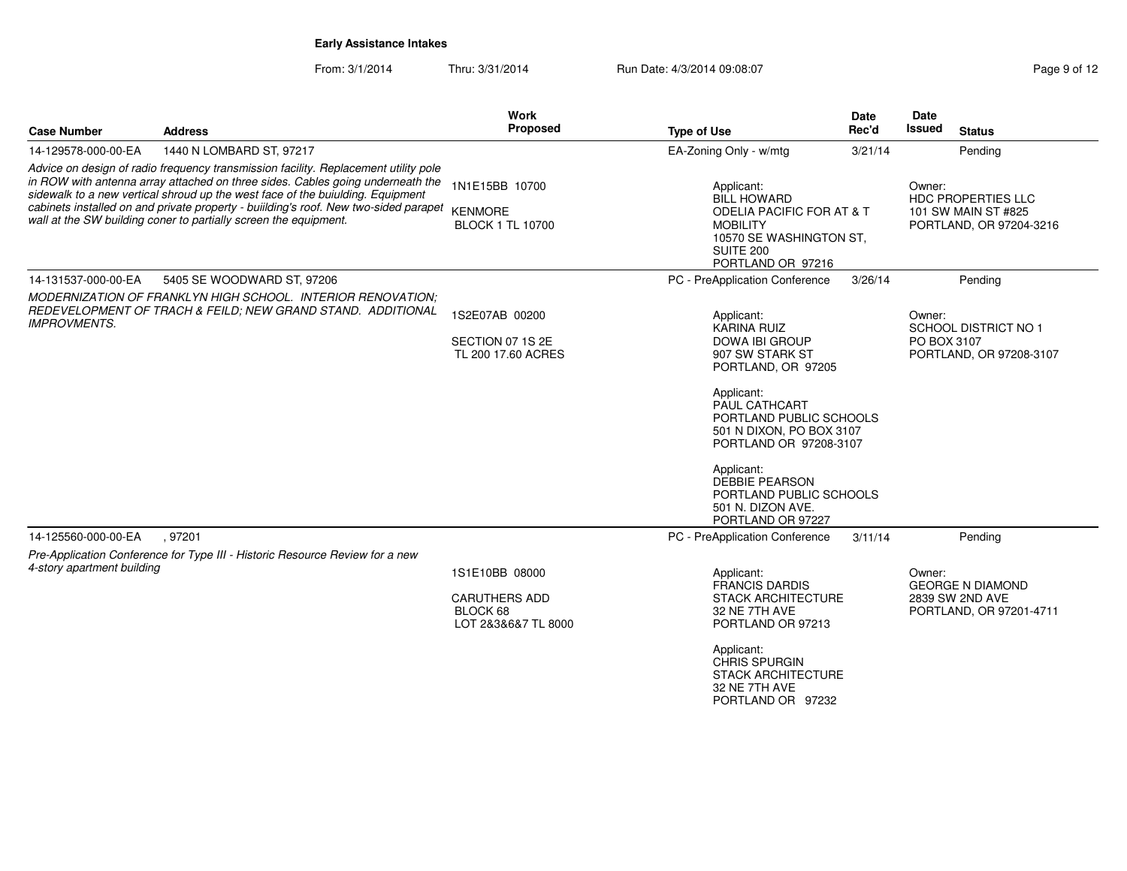From: 3/1/2014

Thru: 3/31/2014 Run Date: 4/3/2014 09:08:07 Rege 9 of 12

| <b>Case Number</b>                                                                                                                                | <b>Address</b>                                                                                                                                                                                                                                                                                                                                                                                                     | Work<br>Proposed                                                          | <b>Type of Use</b>                                                                                                                                                                                              | Date<br>Rec'd | <b>Date</b><br>Issued<br><b>Status</b>                                          |
|---------------------------------------------------------------------------------------------------------------------------------------------------|--------------------------------------------------------------------------------------------------------------------------------------------------------------------------------------------------------------------------------------------------------------------------------------------------------------------------------------------------------------------------------------------------------------------|---------------------------------------------------------------------------|-----------------------------------------------------------------------------------------------------------------------------------------------------------------------------------------------------------------|---------------|---------------------------------------------------------------------------------|
| 14-129578-000-00-EA                                                                                                                               | 1440 N LOMBARD ST, 97217                                                                                                                                                                                                                                                                                                                                                                                           |                                                                           | EA-Zoning Only - w/mtg                                                                                                                                                                                          | 3/21/14       | Pending                                                                         |
|                                                                                                                                                   | Advice on design of radio frequency transmission facility. Replacement utility pole<br>in ROW with antenna array attached on three sides. Cables going underneath the<br>sidewalk to a new vertical shroud up the west face of the buiulding. Equipment<br>cabinets installed on and private property - building's roof. New two-sided parapet<br>wall at the SW building coner to partially screen the equipment. | 1N1E15BB 10700<br><b>KENMORE</b><br><b>BLOCK 1 TL 10700</b>               | Applicant:<br><b>BILL HOWARD</b><br><b>ODELIA PACIFIC FOR AT &amp; T</b><br><b>MOBILITY</b><br>10570 SE WASHINGTON ST,<br><b>SUITE 200</b><br>PORTLAND OR 97216                                                 |               | Owner:<br>HDC PROPERTIES LLC<br>101 SW MAIN ST #825<br>PORTLAND, OR 97204-3216  |
| 14-131537-000-00-EA                                                                                                                               | 5405 SE WOODWARD ST, 97206                                                                                                                                                                                                                                                                                                                                                                                         |                                                                           | PC - PreApplication Conference                                                                                                                                                                                  | 3/26/14       | Pending                                                                         |
| MODERNIZATION OF FRANKLYN HIGH SCHOOL. INTERIOR RENOVATION:<br>REDEVELOPMENT OF TRACH & FEILD; NEW GRAND STAND. ADDITIONAL<br><b>IMPROVMENTS.</b> |                                                                                                                                                                                                                                                                                                                                                                                                                    | 1S2E07AB 00200<br>SECTION 07 1S 2E<br>TL 200 17.60 ACRES                  | Applicant:<br>KARINA RUIZ<br>DOWA IBI GROUP<br>907 SW STARK ST<br>PORTLAND, OR 97205                                                                                                                            |               | Owner:<br><b>SCHOOL DISTRICT NO 1</b><br>PO BOX 3107<br>PORTLAND, OR 97208-3107 |
|                                                                                                                                                   |                                                                                                                                                                                                                                                                                                                                                                                                                    |                                                                           | Applicant:<br><b>PAUL CATHCART</b><br>PORTLAND PUBLIC SCHOOLS<br>501 N DIXON, PO BOX 3107<br>PORTLAND OR 97208-3107                                                                                             |               |                                                                                 |
|                                                                                                                                                   |                                                                                                                                                                                                                                                                                                                                                                                                                    |                                                                           | Applicant:<br><b>DEBBIE PEARSON</b><br>PORTLAND PUBLIC SCHOOLS<br>501 N. DIZON AVE.<br>PORTLAND OR 97227                                                                                                        |               |                                                                                 |
| 14-125560-000-00-EA                                                                                                                               | .97201                                                                                                                                                                                                                                                                                                                                                                                                             |                                                                           | PC - PreApplication Conference                                                                                                                                                                                  | 3/11/14       | Pending                                                                         |
| 4-story apartment building                                                                                                                        | Pre-Application Conference for Type III - Historic Resource Review for a new                                                                                                                                                                                                                                                                                                                                       | 1S1E10BB 08000<br><b>CARUTHERS ADD</b><br>BLOCK 68<br>LOT 2&3&6&7 TL 8000 | Applicant:<br><b>FRANCIS DARDIS</b><br><b>STACK ARCHITECTURE</b><br>32 NE 7TH AVE<br>PORTLAND OR 97213<br>Applicant:<br><b>CHRIS SPURGIN</b><br><b>STACK ARCHITECTURE</b><br>32 NE 7TH AVE<br>PORTLAND OR 97232 |               | Owner:<br><b>GEORGE N DIAMOND</b><br>2839 SW 2ND AVE<br>PORTLAND, OR 97201-4711 |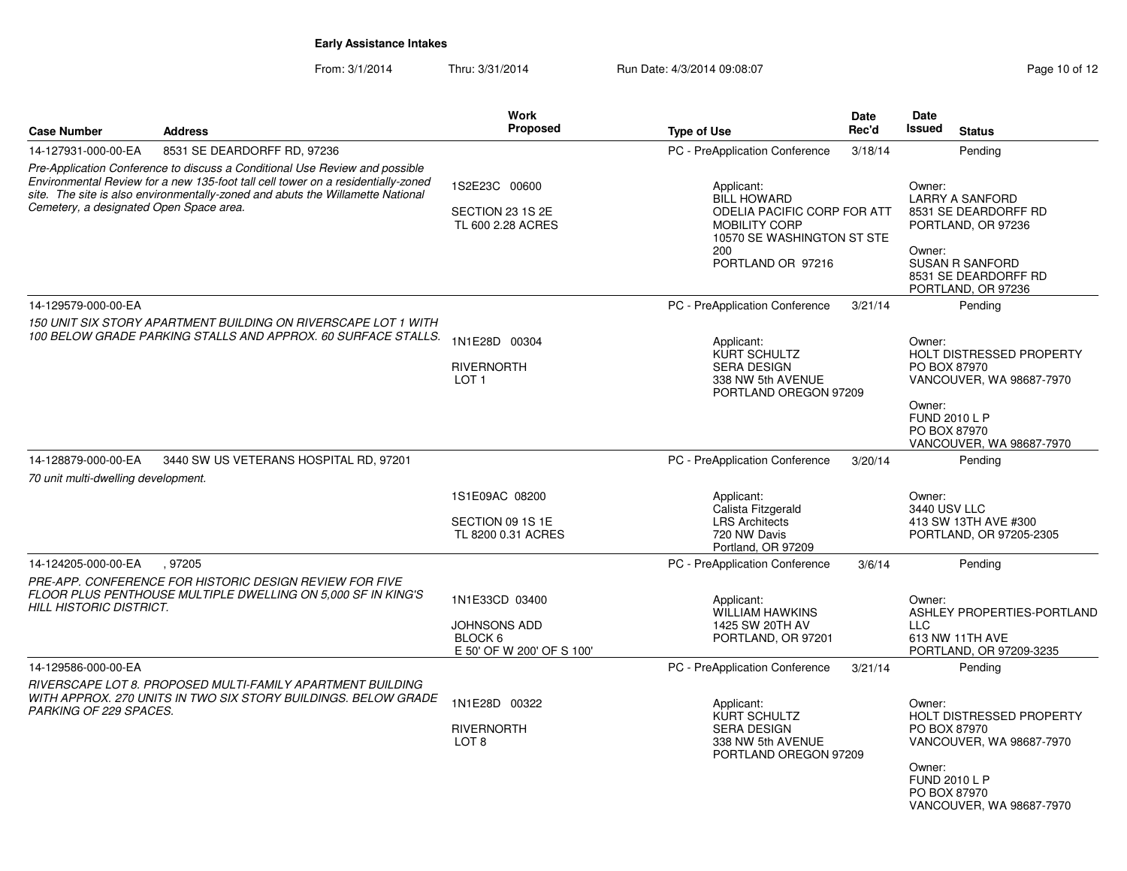From: 3/1/2014Thru: 3/31/2014 Run Date: 4/3/2014 09:08:07 Research 2010 of 12

| <b>Case Number</b>                                         | <b>Address</b>                                                                                                                                                                                                                                    | Work<br>Proposed                                            | <b>Type of Use</b>                                                                                            | Date<br>Rec'd | Date<br>Issued                                 | <b>Status</b>                                                                                                      |
|------------------------------------------------------------|---------------------------------------------------------------------------------------------------------------------------------------------------------------------------------------------------------------------------------------------------|-------------------------------------------------------------|---------------------------------------------------------------------------------------------------------------|---------------|------------------------------------------------|--------------------------------------------------------------------------------------------------------------------|
| 14-127931-000-00-EA                                        | 8531 SE DEARDORFF RD, 97236                                                                                                                                                                                                                       |                                                             | PC - PreApplication Conference                                                                                | 3/18/14       |                                                | Pending                                                                                                            |
|                                                            | Pre-Application Conference to discuss a Conditional Use Review and possible<br>Environmental Review for a new 135-foot tall cell tower on a residentially-zoned<br>site. The site is also environmentally-zoned and abuts the Willamette National | 1S2E23C 00600                                               | Applicant:<br><b>BILL HOWARD</b>                                                                              |               | Owner:                                         | <b>LARRY A SANFORD</b>                                                                                             |
| Cemetery, a designated Open Space area.                    |                                                                                                                                                                                                                                                   | SECTION 23 1S 2E<br>TL 600 2.28 ACRES                       | ODELIA PACIFIC CORP FOR ATT<br><b>MOBILITY CORP</b><br>10570 SE WASHINGTON ST STE<br>200<br>PORTLAND OR 97216 |               | Owner:                                         | 8531 SE DEARDORFF RD<br>PORTLAND, OR 97236<br><b>SUSAN R SANFORD</b><br>8531 SE DEARDORFF RD<br>PORTLAND, OR 97236 |
| 14-129579-000-00-EA                                        |                                                                                                                                                                                                                                                   |                                                             | PC - PreApplication Conference                                                                                | 3/21/14       |                                                | Pending                                                                                                            |
|                                                            | 150 UNIT SIX STORY APARTMENT BUILDING ON RIVERSCAPE LOT 1 WITH<br>100 BELOW GRADE PARKING STALLS AND APPROX. 60 SURFACE STALLS.                                                                                                                   | 1N1E28D 00304                                               | Applicant:<br><b>KURT SCHULTZ</b>                                                                             |               | Owner:                                         | HOLT DISTRESSED PROPERTY                                                                                           |
|                                                            |                                                                                                                                                                                                                                                   | <b>RIVERNORTH</b><br>LOT <sub>1</sub>                       | <b>SERA DESIGN</b><br>338 NW 5th AVENUE<br>PORTLAND OREGON 97209                                              |               | PO BOX 87970                                   | VANCOUVER, WA 98687-7970                                                                                           |
|                                                            |                                                                                                                                                                                                                                                   |                                                             |                                                                                                               |               | Owner:<br><b>FUND 2010 L P</b><br>PO BOX 87970 | VANCOUVER, WA 98687-7970                                                                                           |
| 14-128879-000-00-EA<br>70 unit multi-dwelling development. | 3440 SW US VETERANS HOSPITAL RD, 97201                                                                                                                                                                                                            |                                                             | PC - PreApplication Conference                                                                                | 3/20/14       |                                                | Pending                                                                                                            |
|                                                            |                                                                                                                                                                                                                                                   | 1S1E09AC 08200                                              | Applicant:<br>Calista Fitzgerald                                                                              |               | Owner:<br>3440 USV LLC                         |                                                                                                                    |
|                                                            |                                                                                                                                                                                                                                                   | SECTION 09 1S 1E<br>TL 8200 0.31 ACRES                      | <b>LRS Architects</b><br>720 NW Davis<br>Portland, OR 97209                                                   |               |                                                | 413 SW 13TH AVE #300<br>PORTLAND, OR 97205-2305                                                                    |
| 14-124205-000-00-EA                                        | .97205                                                                                                                                                                                                                                            |                                                             | PC - PreApplication Conference                                                                                | 3/6/14        |                                                | Pending                                                                                                            |
|                                                            | PRE-APP. CONFERENCE FOR HISTORIC DESIGN REVIEW FOR FIVE                                                                                                                                                                                           |                                                             |                                                                                                               |               |                                                |                                                                                                                    |
| <b>HILL HISTORIC DISTRICT.</b>                             | FLOOR PLUS PENTHOUSE MULTIPLE DWELLING ON 5,000 SF IN KING'S                                                                                                                                                                                      | 1N1E33CD 03400                                              | Applicant:<br><b>WILLIAM HAWKINS</b>                                                                          |               | Owner:                                         | ASHLEY PROPERTIES-PORTLAND                                                                                         |
|                                                            |                                                                                                                                                                                                                                                   | <b>JOHNSONS ADD</b><br>BLOCK 6<br>E 50' OF W 200' OF S 100' | 1425 SW 20TH AV<br>PORTLAND, OR 97201                                                                         |               | <b>LLC</b>                                     | 613 NW 11TH AVE<br>PORTLAND, OR 97209-3235                                                                         |
| 14-129586-000-00-EA                                        |                                                                                                                                                                                                                                                   |                                                             | PC - PreApplication Conference                                                                                | 3/21/14       |                                                | Pending                                                                                                            |
|                                                            | RIVERSCAPE LOT 8. PROPOSED MULTI-FAMILY APARTMENT BUILDING                                                                                                                                                                                        |                                                             |                                                                                                               |               |                                                |                                                                                                                    |
| PARKING OF 229 SPACES.                                     | WITH APPROX. 270 UNITS IN TWO SIX STORY BUILDINGS. BELOW GRADE                                                                                                                                                                                    | 1N1E28D 00322                                               | Applicant:<br><b>KURT SCHULTZ</b>                                                                             |               | Owner:                                         | HOLT DISTRESSED PROPERTY                                                                                           |
|                                                            |                                                                                                                                                                                                                                                   | <b>RIVERNORTH</b><br>LOT <sub>8</sub>                       | <b>SERA DESIGN</b><br>338 NW 5th AVENUE<br>PORTLAND OREGON 97209                                              |               | PO BOX 87970                                   | VANCOUVER, WA 98687-7970                                                                                           |
|                                                            |                                                                                                                                                                                                                                                   |                                                             |                                                                                                               |               | Owner:<br><b>FUND 2010 L P</b><br>PO BOX 87970 | VANCOUVER, WA 98687-7970                                                                                           |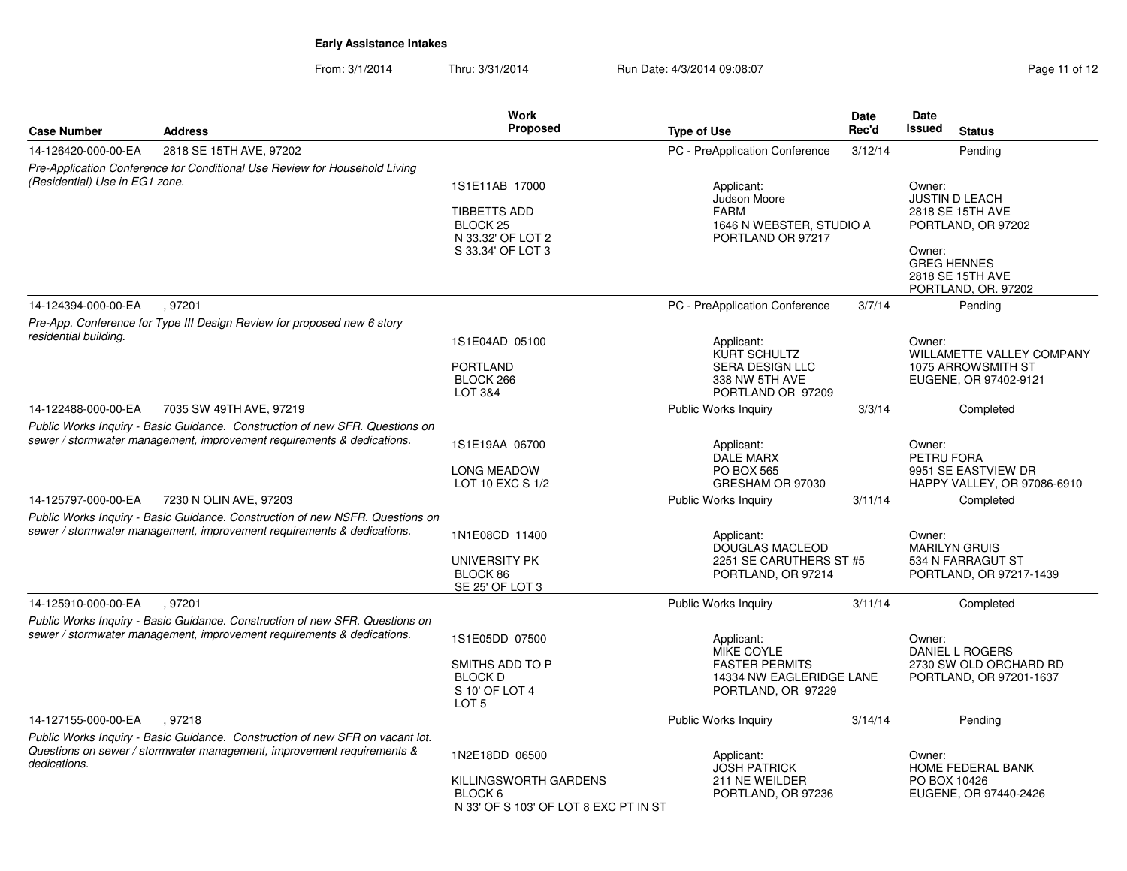From: 3/1/2014Thru: 3/31/2014 Run Date: 4/3/2014 09:08:07 Research 2010 12

| <b>Case Number</b>             | <b>Address</b>                                                                                                                                          | <b>Work</b><br><b>Proposed</b>                                                                         | <b>Type of Use</b>                                                                         | <b>Date</b><br>Rec'd     | Date<br><b>Issued</b>                  | <b>Status</b>                                                                                              |  |  |
|--------------------------------|---------------------------------------------------------------------------------------------------------------------------------------------------------|--------------------------------------------------------------------------------------------------------|--------------------------------------------------------------------------------------------|--------------------------|----------------------------------------|------------------------------------------------------------------------------------------------------------|--|--|
| 14-126420-000-00-EA            | 2818 SE 15TH AVE, 97202                                                                                                                                 |                                                                                                        | PC - PreApplication Conference                                                             | 3/12/14                  |                                        | Pending                                                                                                    |  |  |
|                                | Pre-Application Conference for Conditional Use Review for Household Living                                                                              |                                                                                                        |                                                                                            |                          |                                        |                                                                                                            |  |  |
| (Residential) Use in EG1 zone. |                                                                                                                                                         | 1S1E11AB 17000<br><b>TIBBETTS ADD</b><br>BLOCK <sub>25</sub><br>N 33.32' OF LOT 2<br>S 33.34' OF LOT 3 | Applicant:<br>Judson Moore<br><b>FARM</b><br>1646 N WEBSTER, STUDIO A<br>PORTLAND OR 97217 |                          | Owner:<br>Owner:<br><b>GREG HENNES</b> | <b>JUSTIN D LEACH</b><br>2818 SE 15TH AVE<br>PORTLAND, OR 97202<br>2818 SE 15TH AVE<br>PORTLAND, OR. 97202 |  |  |
| 14-124394-000-00-EA            | .97201                                                                                                                                                  |                                                                                                        | PC - PreApplication Conference                                                             | 3/7/14                   |                                        | Pending                                                                                                    |  |  |
| residential building.          | Pre-App. Conference for Type III Design Review for proposed new 6 story                                                                                 | 1S1E04AD 05100<br><b>PORTLAND</b><br>BLOCK 266<br>LOT 3&4                                              | Applicant:<br>KURT SCHULTZ<br>SERA DESIGN LLC<br>338 NW 5TH AVE<br>PORTLAND OR 97209       |                          | Owner:                                 | WILLAMETTE VALLEY COMPANY<br>1075 ARROWSMITH ST<br>EUGENE, OR 97402-9121                                   |  |  |
| 14-122488-000-00-EA            | 7035 SW 49TH AVE, 97219                                                                                                                                 |                                                                                                        | Public Works Inquiry                                                                       | 3/3/14                   |                                        | Completed                                                                                                  |  |  |
|                                | Public Works Inquiry - Basic Guidance. Construction of new SFR. Questions on<br>sewer / stormwater management, improvement requirements & dedications.  | 1S1E19AA 06700<br><b>LONG MEADOW</b><br>LOT 10 EXC S 1/2                                               | Applicant:<br><b>DALE MARX</b><br><b>PO BOX 565</b><br>GRESHAM OR 97030                    |                          | Owner:<br>PETRU FORA                   | 9951 SE EASTVIEW DR<br>HAPPY VALLEY, OR 97086-6910                                                         |  |  |
| 14-125797-000-00-EA            | 7230 N OLIN AVE, 97203                                                                                                                                  |                                                                                                        | Public Works Inquiry                                                                       | 3/11/14                  |                                        | Completed                                                                                                  |  |  |
|                                | Public Works Inquiry - Basic Guidance. Construction of new NSFR. Questions on<br>sewer / stormwater management, improvement requirements & dedications. | 1N1E08CD 11400<br>UNIVERSITY PK<br>BLOCK 86<br>SE 25' OF LOT 3                                         | Applicant:<br><b>DOUGLAS MACLEOD</b><br>2251 SE CARUTHERS ST #5<br>PORTLAND, OR 97214      |                          | Owner:                                 | <b>MARILYN GRUIS</b><br>534 N FARRAGUT ST<br>PORTLAND, OR 97217-1439                                       |  |  |
| 14-125910-000-00-EA            | .97201                                                                                                                                                  |                                                                                                        | Public Works Inquiry                                                                       | 3/11/14                  |                                        | Completed                                                                                                  |  |  |
|                                | Public Works Inquiry - Basic Guidance. Construction of new SFR. Questions on<br>sewer / stormwater management, improvement requirements & dedications.  | 1S1E05DD 07500<br>SMITHS ADD TO P<br><b>BLOCK D</b><br>S 10' OF LOT 4<br>LOT <sub>5</sub>              | Applicant:<br>MIKE COYLE<br><b>FASTER PERMITS</b><br>PORTLAND, OR 97229                    | 14334 NW EAGLERIDGE LANE |                                        | Owner:<br>DANIEL L ROGERS<br>2730 SW OLD ORCHARD RD<br>PORTLAND, OR 97201-1637                             |  |  |
| 14-127155-000-00-EA            | .97218                                                                                                                                                  |                                                                                                        | Public Works Inquiry                                                                       | 3/14/14                  |                                        | Pending                                                                                                    |  |  |
| dedications.                   | Public Works Inquiry - Basic Guidance. Construction of new SFR on vacant lot.<br>Questions on sewer / stormwater management, improvement requirements & | 1N2E18DD 06500<br>KILLINGSWORTH GARDENS<br>BLOCK 6<br>N 33' OF S 103' OF LOT 8 EXC PT IN ST            | Applicant:<br><b>JOSH PATRICK</b><br>211 NE WEILDER<br>PORTLAND, OR 97236                  |                          | Owner:<br>PO BOX 10426                 | <b>HOME FEDERAL BANK</b><br>EUGENE, OR 97440-2426                                                          |  |  |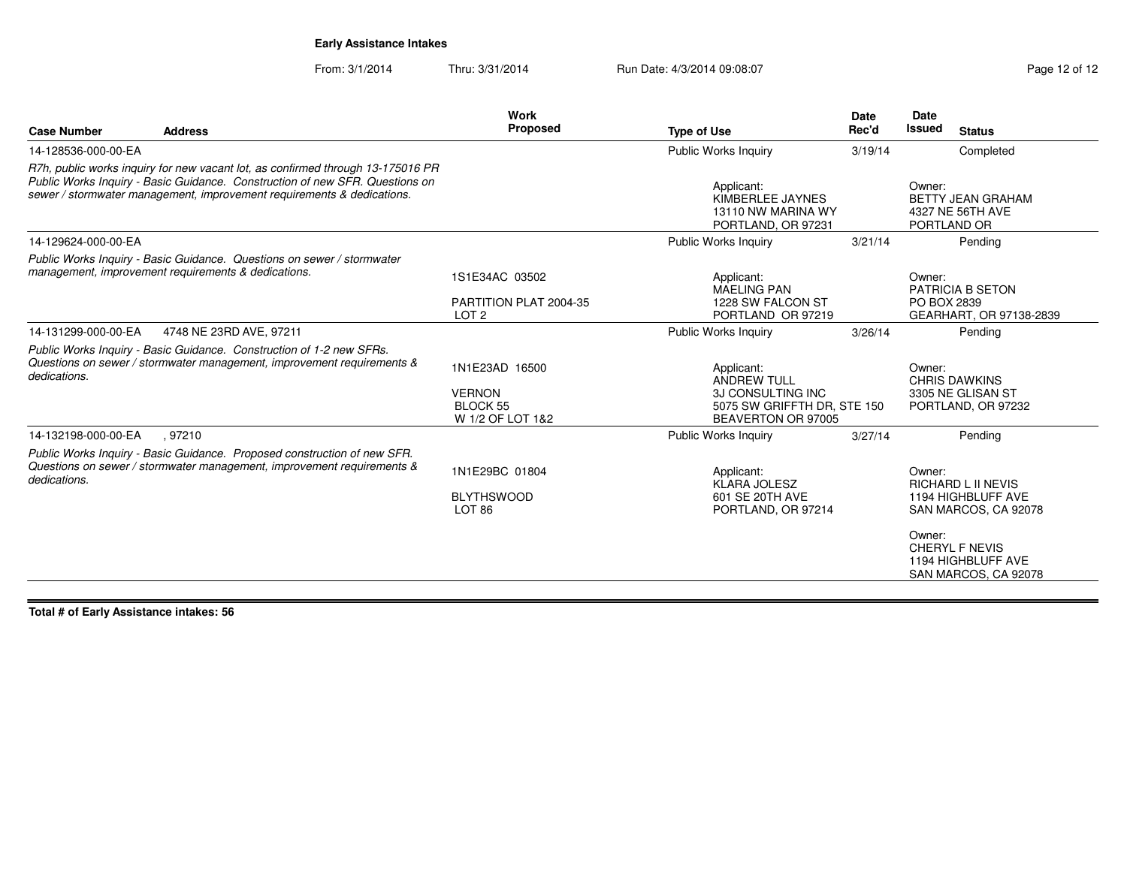From: 3/1/2014Thru: 3/31/2014 Run Date: 4/3/2014 09:08:07 Rege 12 of 12

| <b>Case Number</b>  | <b>Address</b>                                                                                                                                                                                                                            | Work<br>Proposed                                                       | <b>Type of Use</b>                                                                                         | <b>Date</b><br>Rec'd | Date<br><b>Issued</b><br><b>Status</b>                                                                                                                      |  |  |
|---------------------|-------------------------------------------------------------------------------------------------------------------------------------------------------------------------------------------------------------------------------------------|------------------------------------------------------------------------|------------------------------------------------------------------------------------------------------------|----------------------|-------------------------------------------------------------------------------------------------------------------------------------------------------------|--|--|
| 14-128536-000-00-EA |                                                                                                                                                                                                                                           |                                                                        | Public Works Inquiry                                                                                       | 3/19/14              | Completed                                                                                                                                                   |  |  |
|                     | R7h, public works inquiry for new vacant lot, as confirmed through 13-175016 PR<br>Public Works Inquiry - Basic Guidance. Construction of new SFR. Questions on<br>sewer / stormwater management, improvement requirements & dedications. |                                                                        | Applicant:<br>KIMBERLEE JAYNES<br>13110 NW MARINA WY<br>PORTLAND, OR 97231                                 |                      | Owner:<br><b>BETTY JEAN GRAHAM</b><br>4327 NE 56TH AVE<br>PORTLAND OR                                                                                       |  |  |
| 14-129624-000-00-EA |                                                                                                                                                                                                                                           |                                                                        | <b>Public Works Inquiry</b>                                                                                | 3/21/14              | Pending                                                                                                                                                     |  |  |
|                     | Public Works Inquiry - Basic Guidance. Questions on sewer / stormwater<br>management, improvement requirements & dedications.                                                                                                             | 1S1E34AC 03502                                                         | Applicant:<br><b>MAELING PAN</b>                                                                           |                      | Owner:<br>PATRICIA B SETON                                                                                                                                  |  |  |
|                     |                                                                                                                                                                                                                                           | PARTITION PLAT 2004-35<br>LOT <sub>2</sub>                             | 1228 SW FALCON ST<br>PORTLAND OR 97219                                                                     |                      | PO BOX 2839<br>GEARHART, OR 97138-2839                                                                                                                      |  |  |
| 14-131299-000-00-EA | 4748 NE 23RD AVE, 97211                                                                                                                                                                                                                   |                                                                        | <b>Public Works Inquiry</b>                                                                                | 3/26/14              | Pending                                                                                                                                                     |  |  |
| dedications.        | Public Works Inquiry - Basic Guidance. Construction of 1-2 new SFRs.<br>Questions on sewer / stormwater management, improvement requirements &                                                                                            | 1N1E23AD 16500<br><b>VERNON</b><br><b>BLOCK 55</b><br>W 1/2 OF LOT 1&2 | Applicant:<br><b>ANDREW TULL</b><br>3J CONSULTING INC<br>5075 SW GRIFFTH DR, STE 150<br>BEAVERTON OR 97005 |                      | Owner:<br><b>CHRIS DAWKINS</b><br>3305 NE GLISAN ST<br>PORTLAND, OR 97232                                                                                   |  |  |
| 14-132198-000-00-EA | .97210                                                                                                                                                                                                                                    |                                                                        | Public Works Inquiry                                                                                       | 3/27/14              | Pending                                                                                                                                                     |  |  |
| dedications.        | Public Works Inquiry - Basic Guidance. Proposed construction of new SFR.<br>Questions on sewer / stormwater management, improvement requirements &                                                                                        | 1N1E29BC 01804<br><b>BLYTHSWOOD</b><br>LOT <sub>86</sub>               | Applicant:<br><b>KLARA JOLESZ</b><br>601 SE 20TH AVE<br>PORTLAND, OR 97214                                 |                      | Owner:<br><b>RICHARD L II NEVIS</b><br>1194 HIGHBLUFF AVE<br>SAN MARCOS, CA 92078<br>Owner:<br>CHERYL F NEVIS<br>1194 HIGHBLUFF AVE<br>SAN MARCOS, CA 92078 |  |  |

**Total # of Early Assistance intakes: 56**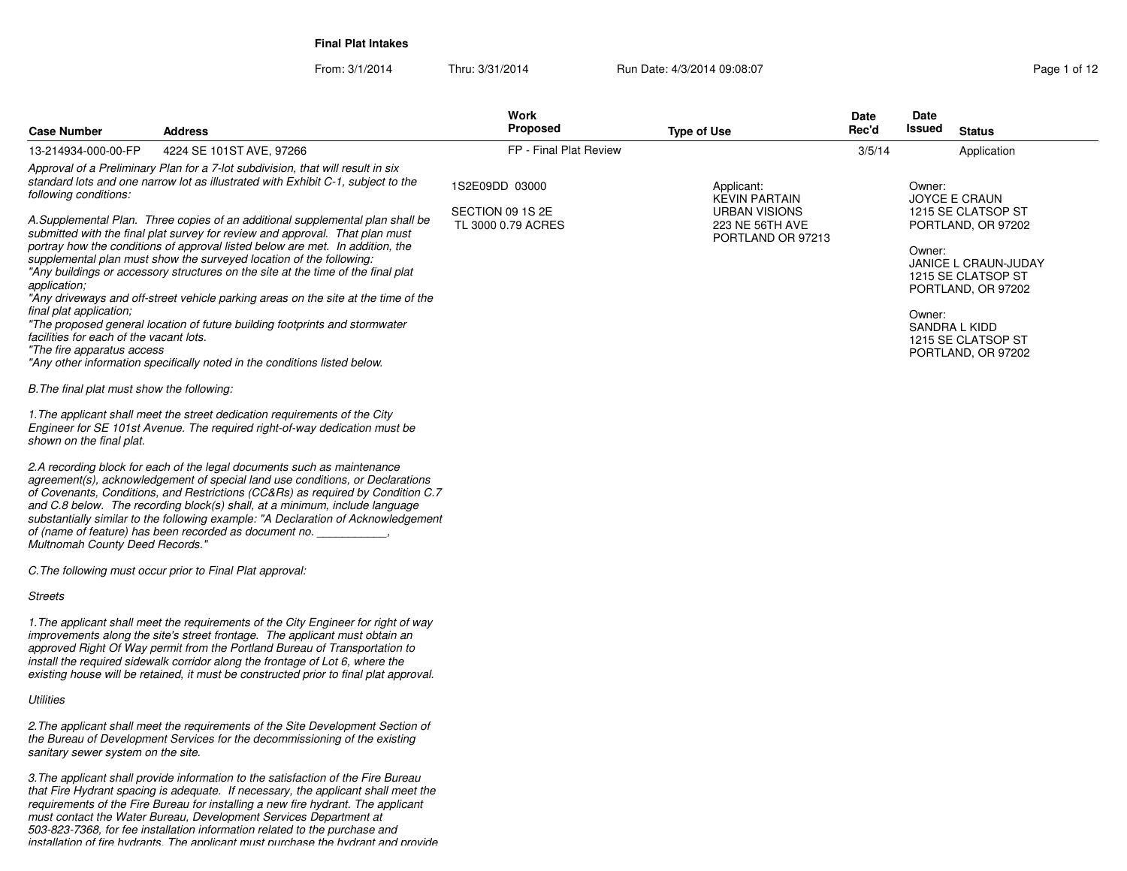**Final Plat Intakes**

From: 3/1/2014Thru: 3/31/2014 Run Date: 4/3/2014 09:08:07 Page 1 of 12

| <b>Case Number</b>                                                                                               | <b>Address</b>                                                                                                                                                                                                                                                                                                                                                                                                                                                                                                                                                                                                                                              | <b>Work</b><br>Proposed                | <b>Type of Use</b>                                    | Date<br>Rec'd | Date<br>Issued   | <b>Status</b>                                                                                                                                                                    |
|------------------------------------------------------------------------------------------------------------------|-------------------------------------------------------------------------------------------------------------------------------------------------------------------------------------------------------------------------------------------------------------------------------------------------------------------------------------------------------------------------------------------------------------------------------------------------------------------------------------------------------------------------------------------------------------------------------------------------------------------------------------------------------------|----------------------------------------|-------------------------------------------------------|---------------|------------------|----------------------------------------------------------------------------------------------------------------------------------------------------------------------------------|
| 13-214934-000-00-FP                                                                                              | 4224 SE 101ST AVE, 97266                                                                                                                                                                                                                                                                                                                                                                                                                                                                                                                                                                                                                                    | FP - Final Plat Review                 |                                                       | 3/5/14        |                  | Application                                                                                                                                                                      |
| following conditions:                                                                                            | Approval of a Preliminary Plan for a 7-lot subdivision, that will result in six<br>standard lots and one narrow lot as illustrated with Exhibit C-1, subject to the                                                                                                                                                                                                                                                                                                                                                                                                                                                                                         | 1S2E09DD 03000                         | Applicant:<br><b>KEVIN PARTAIN</b>                    |               | Owner:           | <b>JOYCE E CRAUN</b>                                                                                                                                                             |
| application;<br>final plat application;<br>facilities for each of the vacant lots.<br>"The fire apparatus access | A.Supplemental Plan. Three copies of an additional supplemental plan shall be<br>submitted with the final plat survey for review and approval. That plan must<br>portray how the conditions of approval listed below are met. In addition, the<br>supplemental plan must show the surveyed location of the following:<br>"Any buildings or accessory structures on the site at the time of the final plat<br>"Any driveways and off-street vehicle parking areas on the site at the time of the<br>"The proposed general location of future building footprints and stormwater<br>"Any other information specifically noted in the conditions listed below. | SECTION 09 1S 2E<br>TL 3000 0.79 ACRES | URBAN VISIONS<br>223 NE 56TH AVE<br>PORTLAND OR 97213 |               | Owner:<br>Owner: | 1215 SE CLATSOP ST<br>PORTLAND, OR 97202<br><b>JANICE L CRAUN-JUDAY</b><br>1215 SE CLATSOP ST<br>PORTLAND, OR 97202<br>SANDRA L KIDD<br>1215 SE CLATSOP ST<br>PORTLAND, OR 97202 |
| B. The final plat must show the following:                                                                       |                                                                                                                                                                                                                                                                                                                                                                                                                                                                                                                                                                                                                                                             |                                        |                                                       |               |                  |                                                                                                                                                                                  |
| shown on the final plat.<br>Multnomah County Deed Records."                                                      | 1. The applicant shall meet the street dedication requirements of the City<br>Engineer for SE 101st Avenue. The required right-of-way dedication must be<br>2.A recording block for each of the legal documents such as maintenance<br>agreement(s), acknowledgement of special land use conditions, or Declarations<br>of Covenants, Conditions, and Restrictions (CC&Rs) as required by Condition C.7<br>and C.8 below. The recording block(s) shall, at a minimum, include language<br>substantially similar to the following example: "A Declaration of Acknowledgement<br>of (name of feature) has been recorded as document no. _                     |                                        |                                                       |               |                  |                                                                                                                                                                                  |
|                                                                                                                  | C. The following must occur prior to Final Plat approval:                                                                                                                                                                                                                                                                                                                                                                                                                                                                                                                                                                                                   |                                        |                                                       |               |                  |                                                                                                                                                                                  |
| Streets                                                                                                          |                                                                                                                                                                                                                                                                                                                                                                                                                                                                                                                                                                                                                                                             |                                        |                                                       |               |                  |                                                                                                                                                                                  |
|                                                                                                                  | 1. The applicant shall meet the requirements of the City Engineer for right of way<br>improvements along the site's street frontage. The applicant must obtain an<br>approved Right Of Way permit from the Portland Bureau of Transportation to<br>install the required sidewalk corridor along the frontage of Lot 6, where the<br>existing house will be retained, it must be constructed prior to final plat approval.                                                                                                                                                                                                                                   |                                        |                                                       |               |                  |                                                                                                                                                                                  |
| Utilities                                                                                                        |                                                                                                                                                                                                                                                                                                                                                                                                                                                                                                                                                                                                                                                             |                                        |                                                       |               |                  |                                                                                                                                                                                  |
| sanitary sewer system on the site.                                                                               | 2. The applicant shall meet the requirements of the Site Development Section of<br>the Bureau of Development Services for the decommissioning of the existing                                                                                                                                                                                                                                                                                                                                                                                                                                                                                               |                                        |                                                       |               |                  |                                                                                                                                                                                  |
|                                                                                                                  | 3.The applicant shall provide information to the satisfaction of the Fire Bureau                                                                                                                                                                                                                                                                                                                                                                                                                                                                                                                                                                            |                                        |                                                       |               |                  |                                                                                                                                                                                  |

3.The applicant shall provide information to the satisfaction of the Fire Bureau<br>that Fire Hydrant spacing is adequate. If necessary, the applicant shall meet the<br>requirements of the Fire Bureau for installing a new fire h *installation of fire hydrants. The applicant must purchase the hydrant and provide*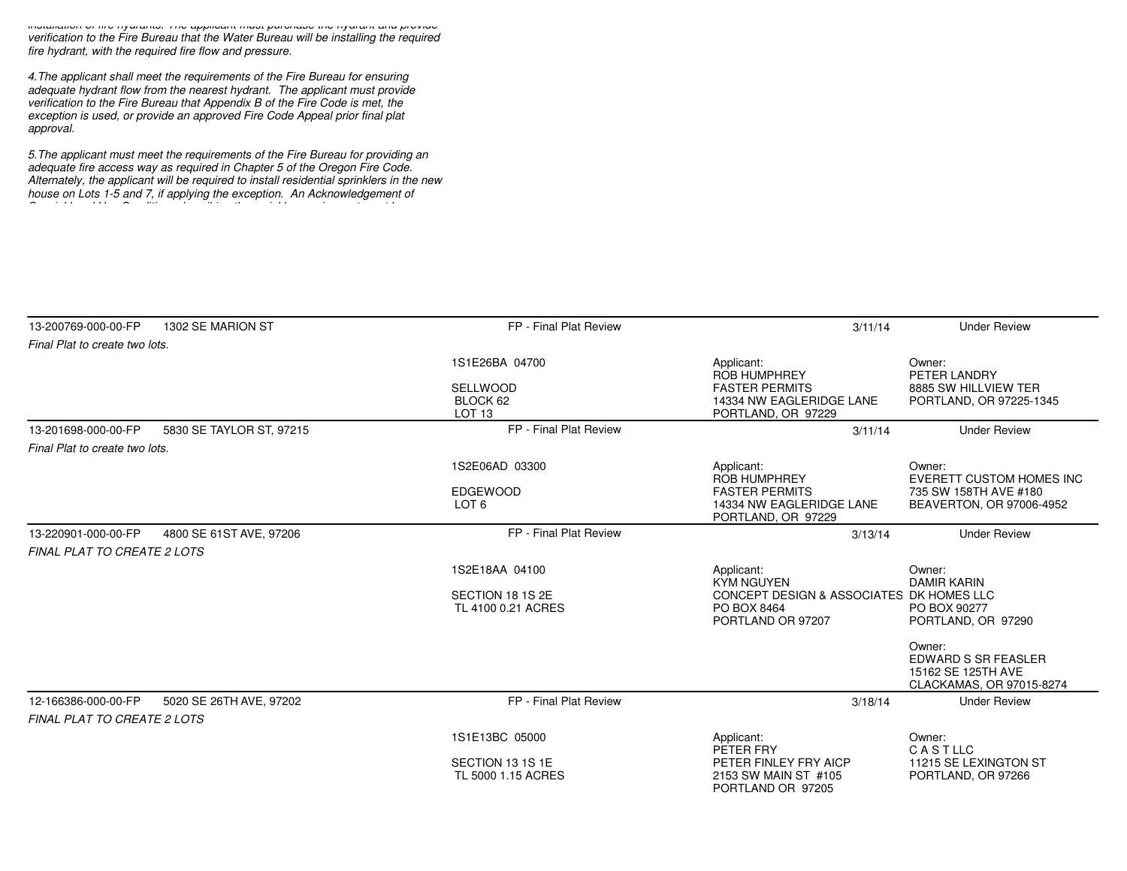*installation of fire hydrants. The applicant must purchase the hydrant and provide verification to the Fire Bureau that the Water Bureau will be installing the requiredfire hydrant, with the required fire flow and pressure.*

*4.The applicant shall meet the requirements of the Fire Bureau for ensuring adequate hydrant flow from the nearest hydrant. The applicant must provideverification to the Fire Bureau that Appendix B of the Fire Code is met, the exception is used, or provide an approved Fire Code Appeal prior final platapproval.*

*5.The applicant must meet the requirements of the Fire Bureau for providing anadequate fire access way as required in Chapter 5 of the Oregon Fire Code. Alternately, the applicant will be required to install residential sprinklers in the newhouse on Lots 1-5 and 7, if applying the exception. An Acknowledgement of Special Land Use Conditions describing the sprinkler requirement must be*

| 13-200769-000-00-FP                | 1302 SE MARION ST        | FP - Final Plat Review                                             | 3/11/14                                                                                                         | <b>Under Review</b>                                                                            |
|------------------------------------|--------------------------|--------------------------------------------------------------------|-----------------------------------------------------------------------------------------------------------------|------------------------------------------------------------------------------------------------|
| Final Plat to create two lots.     |                          |                                                                    |                                                                                                                 |                                                                                                |
|                                    |                          | 1S1E26BA 04700<br><b>SELLWOOD</b><br>BLOCK 62<br>LOT <sub>13</sub> | Applicant:<br><b>ROB HUMPHREY</b><br><b>FASTER PERMITS</b><br>14334 NW EAGLERIDGE LANE<br>PORTLAND, OR 97229    | Owner:<br>PETER LANDRY<br>8885 SW HILLVIEW TER<br>PORTLAND, OR 97225-1345                      |
| 13-201698-000-00-FP                | 5830 SE TAYLOR ST, 97215 | FP - Final Plat Review                                             | 3/11/14                                                                                                         | <b>Under Review</b>                                                                            |
| Final Plat to create two lots.     |                          |                                                                    |                                                                                                                 |                                                                                                |
|                                    |                          | 1S2E06AD 03300<br><b>EDGEWOOD</b><br>LOT <sub>6</sub>              | Applicant:<br><b>ROB HUMPHREY</b><br><b>FASTER PERMITS</b><br>14334 NW EAGLERIDGE LANE<br>PORTLAND, OR 97229    | Owner:<br><b>EVERETT CUSTOM HOMES INC</b><br>735 SW 158TH AVE #180<br>BEAVERTON, OR 97006-4952 |
| 13-220901-000-00-FP                | 4800 SE 61ST AVE, 97206  | FP - Final Plat Review                                             | 3/13/14                                                                                                         | <b>Under Review</b>                                                                            |
| <b>FINAL PLAT TO CREATE 2 LOTS</b> |                          |                                                                    |                                                                                                                 |                                                                                                |
|                                    |                          | 1S2E18AA 04100<br>SECTION 18 1S 2E<br>TL 4100 0.21 ACRES           | Applicant:<br><b>KYM NGUYEN</b><br>CONCEPT DESIGN & ASSOCIATES DK HOMES LLC<br>PO BOX 8464<br>PORTLAND OR 97207 | Owner:<br><b>DAMIR KARIN</b><br>PO BOX 90277<br>PORTLAND, OR 97290                             |
|                                    |                          |                                                                    |                                                                                                                 | Owner:<br><b>EDWARD S SR FEASLER</b><br>15162 SE 125TH AVE<br>CLACKAMAS, OR 97015-8274         |
| 12-166386-000-00-FP                | 5020 SE 26TH AVE, 97202  | FP - Final Plat Review                                             | 3/18/14                                                                                                         | <b>Under Review</b>                                                                            |
| <b>FINAL PLAT TO CREATE 2 LOTS</b> |                          |                                                                    |                                                                                                                 |                                                                                                |
|                                    |                          | 1S1E13BC 05000                                                     | Applicant:<br>PETER FRY                                                                                         | Owner:<br>CASTLLC                                                                              |
|                                    |                          | SECTION 13 1S 1E<br>TL 5000 1.15 ACRES                             | PETER FINLEY FRY AICP<br>2153 SW MAIN ST #105<br>PORTLAND OR 97205                                              | 11215 SE LEXINGTON ST<br>PORTLAND, OR 97266                                                    |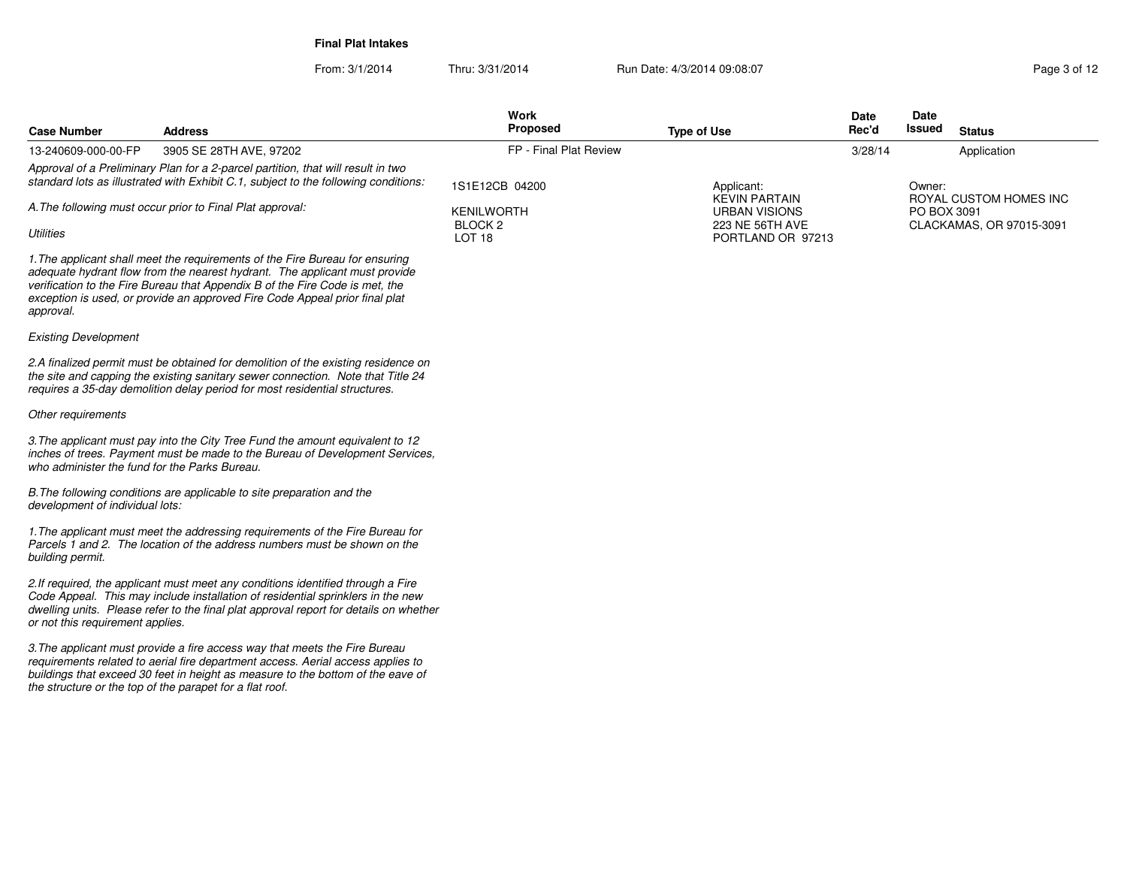From: 3/1/2014**Final Plat Intakes**

Thru: 3/31/2014 Run Date: 4/3/2014 09:08:07 Rege 3 of 12

| 3905 SE 28TH AVE, 97202<br>Approval of a Preliminary Plan for a 2-parcel partition, that will result in two<br>standard lots as illustrated with Exhibit C.1, subject to the following conditions:<br>A. The following must occur prior to Final Plat approval:                                                           | FP - Final Plat Review<br>1S1E12CB 04200<br><b>KENILWORTH</b><br>BLOCK <sub>2</sub><br>LOT <sub>18</sub> | Applicant:<br><b>KEVIN PARTAIN</b><br><b>URBAN VISIONS</b> | 3/28/14 | Owner:      | Application                                        |
|---------------------------------------------------------------------------------------------------------------------------------------------------------------------------------------------------------------------------------------------------------------------------------------------------------------------------|----------------------------------------------------------------------------------------------------------|------------------------------------------------------------|---------|-------------|----------------------------------------------------|
|                                                                                                                                                                                                                                                                                                                           |                                                                                                          |                                                            |         |             |                                                    |
|                                                                                                                                                                                                                                                                                                                           |                                                                                                          |                                                            |         |             |                                                    |
|                                                                                                                                                                                                                                                                                                                           |                                                                                                          | 223 NE 56TH AVE<br>PORTLAND OR 97213                       |         | PO BOX 3091 | ROYAL CUSTOM HOMES INC<br>CLACKAMAS, OR 97015-3091 |
| 1. The applicant shall meet the requirements of the Fire Bureau for ensuring<br>adequate hydrant flow from the nearest hydrant. The applicant must provide<br>verification to the Fire Bureau that Appendix B of the Fire Code is met, the<br>exception is used, or provide an approved Fire Code Appeal prior final plat |                                                                                                          |                                                            |         |             |                                                    |
|                                                                                                                                                                                                                                                                                                                           |                                                                                                          |                                                            |         |             |                                                    |
| 2.A finalized permit must be obtained for demolition of the existing residence on<br>the site and capping the existing sanitary sewer connection. Note that Title 24<br>requires a 35-day demolition delay period for most residential structures.                                                                        |                                                                                                          |                                                            |         |             |                                                    |
|                                                                                                                                                                                                                                                                                                                           |                                                                                                          |                                                            |         |             |                                                    |
| 3. The applicant must pay into the City Tree Fund the amount equivalent to 12<br>inches of trees. Payment must be made to the Bureau of Development Services,<br>who administer the fund for the Parks Bureau.                                                                                                            |                                                                                                          |                                                            |         |             |                                                    |
| B. The following conditions are applicable to site preparation and the<br>development of individual lots:                                                                                                                                                                                                                 |                                                                                                          |                                                            |         |             |                                                    |
| 1. The applicant must meet the addressing requirements of the Fire Bureau for<br>Parcels 1 and 2. The location of the address numbers must be shown on the                                                                                                                                                                |                                                                                                          |                                                            |         |             |                                                    |
| 2.If required, the applicant must meet any conditions identified through a Fire<br>Code Appeal. This may include installation of residential sprinklers in the new<br>dwelling units. Please refer to the final plat approval report for details on whether<br>or not this requirement applies.                           |                                                                                                          |                                                            |         |             |                                                    |
| 3. The applicant must provide a fire access way that meets the Fire Bureau<br>requirements related to aerial fire department access. Aerial access applies to<br>buildings that exceed 30 feet in height as measure to the bottom of the eave of<br>the structure or the top of the parapet for a flat roof.              |                                                                                                          |                                                            |         |             |                                                    |
|                                                                                                                                                                                                                                                                                                                           |                                                                                                          |                                                            |         |             |                                                    |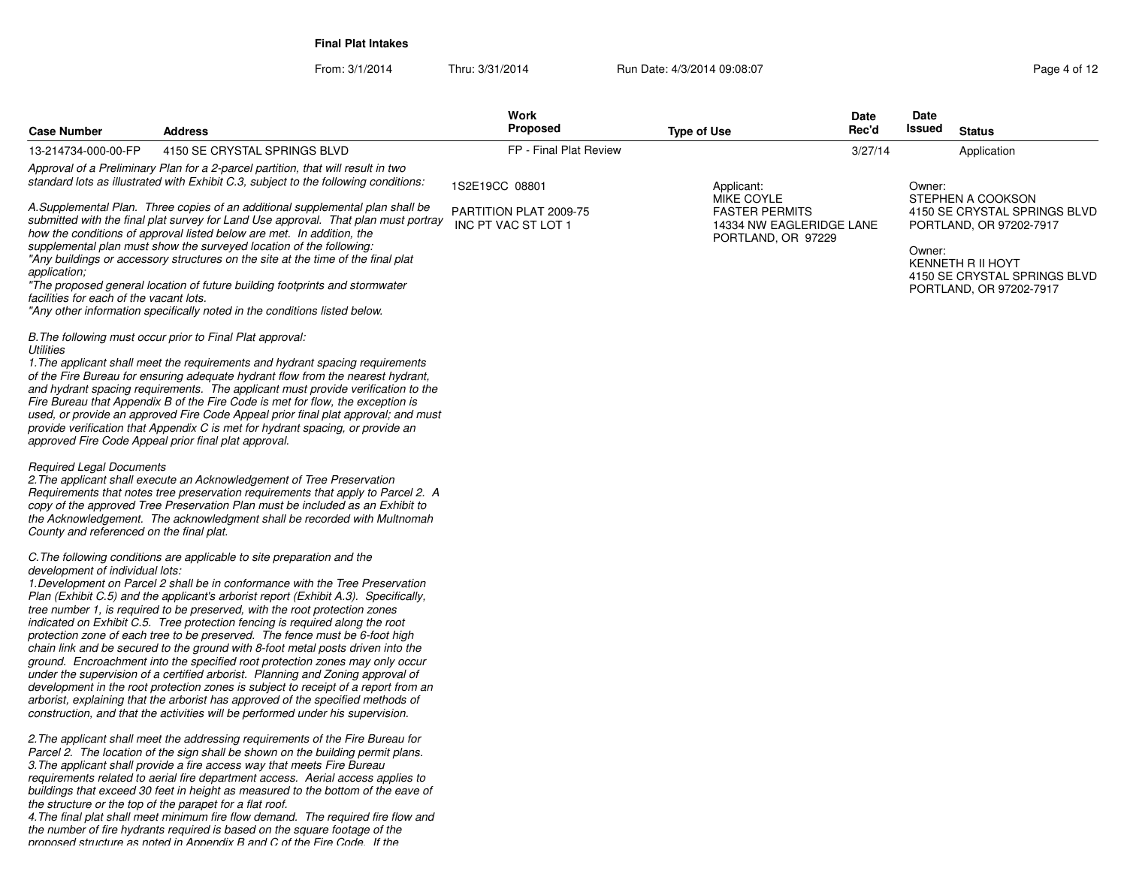**Final Plat Intakes**

From: 3/1/2014Thru: 3/31/2014 Run Date: 4/3/2014 09:08:07 Research 2010 12

| <b>Case Number</b>                                                          | <b>Address</b>                                                                                                                                                                                                                                                                                                                                                                                                                                                                                                                                                                                                                                                                                                                                                                                                                                                                                                                                                                                              | Work<br><b>Proposed</b>                       | <b>Type of Use</b>                                                                    | Date<br>Rec'd | Date<br>Issued<br><b>Status</b>                                                                                                                                        |
|-----------------------------------------------------------------------------|-------------------------------------------------------------------------------------------------------------------------------------------------------------------------------------------------------------------------------------------------------------------------------------------------------------------------------------------------------------------------------------------------------------------------------------------------------------------------------------------------------------------------------------------------------------------------------------------------------------------------------------------------------------------------------------------------------------------------------------------------------------------------------------------------------------------------------------------------------------------------------------------------------------------------------------------------------------------------------------------------------------|-----------------------------------------------|---------------------------------------------------------------------------------------|---------------|------------------------------------------------------------------------------------------------------------------------------------------------------------------------|
| 13-214734-000-00-FP                                                         | 4150 SE CRYSTAL SPRINGS BLVD                                                                                                                                                                                                                                                                                                                                                                                                                                                                                                                                                                                                                                                                                                                                                                                                                                                                                                                                                                                | FP - Final Plat Review                        |                                                                                       | 3/27/14       | Application                                                                                                                                                            |
|                                                                             | Approval of a Preliminary Plan for a 2-parcel partition, that will result in two<br>standard lots as illustrated with Exhibit C.3, subject to the following conditions:                                                                                                                                                                                                                                                                                                                                                                                                                                                                                                                                                                                                                                                                                                                                                                                                                                     | 1S2E19CC 08801                                | Applicant:                                                                            |               | Owner:                                                                                                                                                                 |
| application;<br>facilities for each of the vacant lots.                     | A.Supplemental Plan. Three copies of an additional supplemental plan shall be<br>submitted with the final plat survey for Land Use approval. That plan must portray<br>how the conditions of approval listed below are met. In addition, the<br>supplemental plan must show the surveyed location of the following:<br>"Any buildings or accessory structures on the site at the time of the final plat<br>"The proposed general location of future building footprints and stormwater<br>"Any other information specifically noted in the conditions listed below.                                                                                                                                                                                                                                                                                                                                                                                                                                         | PARTITION PLAT 2009-75<br>INC PT VAC ST LOT 1 | MIKE COYLE<br><b>FASTER PERMITS</b><br>14334 NW EAGLERIDGE LANE<br>PORTLAND, OR 97229 |               | STEPHEN A COOKSON<br>4150 SE CRYSTAL SPRINGS BLVD<br>PORTLAND, OR 97202-7917<br>Owner:<br>KENNETH R II HOYT<br>4150 SE CRYSTAL SPRINGS BLVD<br>PORTLAND, OR 97202-7917 |
| <b>Utilities</b>                                                            | B. The following must occur prior to Final Plat approval:<br>1. The applicant shall meet the requirements and hydrant spacing requirements<br>of the Fire Bureau for ensuring adequate hydrant flow from the nearest hydrant,<br>and hydrant spacing requirements. The applicant must provide verification to the<br>Fire Bureau that Appendix B of the Fire Code is met for flow, the exception is<br>used, or provide an approved Fire Code Appeal prior final plat approval; and must<br>provide verification that Appendix C is met for hydrant spacing, or provide an<br>approved Fire Code Appeal prior final plat approval.                                                                                                                                                                                                                                                                                                                                                                          |                                               |                                                                                       |               |                                                                                                                                                                        |
| <b>Required Legal Documents</b><br>County and referenced on the final plat. | 2. The applicant shall execute an Acknowledgement of Tree Preservation<br>Requirements that notes tree preservation requirements that apply to Parcel 2. A<br>copy of the approved Tree Preservation Plan must be included as an Exhibit to<br>the Acknowledgement. The acknowledgment shall be recorded with Multnomah                                                                                                                                                                                                                                                                                                                                                                                                                                                                                                                                                                                                                                                                                     |                                               |                                                                                       |               |                                                                                                                                                                        |
| development of individual lots:                                             | C. The following conditions are applicable to site preparation and the<br>1. Development on Parcel 2 shall be in conformance with the Tree Preservation<br>Plan (Exhibit C.5) and the applicant's arborist report (Exhibit A.3). Specifically,<br>tree number 1, is required to be preserved, with the root protection zones<br>indicated on Exhibit C.5. Tree protection fencing is required along the root<br>protection zone of each tree to be preserved. The fence must be 6-foot high<br>chain link and be secured to the ground with 8-foot metal posts driven into the<br>ground. Encroachment into the specified root protection zones may only occur<br>under the supervision of a certified arborist. Planning and Zoning approval of<br>development in the root protection zones is subject to receipt of a report from an<br>arborist, explaining that the arborist has approved of the specified methods of<br>construction, and that the activities will be performed under his supervision. |                                               |                                                                                       |               |                                                                                                                                                                        |
|                                                                             | 2. The applicant shall meet the addressing requirements of the Fire Bureau for<br>Parcel 2. The location of the sign shall be shown on the building permit plans.<br>3. The applicant shall provide a fire access way that meets Fire Bureau<br>requirements related to aerial fire department access. Aerial access applies to<br>buildings that exceed 30 feet in height as measured to the bottom of the eave of<br>the structure or the top of the parapet for a flat roof.<br>$\mathbf{r}$ , $\mathbf{r}$ , $\mathbf{r}$ , $\mathbf{r}$                                                                                                                                                                                                                                                                                                                                                                                                                                                                |                                               |                                                                                       |               |                                                                                                                                                                        |

 *4.The final plat shall meet minimum fire flow demand. The required fire flow andthe number of fire hydrants required is based on the square footage of the proposed structure as noted in Appendix B and C of the Fire Code. If the*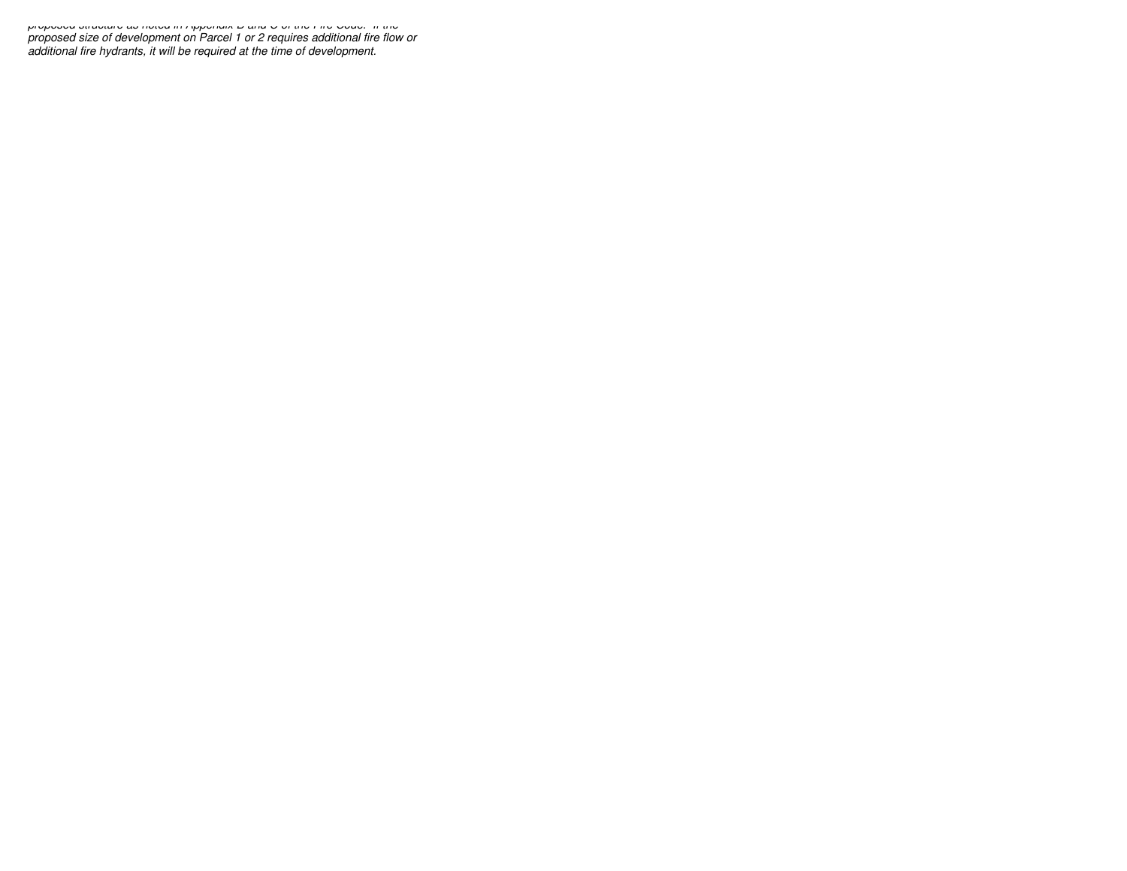*proposed structure as noted in Appendix B and C of the Fire Code. If the proposed size of development on Parcel 1 or 2 requires additional fire flow oradditional fire hydrants, it will be required at the time of development.*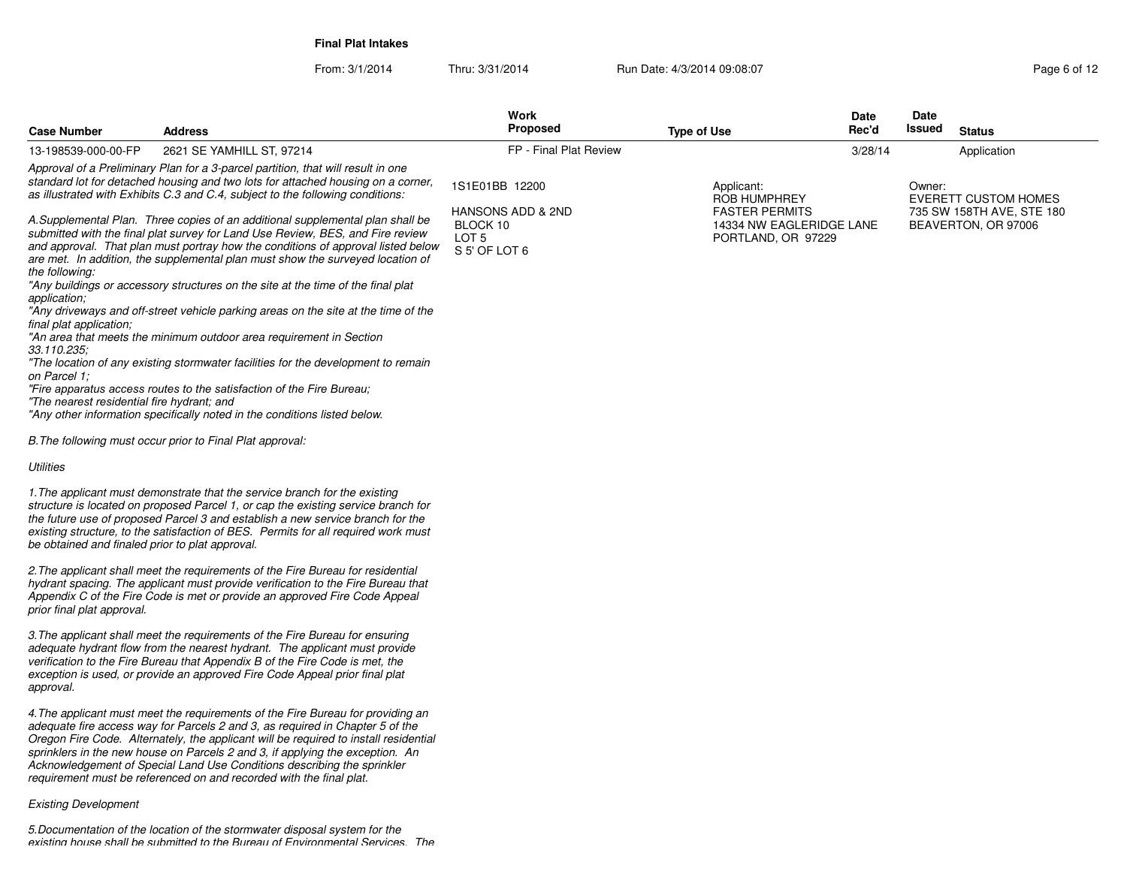**Final Plat Intakes**

From: 3/1/2014Thru: 3/31/2014 Run Date: 4/3/2014 09:08:07 Research 2010 12

| <b>Case Number</b>                                                                       | <b>Address</b>                                                                                                                                                                                                                                                                                                                                                                                                                                                                                                                                                                                                                                                              | Work<br><b>Proposed</b>                                            | <b>Type of Use</b>                                                      | Date<br>Rec'd | Date<br>Issued | <b>Status</b>                                    |
|------------------------------------------------------------------------------------------|-----------------------------------------------------------------------------------------------------------------------------------------------------------------------------------------------------------------------------------------------------------------------------------------------------------------------------------------------------------------------------------------------------------------------------------------------------------------------------------------------------------------------------------------------------------------------------------------------------------------------------------------------------------------------------|--------------------------------------------------------------------|-------------------------------------------------------------------------|---------------|----------------|--------------------------------------------------|
| 13-198539-000-00-FP                                                                      | 2621 SE YAMHILL ST, 97214                                                                                                                                                                                                                                                                                                                                                                                                                                                                                                                                                                                                                                                   | FP - Final Plat Review                                             |                                                                         | 3/28/14       |                | Application                                      |
|                                                                                          | Approval of a Preliminary Plan for a 3-parcel partition, that will result in one<br>standard lot for detached housing and two lots for attached housing on a corner,<br>as illustrated with Exhibits C.3 and C.4, subject to the following conditions:                                                                                                                                                                                                                                                                                                                                                                                                                      | 1S1E01BB 12200                                                     | Applicant:<br><b>ROB HUMPHREY</b>                                       |               | Owner:         | <b>EVERETT CUSTOM HOMES</b>                      |
| the following:<br>application;<br>final plat application;<br>33.110.235;<br>on Parcel 1: | A.Supplemental Plan. Three copies of an additional supplemental plan shall be<br>submitted with the final plat survey for Land Use Review, BES, and Fire review<br>and approval. That plan must portray how the conditions of approval listed below<br>are met. In addition, the supplemental plan must show the surveyed location of<br>"Any buildings or accessory structures on the site at the time of the final plat<br>"Any driveways and off-street vehicle parking areas on the site at the time of the<br>"An area that meets the minimum outdoor area requirement in Section<br>"The location of any existing stormwater facilities for the development to remain | HANSONS ADD & 2ND<br>BLOCK 10<br>LOT <sub>5</sub><br>S 5' OF LOT 6 | <b>FASTER PERMITS</b><br>14334 NW EAGLERIDGE LANE<br>PORTLAND, OR 97229 |               |                | 735 SW 158TH AVE, STE 180<br>BEAVERTON, OR 97006 |
| "The nearest residential fire hydrant; and                                               | "Fire apparatus access routes to the satisfaction of the Fire Bureau;                                                                                                                                                                                                                                                                                                                                                                                                                                                                                                                                                                                                       |                                                                    |                                                                         |               |                |                                                  |
|                                                                                          | "Any other information specifically noted in the conditions listed below.                                                                                                                                                                                                                                                                                                                                                                                                                                                                                                                                                                                                   |                                                                    |                                                                         |               |                |                                                  |
|                                                                                          | B. The following must occur prior to Final Plat approval:                                                                                                                                                                                                                                                                                                                                                                                                                                                                                                                                                                                                                   |                                                                    |                                                                         |               |                |                                                  |
| Utilities                                                                                |                                                                                                                                                                                                                                                                                                                                                                                                                                                                                                                                                                                                                                                                             |                                                                    |                                                                         |               |                |                                                  |
| be obtained and finaled prior to plat approval.                                          | 1. The applicant must demonstrate that the service branch for the existing<br>structure is located on proposed Parcel 1, or cap the existing service branch for<br>the future use of proposed Parcel 3 and establish a new service branch for the<br>existing structure, to the satisfaction of BES. Permits for all required work must                                                                                                                                                                                                                                                                                                                                     |                                                                    |                                                                         |               |                |                                                  |
| prior final plat approval.                                                               | 2. The applicant shall meet the requirements of the Fire Bureau for residential<br>hydrant spacing. The applicant must provide verification to the Fire Bureau that<br>Appendix C of the Fire Code is met or provide an approved Fire Code Appeal                                                                                                                                                                                                                                                                                                                                                                                                                           |                                                                    |                                                                         |               |                |                                                  |
| approval.                                                                                | 3. The applicant shall meet the requirements of the Fire Bureau for ensuring<br>adequate hydrant flow from the nearest hydrant. The applicant must provide<br>verification to the Fire Bureau that Appendix B of the Fire Code is met, the<br>exception is used, or provide an approved Fire Code Appeal prior final plat                                                                                                                                                                                                                                                                                                                                                   |                                                                    |                                                                         |               |                |                                                  |
|                                                                                          | 4. The applicant must meet the requirements of the Fire Bureau for providing an<br>adequate fire access way for Parcels 2 and 3, as required in Chapter 5 of the<br>Oregon Fire Code. Alternately, the applicant will be required to install residential<br>sprinklers in the new house on Parcels 2 and 3, if applying the exception. An<br>Acknowledgement of Special Land Use Conditions describing the sprinkler<br>requirement must be referenced on and recorded with the final plat.                                                                                                                                                                                 |                                                                    |                                                                         |               |                |                                                  |
| <b>Existing Development</b>                                                              |                                                                                                                                                                                                                                                                                                                                                                                                                                                                                                                                                                                                                                                                             |                                                                    |                                                                         |               |                |                                                  |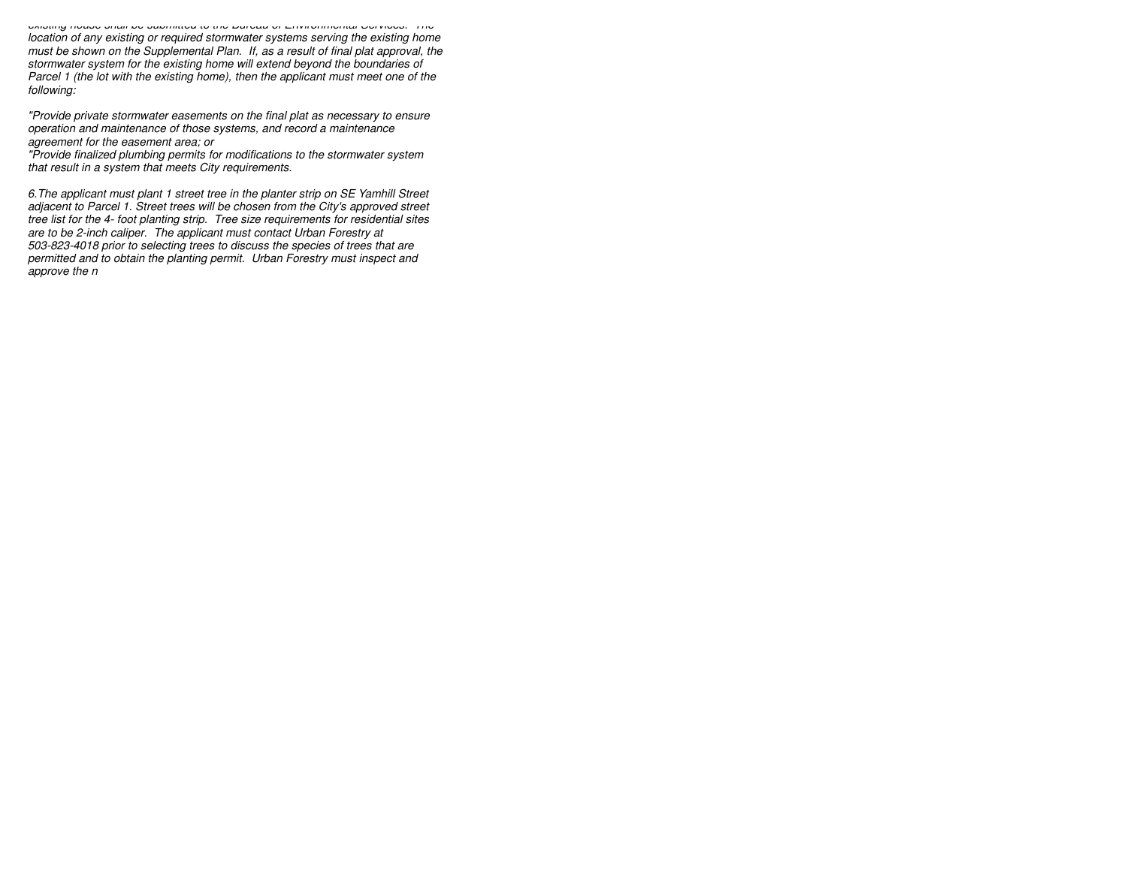*existing house shall be submitted to the Bureau of Environmental Services. The location of any existing or required stormwater systems serving the existing home must be shown on the Supplemental Plan. If, as a result of final plat approval, thestormwater system for the existing home will extend beyond the boundaries of Parcel 1 (the lot with the existing home), then the applicant must meet one of thefollowing:*

*"Provide private stormwater easements on the final plat as necessary to ensureoperation and maintenance of those systems, and record a maintenanceagreement for the easement area; or*

 *"Provide finalized plumbing permits for modifications to the stormwater systemthat result in a system that meets City requirements.*

*6.The applicant must plant 1 street tree in the planter strip on SE Yamhill Street adjacent to Parcel 1. Street trees will be chosen from the City's approved street tree list for the 4- foot planting strip. Tree size requirements for residential sitesare to be 2-inch caliper. The applicant must contact Urban Forestry at 503-823-4018 prior to selecting trees to discuss the species of trees that are permitted and to obtain the planting permit. Urban Forestry must inspect andapprove the n*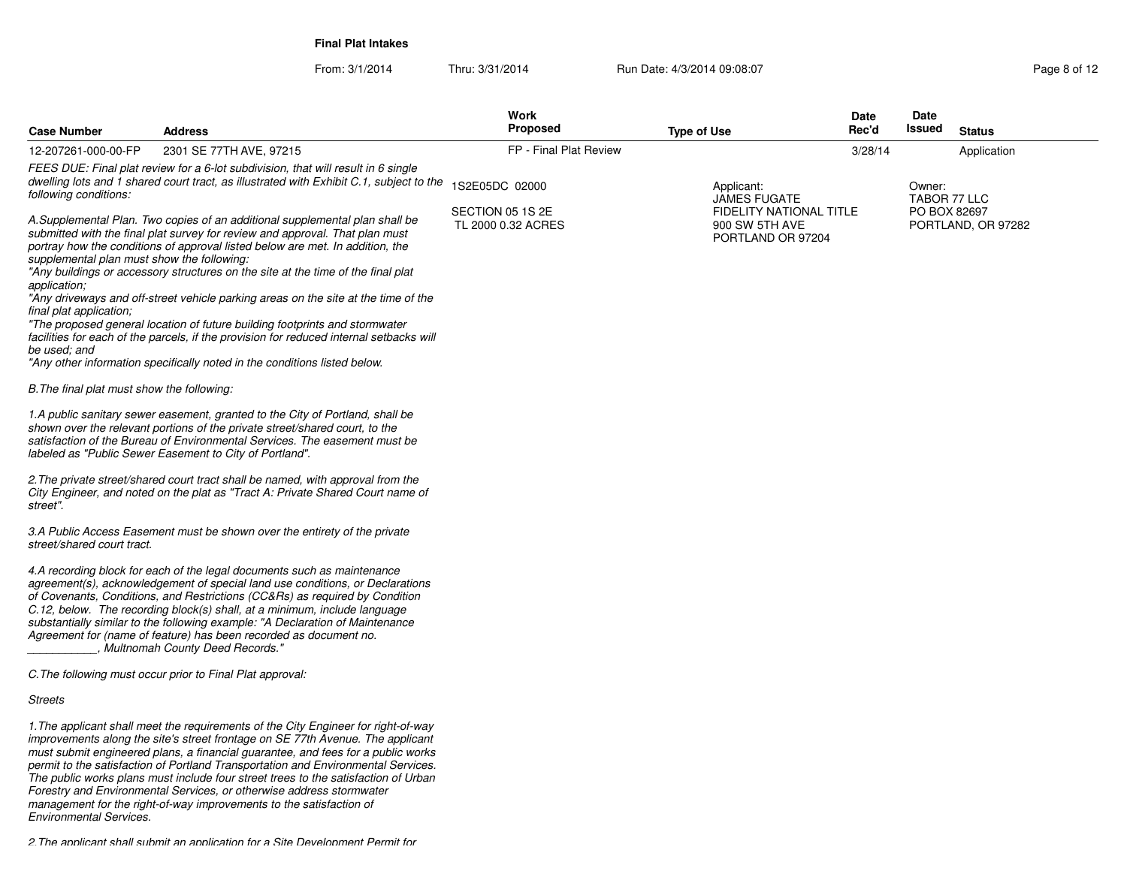**Final Plat Intakes**

| Page 8 of 12 |  |  |
|--------------|--|--|
|              |  |  |

| <b>Case Number</b>                                                                                                                                  | <b>Address</b>                                                                                                                                                                                                                                                                                                                                                                                                                                                                                                                                                                                                                                                                | <b>Work</b><br>Proposed                | <b>Type of Use</b>                                                    | Date<br>Rec'd | Date<br>Issued         | <b>Status</b>      |
|-----------------------------------------------------------------------------------------------------------------------------------------------------|-------------------------------------------------------------------------------------------------------------------------------------------------------------------------------------------------------------------------------------------------------------------------------------------------------------------------------------------------------------------------------------------------------------------------------------------------------------------------------------------------------------------------------------------------------------------------------------------------------------------------------------------------------------------------------|----------------------------------------|-----------------------------------------------------------------------|---------------|------------------------|--------------------|
| 12-207261-000-00-FP                                                                                                                                 | 2301 SE 77TH AVE, 97215                                                                                                                                                                                                                                                                                                                                                                                                                                                                                                                                                                                                                                                       | FP - Final Plat Review                 |                                                                       | 3/28/14       |                        | Application        |
| following conditions:                                                                                                                               | FEES DUE: Final plat review for a 6-lot subdivision, that will result in 6 single<br>dwelling lots and 1 shared court tract, as illustrated with Exhibit C.1, subject to the                                                                                                                                                                                                                                                                                                                                                                                                                                                                                                  | 1S2E05DC 02000                         | Applicant:<br><b>JAMES FUGATE</b>                                     |               | Owner:<br>TABOR 77 LLC |                    |
| supplemental plan must show the following:<br>application;<br>final plat application;<br>be used: and<br>B. The final plat must show the following: | A.Supplemental Plan. Two copies of an additional supplemental plan shall be<br>submitted with the final plat survey for review and approval. That plan must<br>portray how the conditions of approval listed below are met. In addition, the<br>"Any buildings or accessory structures on the site at the time of the final plat<br>"Any driveways and off-street vehicle parking areas on the site at the time of the<br>"The proposed general location of future building footprints and stormwater<br>facilities for each of the parcels, if the provision for reduced internal setbacks will<br>"Any other information specifically noted in the conditions listed below. | SECTION 05 1S 2E<br>TL 2000 0.32 ACRES | <b>FIDELITY NATIONAL TITLE</b><br>900 SW 5TH AVE<br>PORTLAND OR 97204 |               | PO BOX 82697           | PORTLAND, OR 97282 |
|                                                                                                                                                     | 1.A public sanitary sewer easement, granted to the City of Portland, shall be<br>shown over the relevant portions of the private street/shared court, to the<br>satisfaction of the Bureau of Environmental Services. The easement must be<br>labeled as "Public Sewer Easement to City of Portland".                                                                                                                                                                                                                                                                                                                                                                         |                                        |                                                                       |               |                        |                    |
| street".                                                                                                                                            | 2. The private street/shared court tract shall be named, with approval from the<br>City Engineer, and noted on the plat as "Tract A: Private Shared Court name of                                                                                                                                                                                                                                                                                                                                                                                                                                                                                                             |                                        |                                                                       |               |                        |                    |
| street/shared court tract.                                                                                                                          | 3.A Public Access Easement must be shown over the entirety of the private                                                                                                                                                                                                                                                                                                                                                                                                                                                                                                                                                                                                     |                                        |                                                                       |               |                        |                    |
|                                                                                                                                                     | 4.A recording block for each of the legal documents such as maintenance<br>agreement(s), acknowledgement of special land use conditions, or Declarations<br>of Covenants, Conditions, and Restrictions (CC&Rs) as required by Condition<br>C.12, below. The recording block(s) shall, at a minimum, include language<br>substantially similar to the following example: "A Declaration of Maintenance<br>Agreement for (name of feature) has been recorded as document no.<br>, Multnomah County Deed Records."                                                                                                                                                               |                                        |                                                                       |               |                        |                    |
|                                                                                                                                                     | C. The following must occur prior to Final Plat approval:                                                                                                                                                                                                                                                                                                                                                                                                                                                                                                                                                                                                                     |                                        |                                                                       |               |                        |                    |
| <b>Streets</b>                                                                                                                                      |                                                                                                                                                                                                                                                                                                                                                                                                                                                                                                                                                                                                                                                                               |                                        |                                                                       |               |                        |                    |
|                                                                                                                                                     | 1. The applicant shall meet the requirements of the City Engineer for right-of-way<br>improvements along the site's street frontage on SE 77th Avenue. The applicant<br>must submit engineered plans, a financial guarantee, and fees for a public works<br>permit to the satisfaction of Portland Transportation and Environmental Services.<br>The public works plans must include four street trees to the satisfaction of Urban<br>Forestry and Environmental Services, or otherwise address stormwater                                                                                                                                                                   |                                        |                                                                       |               |                        |                    |

*management for the right-of-way improvements to the satisfaction of Environmental Services.*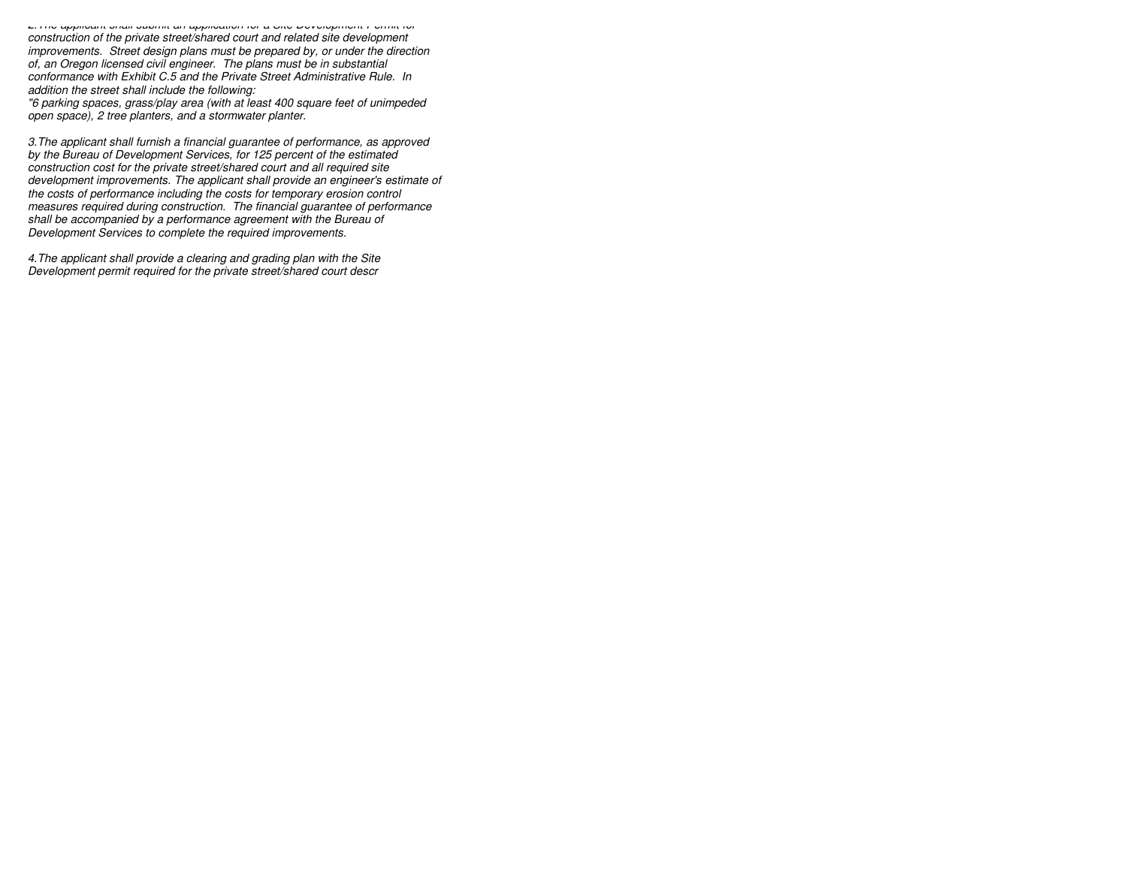*2.The applicant shall submit an application for a Site Development Permit forconstruction of the private street/shared court and related site development improvements. Street design plans must be prepared by, or under the directionof, an Oregon licensed civil engineer. The plans must be in substantial conformance with Exhibit C.5 and the Private Street Administrative Rule. Inaddition the street shall include the following: "6 parking spaces, grass/play area (with at least 400 square feet of unimpededopen space), 2 tree planters, and a stormwater planter.*

*3.The applicant shall furnish a financial guarantee of performance, as approvedby the Bureau of Development Services, for 125 percent of the estimated construction cost for the private street/shared court and all required site development improvements. The applicant shall provide an engineer's estimate ofthe costs of performance including the costs for temporary erosion control measures required during construction. The financial guarantee of performanceshall be accompanied by a performance agreement with the Bureau ofDevelopment Services to complete the required improvements.*

*4.The applicant shall provide a clearing and grading plan with the SiteDevelopment permit required for the private street/shared court descr*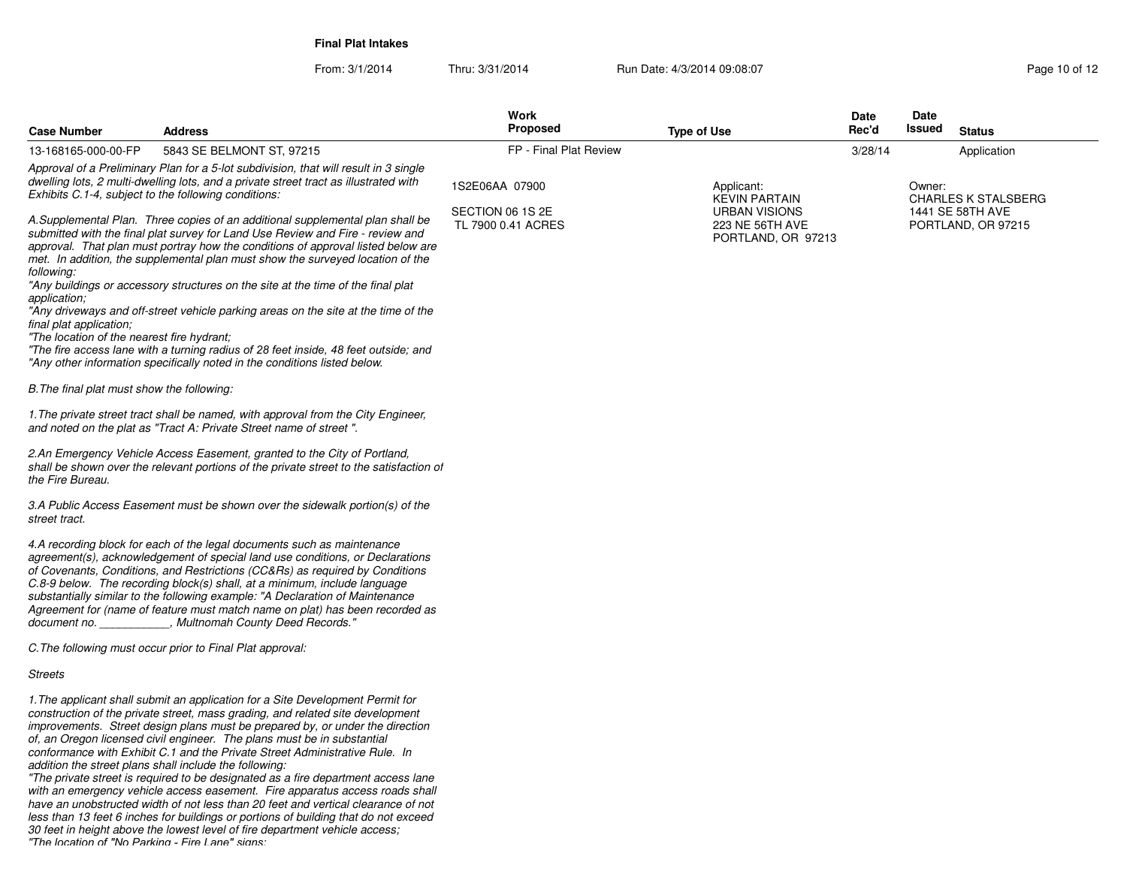**Final Plat Intakes**

From: 3/1/2014

Thru: 3/31/2014 Run Date: 4/3/2014 09:08:07 Run Date: 4/3/2014 09:08:07

| <b>Case Number</b>                                                                                  | Address                                                                                                                                                                                                                                                                                                                                                                                                                                                                                                                                                                                                                                                                                                                         | Work<br><b>Proposed</b>                | <b>Type of Use</b>                                            | Date<br>Rec'd | Date<br>Issued | <b>Status</b>                          |
|-----------------------------------------------------------------------------------------------------|---------------------------------------------------------------------------------------------------------------------------------------------------------------------------------------------------------------------------------------------------------------------------------------------------------------------------------------------------------------------------------------------------------------------------------------------------------------------------------------------------------------------------------------------------------------------------------------------------------------------------------------------------------------------------------------------------------------------------------|----------------------------------------|---------------------------------------------------------------|---------------|----------------|----------------------------------------|
| 13-168165-000-00-FP                                                                                 | 5843 SE BELMONT ST, 97215                                                                                                                                                                                                                                                                                                                                                                                                                                                                                                                                                                                                                                                                                                       | FP - Final Plat Review                 |                                                               | 3/28/14       |                | Application                            |
| Exhibits C.1-4, subject to the following conditions:                                                | Approval of a Preliminary Plan for a 5-lot subdivision, that will result in 3 single<br>dwelling lots, 2 multi-dwelling lots, and a private street tract as illustrated with                                                                                                                                                                                                                                                                                                                                                                                                                                                                                                                                                    | 1S2E06AA 07900                         | Applicant:<br>KEVIN PARTAIN                                   |               | Owner:         | <b>CHARLES K STALSBERG</b>             |
| following:<br>application;<br>final plat application;<br>"The location of the nearest fire hydrant; | A.Supplemental Plan. Three copies of an additional supplemental plan shall be<br>submitted with the final plat survey for Land Use Review and Fire - review and<br>approval. That plan must portray how the conditions of approval listed below are<br>met. In addition, the supplemental plan must show the surveyed location of the<br>"Any buildings or accessory structures on the site at the time of the final plat<br>"Any driveways and off-street vehicle parking areas on the site at the time of the<br>"The fire access lane with a turning radius of 28 feet inside, 48 feet outside; and                                                                                                                          | SECTION 06 1S 2E<br>TL 7900 0.41 ACRES | <b>URBAN VISIONS</b><br>223 NE 56TH AVE<br>PORTLAND, OR 97213 |               |                | 1441 SE 58TH AVE<br>PORTLAND, OR 97215 |
|                                                                                                     | "Any other information specifically noted in the conditions listed below.                                                                                                                                                                                                                                                                                                                                                                                                                                                                                                                                                                                                                                                       |                                        |                                                               |               |                |                                        |
| B. The final plat must show the following:                                                          |                                                                                                                                                                                                                                                                                                                                                                                                                                                                                                                                                                                                                                                                                                                                 |                                        |                                                               |               |                |                                        |
|                                                                                                     | 1. The private street tract shall be named, with approval from the City Engineer,<br>and noted on the plat as "Tract A: Private Street name of street".                                                                                                                                                                                                                                                                                                                                                                                                                                                                                                                                                                         |                                        |                                                               |               |                |                                        |
| the Fire Bureau.                                                                                    | 2.An Emergency Vehicle Access Easement, granted to the City of Portland,<br>shall be shown over the relevant portions of the private street to the satisfaction of                                                                                                                                                                                                                                                                                                                                                                                                                                                                                                                                                              |                                        |                                                               |               |                |                                        |
| street tract.                                                                                       | 3.A Public Access Easement must be shown over the sidewalk portion(s) of the                                                                                                                                                                                                                                                                                                                                                                                                                                                                                                                                                                                                                                                    |                                        |                                                               |               |                |                                        |
| document no.                                                                                        | 4.A recording block for each of the legal documents such as maintenance<br>agreement(s), acknowledgement of special land use conditions, or Declarations<br>of Covenants, Conditions, and Restrictions (CC&Rs) as required by Conditions<br>C.8-9 below. The recording block(s) shall, at a minimum, include language<br>substantially similar to the following example: "A Declaration of Maintenance<br>Agreement for (name of feature must match name on plat) has been recorded as<br>, Multnomah County Deed Records.'                                                                                                                                                                                                     |                                        |                                                               |               |                |                                        |
|                                                                                                     | C. The following must occur prior to Final Plat approval:                                                                                                                                                                                                                                                                                                                                                                                                                                                                                                                                                                                                                                                                       |                                        |                                                               |               |                |                                        |
| Streets                                                                                             |                                                                                                                                                                                                                                                                                                                                                                                                                                                                                                                                                                                                                                                                                                                                 |                                        |                                                               |               |                |                                        |
|                                                                                                     | 1. The applicant shall submit an application for a Site Development Permit for<br>construction of the private street, mass grading, and related site development<br>improvements. Street design plans must be prepared by, or under the direction<br>of, an Oregon licensed civil engineer. The plans must be in substantial<br>conformance with Exhibit C.1 and the Private Street Administrative Rule. In<br>addition the street plans shall include the following:<br>"The private street is required to be designated as a fire department access lane<br>with an emergency vehicle access easement. Fire apparatus access roads shall<br>have an unobstructed width of not less than 20 feet and vertical clearance of not |                                        |                                                               |               |                |                                        |

have an unobstructed width of not less than 20 feet and vertical clearance of not<br>less than 13 feet 6 inches for buildings or portions of building that do not exceed<br>30 feet in height above the lowest level of fire departm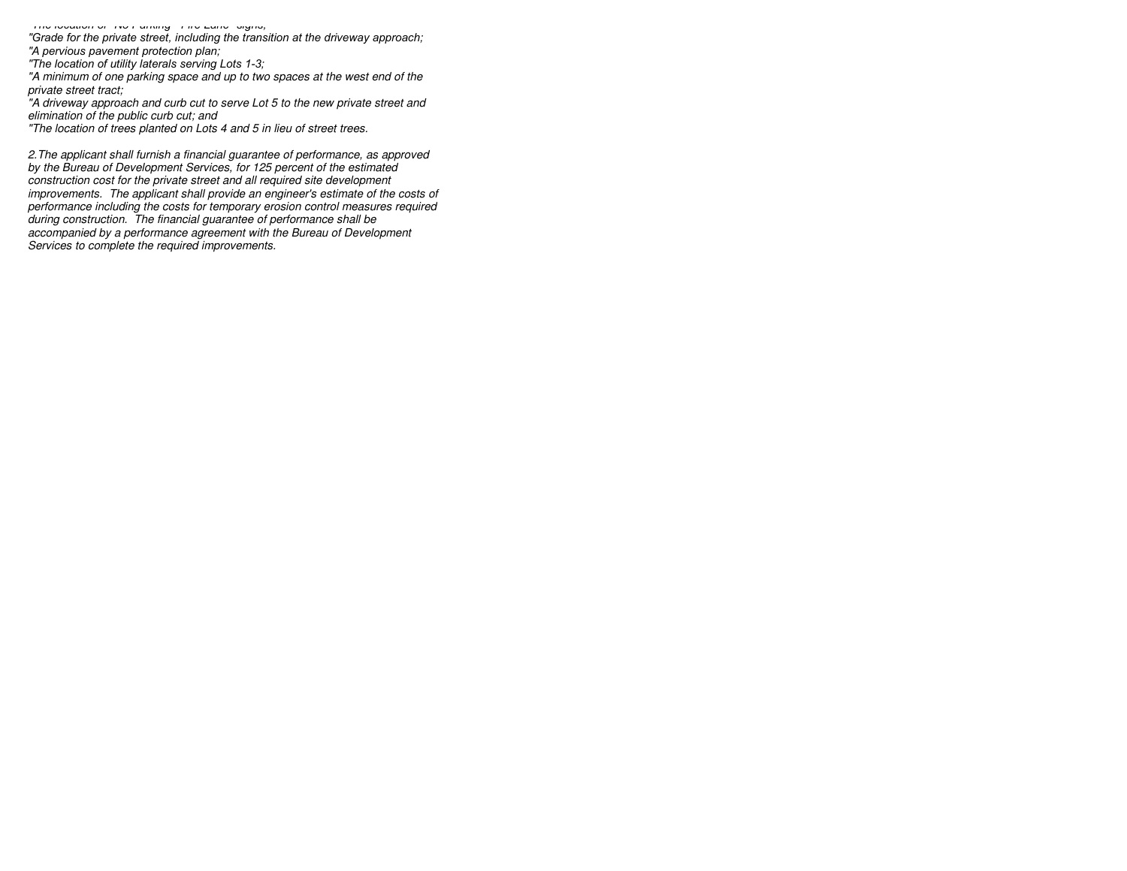*"The location of "No Parking Fire Lane" signs; "Grade for the private street, including the transition at the driveway approach;"A pervious pavement protection plan;*

 *"The location of utility laterals serving Lots 1 3; "A minimum of one parking space and up to two spaces at the west end of theprivate street tract; "A driveway approach and curb cut to serve Lot 5 to the new private street andelimination of the public curb cut; and*

*"The location of trees planted on Lots 4 and 5 in lieu of street trees.*

*2.The applicant shall furnish a financial guarantee of performance, as approvedby the Bureau of Development Services, for 125 percent of the estimated construction cost for the private street and all required site development improvements. The applicant shall provide an engineer's estimate of the costs of performance including the costs for temporary erosion control measures requiredduring construction. The financial guarantee of performance shall be accompanied by a performance agreement with the Bureau of DevelopmentServices to complete the required improvements.*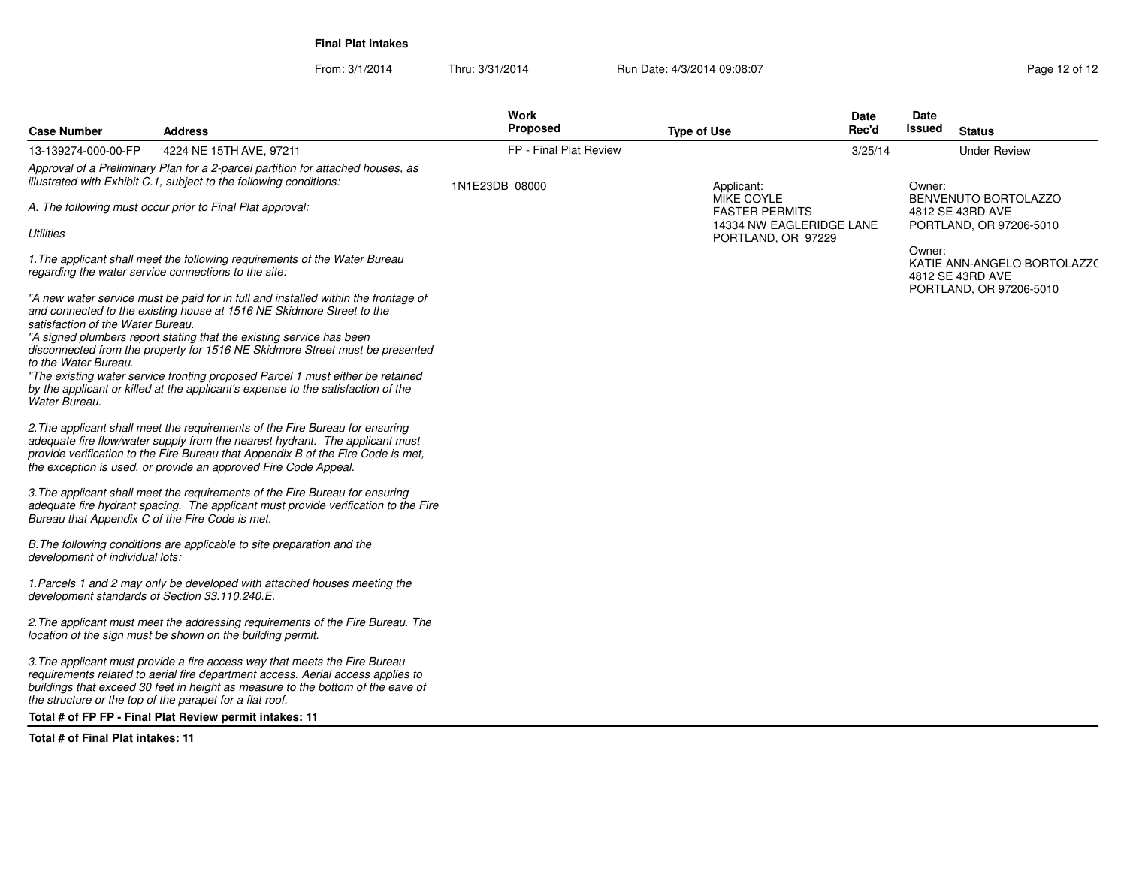**Final Plat Intakes**

From: 3/1/2014

Thru: 3/31/2014 Run Date: 4/3/2014 09:08:07 Research 2008:07 Rage 12 of 12

| <b>Case Number</b>                              | <b>Address</b>                                                                                                                                                                                                                                                                                                      | Work<br><b>Proposed</b> | <b>Type of Use</b>                                              | <b>Date</b><br>Rec'd | Date<br>Issued | <b>Status</b>                                                       |
|-------------------------------------------------|---------------------------------------------------------------------------------------------------------------------------------------------------------------------------------------------------------------------------------------------------------------------------------------------------------------------|-------------------------|-----------------------------------------------------------------|----------------------|----------------|---------------------------------------------------------------------|
| 13-139274-000-00-FP                             | 4224 NE 15TH AVE, 97211                                                                                                                                                                                                                                                                                             | FP - Final Plat Review  |                                                                 | 3/25/14              |                | <b>Under Review</b>                                                 |
|                                                 | Approval of a Preliminary Plan for a 2-parcel partition for attached houses, as<br>illustrated with Exhibit C.1, subject to the following conditions:                                                                                                                                                               | 1N1E23DB 08000          | Applicant:                                                      |                      | Owner:         |                                                                     |
|                                                 | A. The following must occur prior to Final Plat approval:                                                                                                                                                                                                                                                           |                         | MIKE COYLE<br><b>FASTER PERMITS</b><br>14334 NW EAGLERIDGE LANE |                      |                | BENVENUTO BORTOLAZZO<br>4812 SE 43RD AVE<br>PORTLAND, OR 97206-5010 |
| <b>Utilities</b>                                |                                                                                                                                                                                                                                                                                                                     |                         | PORTLAND, OR 97229                                              |                      |                |                                                                     |
|                                                 | 1. The applicant shall meet the following requirements of the Water Bureau<br>regarding the water service connections to the site:                                                                                                                                                                                  |                         |                                                                 |                      | Owner:         | KATIE ANN-ANGELO BORTOLAZZO<br>4812 SE 43RD AVE                     |
| satisfaction of the Water Bureau.               | "A new water service must be paid for in full and installed within the frontage of<br>and connected to the existing house at 1516 NE Skidmore Street to the                                                                                                                                                         |                         |                                                                 |                      |                | PORTLAND, OR 97206-5010                                             |
| to the Water Bureau.                            | "A signed plumbers report stating that the existing service has been<br>disconnected from the property for 1516 NE Skidmore Street must be presented                                                                                                                                                                |                         |                                                                 |                      |                |                                                                     |
| Water Bureau.                                   | "The existing water service fronting proposed Parcel 1 must either be retained<br>by the applicant or killed at the applicant's expense to the satisfaction of the                                                                                                                                                  |                         |                                                                 |                      |                |                                                                     |
|                                                 | 2. The applicant shall meet the requirements of the Fire Bureau for ensuring<br>adequate fire flow/water supply from the nearest hydrant. The applicant must<br>provide verification to the Fire Bureau that Appendix B of the Fire Code is met,<br>the exception is used, or provide an approved Fire Code Appeal. |                         |                                                                 |                      |                |                                                                     |
| Bureau that Appendix C of the Fire Code is met. | 3. The applicant shall meet the requirements of the Fire Bureau for ensuring<br>adequate fire hydrant spacing. The applicant must provide verification to the Fire                                                                                                                                                  |                         |                                                                 |                      |                |                                                                     |
| development of individual lots:                 | B. The following conditions are applicable to site preparation and the                                                                                                                                                                                                                                              |                         |                                                                 |                      |                |                                                                     |
| development standards of Section 33.110.240.E.  | 1. Parcels 1 and 2 may only be developed with attached houses meeting the                                                                                                                                                                                                                                           |                         |                                                                 |                      |                |                                                                     |
|                                                 | 2. The applicant must meet the addressing requirements of the Fire Bureau. The<br>location of the sign must be shown on the building permit.                                                                                                                                                                        |                         |                                                                 |                      |                |                                                                     |
|                                                 | 3. The applicant must provide a fire access way that meets the Fire Bureau<br>requirements related to aerial fire department access. Aerial access applies to<br>buildings that exceed 30 feet in height as measure to the bottom of the eave of<br>the structure or the top of the parapet for a flat roof.        |                         |                                                                 |                      |                |                                                                     |
|                                                 | Total # of FP FP - Final Plat Review permit intakes: 11                                                                                                                                                                                                                                                             |                         |                                                                 |                      |                |                                                                     |

**Total # of Final Plat intakes: 11**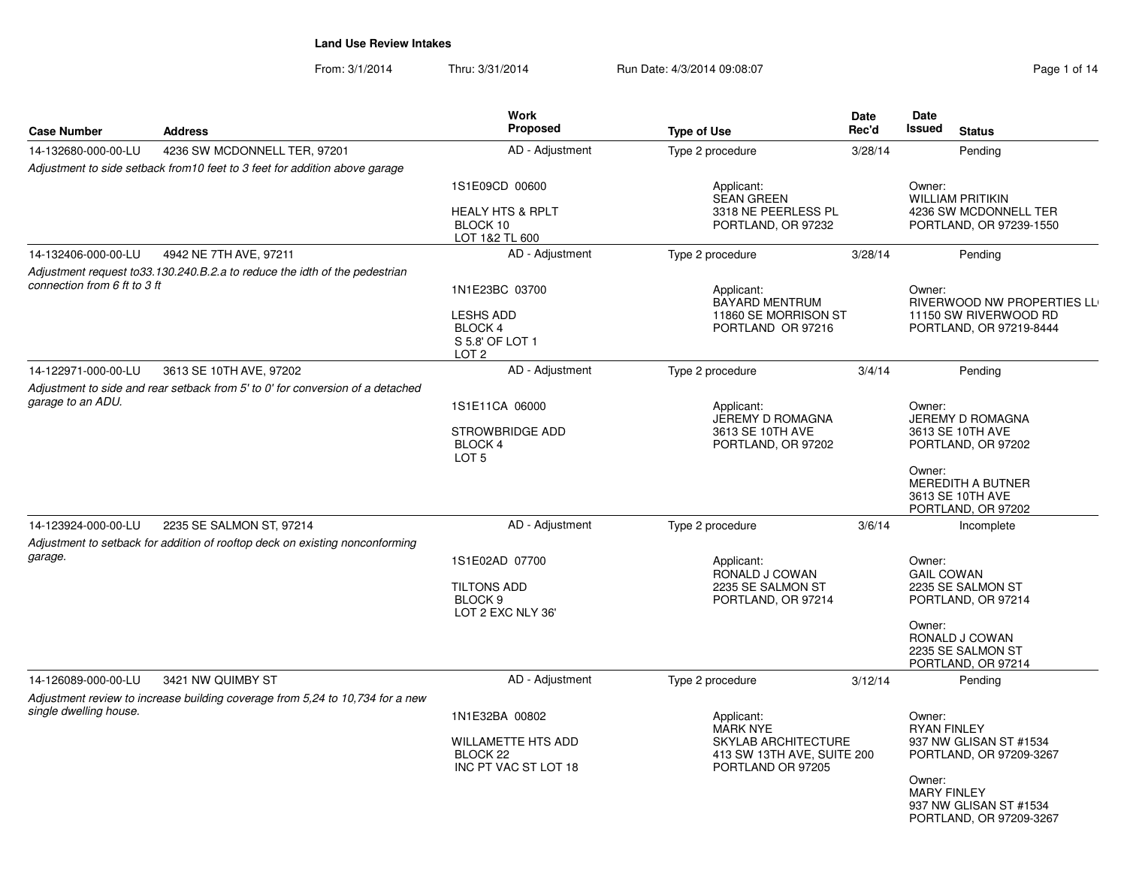From: 3/1/2014Thru: 3/31/2014 Run Date: 4/3/2014 09:08:07 Rege 1 of 14

| <b>Case Number</b>           | <b>Address</b>                                                                 | <b>Work</b><br>Proposed                                                                    | <b>Type of Use</b>                                                                                             | <b>Date</b><br>Rec'd | Date<br><b>Issued</b><br><b>Status</b>                                                                                                                                 |
|------------------------------|--------------------------------------------------------------------------------|--------------------------------------------------------------------------------------------|----------------------------------------------------------------------------------------------------------------|----------------------|------------------------------------------------------------------------------------------------------------------------------------------------------------------------|
| 14-132680-000-00-LU          | 4236 SW MCDONNELL TER, 97201                                                   | AD - Adjustment                                                                            | Type 2 procedure                                                                                               | 3/28/14              | Pending                                                                                                                                                                |
|                              | Adjustment to side setback from 10 feet to 3 feet for addition above garage    |                                                                                            |                                                                                                                |                      |                                                                                                                                                                        |
|                              |                                                                                | 1S1E09CD 00600<br><b>HEALY HTS &amp; RPLT</b><br>BLOCK 10<br>LOT 1&2 TL 600                | Applicant:<br><b>SEAN GREEN</b><br>3318 NE PEERLESS PL<br>PORTLAND, OR 97232                                   |                      | Owner:<br><b>WILLIAM PRITIKIN</b><br>4236 SW MCDONNELL TER<br>PORTLAND, OR 97239-1550                                                                                  |
| 14-132406-000-00-LU          | 4942 NE 7TH AVE, 97211                                                         | AD - Adjustment                                                                            | Type 2 procedure                                                                                               | 3/28/14              | Pendina                                                                                                                                                                |
| connection from 6 ft to 3 ft | Adjustment request to 33.130.240.B.2.a to reduce the idth of the pedestrian    | 1N1E23BC 03700<br><b>LESHS ADD</b><br>BLOCK 4<br>S 5.8' OF LOT 1<br>LOT <sub>2</sub>       | Applicant:<br><b>BAYARD MENTRUM</b><br>11860 SE MORRISON ST<br>PORTLAND OR 97216                               |                      | Owner:<br>RIVERWOOD NW PROPERTIES LL<br>11150 SW RIVERWOOD RD<br>PORTLAND, OR 97219-8444                                                                               |
| 14-122971-000-00-LU          | 3613 SE 10TH AVE, 97202                                                        | AD - Adjustment                                                                            | Type 2 procedure                                                                                               | 3/4/14               | Pending                                                                                                                                                                |
| garage to an ADU.            | Adjustment to side and rear setback from 5' to 0' for conversion of a detached | 1S1E11CA 06000<br><b>STROWBRIDGE ADD</b><br><b>BLOCK 4</b><br>LOT <sub>5</sub>             | Applicant:<br>JEREMY D ROMAGNA<br>3613 SE 10TH AVE<br>PORTLAND, OR 97202                                       |                      | Owner:<br>JEREMY D ROMAGNA<br>3613 SE 10TH AVE<br>PORTLAND, OR 97202<br>Owner:<br>MEREDITH A BUTNER<br>3613 SE 10TH AVE<br>PORTLAND, OR 97202                          |
| 14-123924-000-00-LU          | 2235 SE SALMON ST, 97214                                                       | AD - Adjustment                                                                            | Type 2 procedure                                                                                               | 3/6/14               | Incomplete                                                                                                                                                             |
| garage.                      | Adjustment to setback for addition of rooftop deck on existing nonconforming   | 1S1E02AD 07700<br><b>TILTONS ADD</b><br>BLOCK <sub>9</sub><br>LOT 2 EXC NLY 36'            | Applicant:<br>RONALD J COWAN<br>2235 SE SALMON ST<br>PORTLAND, OR 97214                                        |                      | Owner:<br><b>GAIL COWAN</b><br>2235 SE SALMON ST<br>PORTLAND, OR 97214<br>Owner:<br>RONALD J COWAN<br>2235 SE SALMON ST<br>PORTLAND, OR 97214                          |
| 14-126089-000-00-LU          | 3421 NW QUIMBY ST                                                              | AD - Adjustment                                                                            | Type 2 procedure                                                                                               | 3/12/14              | Pending                                                                                                                                                                |
| single dwelling house.       | Adjustment review to increase building coverage from 5,24 to 10,734 for a new  | 1N1E32BA 00802<br><b>WILLAMETTE HTS ADD</b><br>BLOCK <sub>22</sub><br>INC PT VAC ST LOT 18 | Applicant:<br><b>MARK NYE</b><br><b>SKYLAB ARCHITECTURE</b><br>413 SW 13TH AVE, SUITE 200<br>PORTLAND OR 97205 |                      | Owner:<br><b>RYAN FINLEY</b><br>937 NW GLISAN ST #1534<br>PORTLAND, OR 97209-3267<br>Owner:<br><b>MARY FINLEY</b><br>937 NW GLISAN ST #1534<br>PORTLAND, OR 97209-3267 |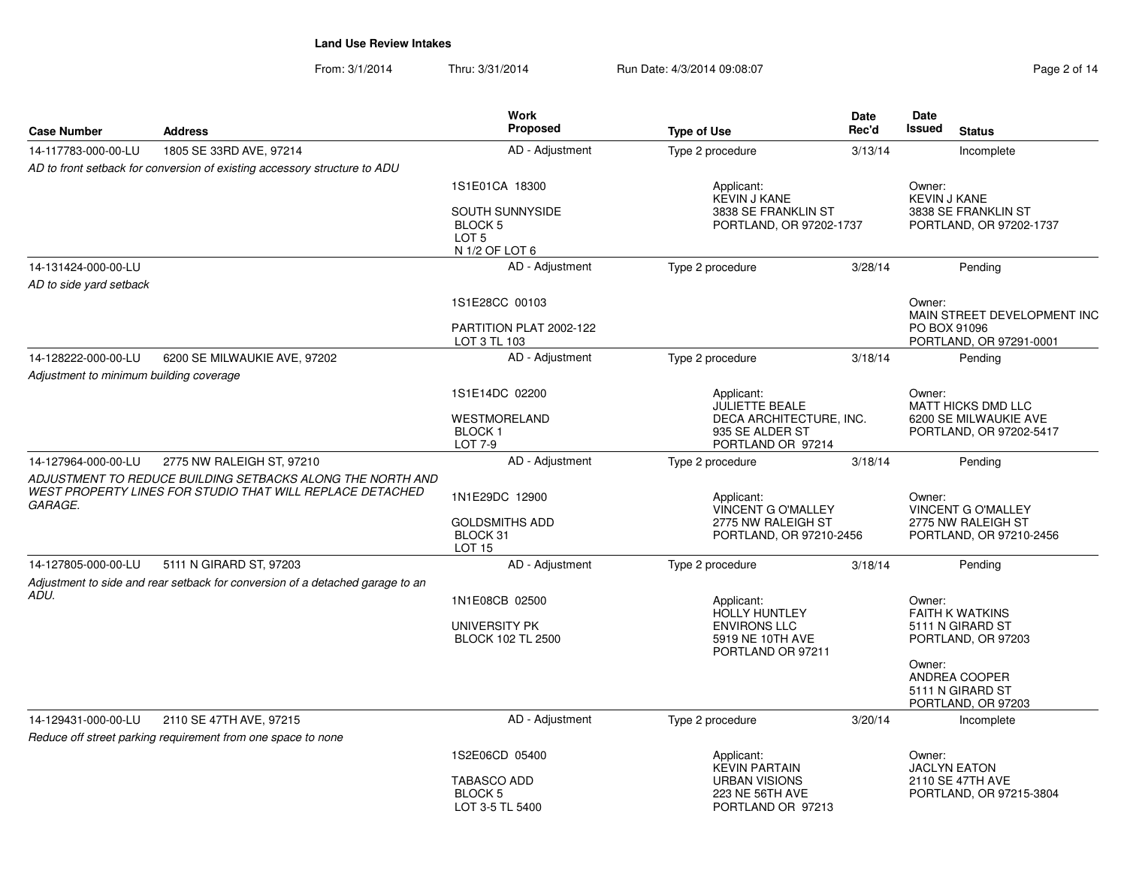From: 3/1/2014Thru: 3/31/2014 Run Date: 4/3/2014 09:08:07 Rege 2 of 14

| <b>Case Number</b>                      | <b>Address</b>                                                                                       | <b>Work</b><br>Proposed                                                     |                                                                                      | <b>Date</b><br>Rec'd                                 | Date<br>Issued | <b>Status</b>                                                         |
|-----------------------------------------|------------------------------------------------------------------------------------------------------|-----------------------------------------------------------------------------|--------------------------------------------------------------------------------------|------------------------------------------------------|----------------|-----------------------------------------------------------------------|
|                                         |                                                                                                      |                                                                             | <b>Type of Use</b>                                                                   |                                                      |                |                                                                       |
| 14-117783-000-00-LU                     | 1805 SE 33RD AVE, 97214<br>AD to front setback for conversion of existing accessory structure to ADU | AD - Adjustment                                                             | Type 2 procedure                                                                     | 3/13/14                                              |                | Incomplete                                                            |
|                                         |                                                                                                      | 1S1E01CA 18300                                                              | Applicant:                                                                           |                                                      | Owner:         |                                                                       |
|                                         |                                                                                                      | SOUTH SUNNYSIDE<br>BLOCK <sub>5</sub><br>LOT <sub>5</sub><br>N 1/2 OF LOT 6 | <b>KEVIN J KANE</b><br>3838 SE FRANKLIN ST<br>PORTLAND, OR 97202-1737                |                                                      |                | <b>KEVIN J KANE</b><br>3838 SE FRANKLIN ST<br>PORTLAND, OR 97202-1737 |
| 14-131424-000-00-LU                     |                                                                                                      | AD - Adjustment                                                             | Type 2 procedure                                                                     | 3/28/14                                              |                | Pending                                                               |
| AD to side yard setback                 |                                                                                                      |                                                                             |                                                                                      |                                                      |                |                                                                       |
|                                         |                                                                                                      | 1S1E28CC 00103                                                              |                                                                                      |                                                      | Owner:         |                                                                       |
|                                         |                                                                                                      | PARTITION PLAT 2002-122<br>LOT 3 TL 103                                     |                                                                                      |                                                      | PO BOX 91096   | MAIN STREET DEVELOPMENT INC<br>PORTLAND, OR 97291-0001                |
| 14-128222-000-00-LU                     | 6200 SE MILWAUKIE AVE, 97202                                                                         | AD - Adjustment                                                             | Type 2 procedure                                                                     | 3/18/14                                              |                | Pending                                                               |
| Adjustment to minimum building coverage |                                                                                                      |                                                                             |                                                                                      |                                                      |                |                                                                       |
|                                         |                                                                                                      | 1S1E14DC 02200                                                              | Applicant:<br><b>JULIETTE BEALE</b>                                                  |                                                      | Owner:         | MATT HICKS DMD LLC                                                    |
|                                         |                                                                                                      | WESTMORELAND<br><b>BLOCK1</b><br>LOT 7-9                                    | 935 SE ALDER ST<br>PORTLAND OR 97214                                                 | DECA ARCHITECTURE, INC.                              |                | 6200 SE MILWAUKIE AVE<br>PORTLAND, OR 97202-5417                      |
| 14-127964-000-00-LU                     | 2775 NW RALEIGH ST, 97210                                                                            | AD - Adjustment                                                             | Type 2 procedure                                                                     | 3/18/14                                              |                | Pending                                                               |
|                                         | ADJUSTMENT TO REDUCE BUILDING SETBACKS ALONG THE NORTH AND                                           |                                                                             |                                                                                      |                                                      |                |                                                                       |
| <i><b>GARAGE.</b></i>                   | WEST PROPERTY LINES FOR STUDIO THAT WILL REPLACE DETACHED                                            | 1N1E29DC 12900                                                              | Applicant:                                                                           |                                                      | Owner:         | <b>VINCENT G O'MALLEY</b>                                             |
|                                         |                                                                                                      | <b>GOLDSMITHS ADD</b><br>BLOCK 31<br><b>LOT 15</b>                          | 2775 NW RALEIGH ST                                                                   | <b>VINCENT G O'MALLEY</b><br>PORTLAND, OR 97210-2456 |                | 2775 NW RALEIGH ST<br>PORTLAND, OR 97210-2456                         |
| 14-127805-000-00-LU                     | 5111 N GIRARD ST, 97203                                                                              | AD - Adjustment                                                             | Type 2 procedure                                                                     | 3/18/14                                              |                | Pending                                                               |
|                                         | Adjustment to side and rear setback for conversion of a detached garage to an                        |                                                                             |                                                                                      |                                                      |                |                                                                       |
| ADU.                                    |                                                                                                      | 1N1E08CB 02500                                                              | Applicant:                                                                           |                                                      | Owner:         |                                                                       |
|                                         |                                                                                                      | UNIVERSITY PK<br><b>BLOCK 102 TL 2500</b>                                   | <b>HOLLY HUNTLEY</b><br><b>ENVIRONS LLC</b><br>5919 NE 10TH AVE<br>PORTLAND OR 97211 |                                                      |                | <b>FAITH K WATKINS</b><br>5111 N GIRARD ST<br>PORTLAND, OR 97203      |
|                                         |                                                                                                      |                                                                             |                                                                                      |                                                      | Owner:         | ANDREA COOPER<br>5111 N GIRARD ST<br>PORTLAND, OR 97203               |
| 14-129431-000-00-LU                     | 2110 SE 47TH AVE, 97215                                                                              | AD - Adjustment                                                             | Type 2 procedure                                                                     | 3/20/14                                              |                | Incomplete                                                            |
|                                         | Reduce off street parking requirement from one space to none                                         |                                                                             |                                                                                      |                                                      |                |                                                                       |
|                                         |                                                                                                      | 1S2E06CD 05400                                                              | Applicant:<br><b>KEVIN PARTAIN</b>                                                   |                                                      | Owner:         | <b>JACLYN EATON</b>                                                   |
|                                         |                                                                                                      | <b>TABASCO ADD</b>                                                          | <b>URBAN VISIONS</b>                                                                 |                                                      |                | 2110 SE 47TH AVE                                                      |
|                                         |                                                                                                      | <b>BLOCK 5</b><br>LOT 3-5 TL 5400                                           | 223 NE 56TH AVE<br>PORTLAND OR 97213                                                 |                                                      |                | PORTLAND, OR 97215-3804                                               |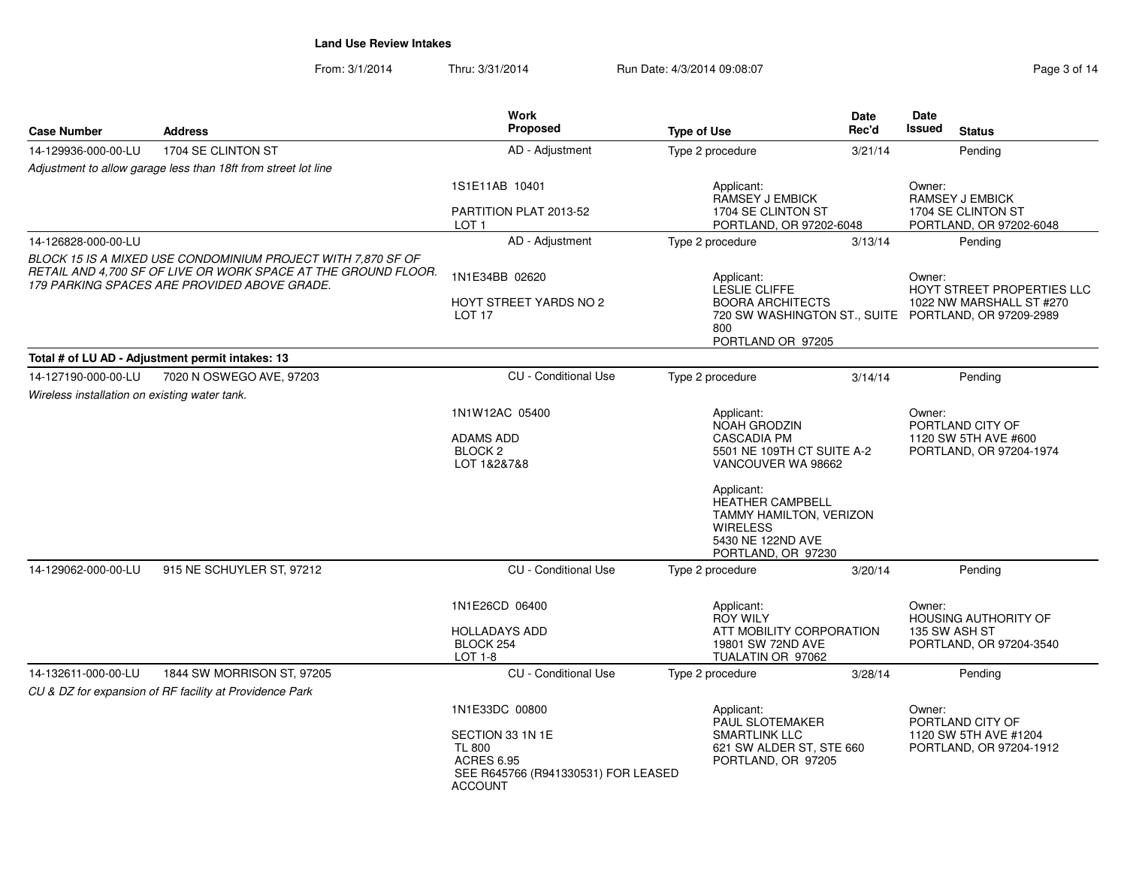From: 3/1/2014Thru: 3/31/2014 Run Date: 4/3/2014 09:08:07 Rege 3 of 14

| <b>Case Number</b>                                                                                                                                                             | <b>Address</b>                                                 | Work<br>Proposed                                                                                                | <b>Type of Use</b>                                                                                                                                                                 | Date<br>Rec'd | Date<br>Issued<br><b>Status</b>                                                                                          |  |
|--------------------------------------------------------------------------------------------------------------------------------------------------------------------------------|----------------------------------------------------------------|-----------------------------------------------------------------------------------------------------------------|------------------------------------------------------------------------------------------------------------------------------------------------------------------------------------|---------------|--------------------------------------------------------------------------------------------------------------------------|--|
| 14-129936-000-00-LU                                                                                                                                                            | 1704 SE CLINTON ST                                             | AD - Adjustment                                                                                                 | Type 2 procedure                                                                                                                                                                   | 3/21/14       | Pending                                                                                                                  |  |
|                                                                                                                                                                                | Adjustment to allow garage less than 18ft from street lot line |                                                                                                                 |                                                                                                                                                                                    |               |                                                                                                                          |  |
|                                                                                                                                                                                |                                                                | 1S1E11AB 10401                                                                                                  | Applicant:<br><b>RAMSEY J EMBICK</b>                                                                                                                                               |               | Owner:<br><b>RAMSEY J EMBICK</b>                                                                                         |  |
|                                                                                                                                                                                |                                                                | PARTITION PLAT 2013-52<br>LOT <sub>1</sub>                                                                      | 1704 SE CLINTON ST<br>PORTLAND, OR 97202-6048                                                                                                                                      |               | 1704 SE CLINTON ST<br>PORTLAND, OR 97202-6048                                                                            |  |
| 14-126828-000-00-LU                                                                                                                                                            |                                                                | AD - Adjustment                                                                                                 | Type 2 procedure                                                                                                                                                                   | 3/13/14       | Pending                                                                                                                  |  |
| BLOCK 15 IS A MIXED USE CONDOMINIUM PROJECT WITH 7,870 SF OF<br>RETAIL AND 4,700 SF OF LIVE OR WORK SPACE AT THE GROUND FLOOR.<br>179 PARKING SPACES ARE PROVIDED ABOVE GRADE. |                                                                | 1N1E34BB 02620                                                                                                  | Applicant:<br>LESLIE CLIFFE                                                                                                                                                        |               | Owner:<br>HOYT STREET PROPERTIES LLC<br>1022 NW MARSHALL ST #270<br>720 SW WASHINGTON ST., SUITE PORTLAND, OR 97209-2989 |  |
|                                                                                                                                                                                |                                                                | <b>HOYT STREET YARDS NO 2</b><br>LOT <sub>17</sub>                                                              | <b>BOORA ARCHITECTS</b><br>800<br>PORTLAND OR 97205                                                                                                                                |               |                                                                                                                          |  |
|                                                                                                                                                                                | Total # of LU AD - Adjustment permit intakes: 13               |                                                                                                                 |                                                                                                                                                                                    |               |                                                                                                                          |  |
| 14-127190-000-00-LU                                                                                                                                                            | 7020 N OSWEGO AVE, 97203                                       | <b>CU</b> - Conditional Use                                                                                     | Type 2 procedure                                                                                                                                                                   | 3/14/14       | Pending                                                                                                                  |  |
| Wireless installation on existing water tank.                                                                                                                                  |                                                                |                                                                                                                 |                                                                                                                                                                                    |               |                                                                                                                          |  |
|                                                                                                                                                                                |                                                                | 1N1W12AC 05400                                                                                                  | Applicant:                                                                                                                                                                         |               | Owner:                                                                                                                   |  |
|                                                                                                                                                                                |                                                                | <b>ADAMS ADD</b>                                                                                                | NOAH GRODZIN                                                                                                                                                                       |               | PORTLAND CITY OF<br>1120 SW 5TH AVE #600                                                                                 |  |
|                                                                                                                                                                                |                                                                | BLOCK <sub>2</sub><br>LOT 1&2&7&8                                                                               | <b>CASCADIA PM</b><br>5501 NE 109TH CT SUITE A-2<br>VANCOUVER WA 98662                                                                                                             |               | PORTLAND, OR 97204-1974                                                                                                  |  |
|                                                                                                                                                                                |                                                                |                                                                                                                 | Applicant:<br><b>HEATHER CAMPBELL</b><br>TAMMY HAMILTON, VERIZON<br><b>WIRELESS</b><br>5430 NE 122ND AVE<br>PORTLAND, OR 97230                                                     |               |                                                                                                                          |  |
| 14-129062-000-00-LU                                                                                                                                                            | 915 NE SCHUYLER ST, 97212                                      | CU - Conditional Use                                                                                            | Type 2 procedure                                                                                                                                                                   | 3/20/14       | Pending                                                                                                                  |  |
|                                                                                                                                                                                |                                                                | 1N1E26CD 06400                                                                                                  | Applicant:<br><b>ROY WILY</b>                                                                                                                                                      |               | Owner:<br><b>HOUSING AUTHORITY OF</b>                                                                                    |  |
|                                                                                                                                                                                |                                                                | <b>HOLLADAYS ADD</b><br>BLOCK 254<br>$LOT 1-8$                                                                  | ATT MOBILITY CORPORATION<br>19801 SW 72ND AVE<br>TUALATIN OR 97062                                                                                                                 |               | 135 SW ASH ST<br>PORTLAND, OR 97204-3540                                                                                 |  |
| 14-132611-000-00-LU                                                                                                                                                            | 1844 SW MORRISON ST, 97205                                     | <b>CU</b> - Conditional Use                                                                                     | Type 2 procedure                                                                                                                                                                   | 3/28/14       | Pending                                                                                                                  |  |
|                                                                                                                                                                                | CU & DZ for expansion of RF facility at Providence Park        |                                                                                                                 |                                                                                                                                                                                    |               |                                                                                                                          |  |
|                                                                                                                                                                                |                                                                | 1N1E33DC 00800                                                                                                  | Applicant:<br>Owner:<br>PAUL SLOTEMAKER<br>PORTLAND CITY OF<br>SMARTLINK LLC<br>1120 SW 5TH AVE #1204<br>621 SW ALDER ST, STE 660<br>PORTLAND, OR 97204-1912<br>PORTLAND, OR 97205 |               |                                                                                                                          |  |
|                                                                                                                                                                                |                                                                | SECTION 33 1N 1E<br><b>TL 800</b><br><b>ACRES 6.95</b><br>SEE R645766 (R941330531) FOR LEASED<br><b>ACCOUNT</b> |                                                                                                                                                                                    |               |                                                                                                                          |  |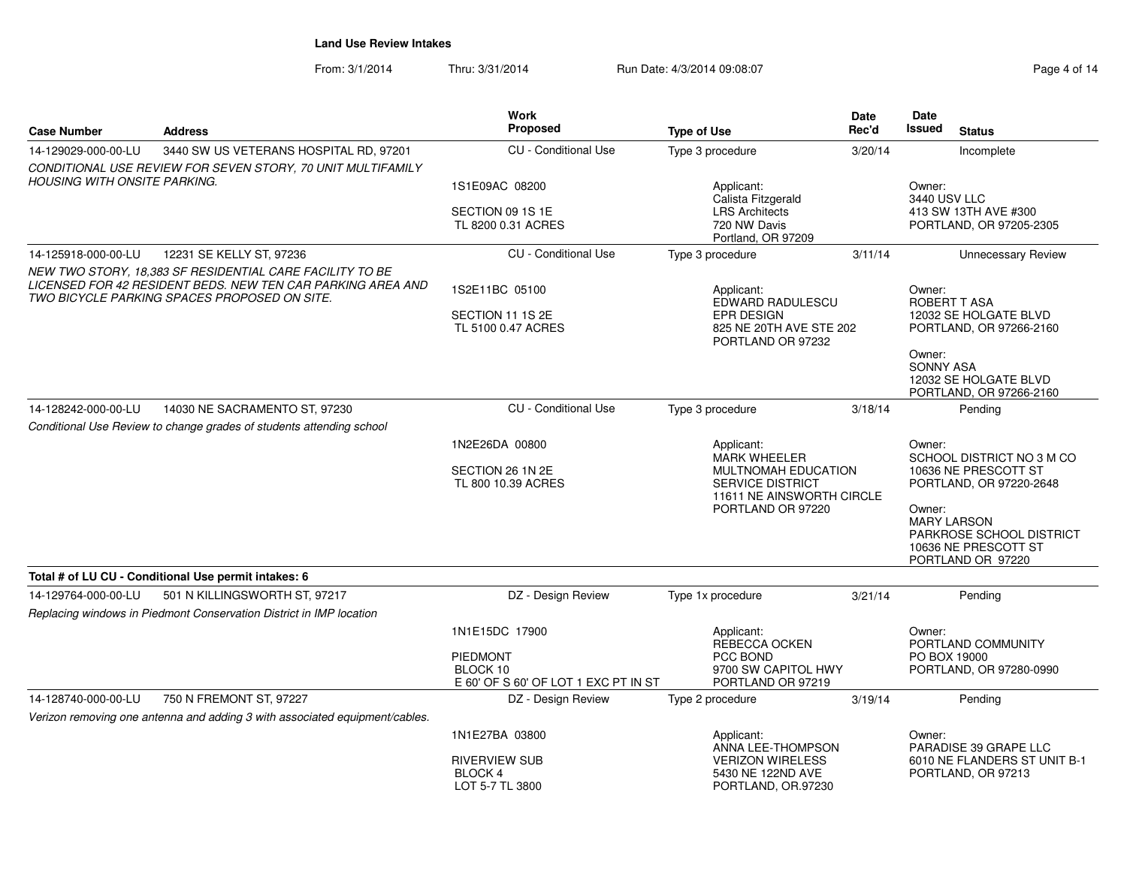From: 3/1/2014Thru: 3/31/2014 Run Date: 4/3/2014 09:08:07 Rege 4 of 14

| <b>Case Number</b>                  | <b>Address</b>                                                                                              | <b>Work</b><br><b>Proposed</b>                   | <b>Type of Use</b>                             | Date<br>Rec'd                                                          | <b>Date</b><br><b>Issued</b> | <b>Status</b>                                         |
|-------------------------------------|-------------------------------------------------------------------------------------------------------------|--------------------------------------------------|------------------------------------------------|------------------------------------------------------------------------|------------------------------|-------------------------------------------------------|
| 14-129029-000-00-LU                 | 3440 SW US VETERANS HOSPITAL RD, 97201                                                                      | <b>CU</b> - Conditional Use                      | Type 3 procedure                               | 3/20/14                                                                |                              | Incomplete                                            |
|                                     | CONDITIONAL USE REVIEW FOR SEVEN STORY, 70 UNIT MULTIFAMILY                                                 |                                                  |                                                |                                                                        |                              |                                                       |
| <b>HOUSING WITH ONSITE PARKING.</b> |                                                                                                             | 1S1E09AC 08200                                   | Applicant:<br>Calista Fitzgerald               |                                                                        | Owner:<br>3440 USV LLC       |                                                       |
|                                     |                                                                                                             | SECTION 09 1S 1E                                 | <b>LRS</b> Architects                          |                                                                        |                              | 413 SW 13TH AVE #300                                  |
|                                     |                                                                                                             | TL 8200 0.31 ACRES                               | 720 NW Davis<br>Portland, OR 97209             |                                                                        |                              | PORTLAND, OR 97205-2305                               |
| 14-125918-000-00-LU                 | 12231 SE KELLY ST, 97236                                                                                    | <b>CU</b> - Conditional Use                      | Type 3 procedure                               | 3/11/14                                                                |                              | <b>Unnecessary Review</b>                             |
|                                     | NEW TWO STORY, 18,383 SF RESIDENTIAL CARE FACILITY TO BE                                                    |                                                  |                                                |                                                                        |                              |                                                       |
|                                     | LICENSED FOR 42 RESIDENT BEDS. NEW TEN CAR PARKING AREA AND<br>TWO BICYCLE PARKING SPACES PROPOSED ON SITE. | 1S2E11BC 05100                                   | Applicant:<br>EDWARD RADULESCU                 |                                                                        | Owner:                       | ROBERT TASA                                           |
|                                     |                                                                                                             | SECTION 11 1S 2E                                 | <b>EPR DESIGN</b>                              |                                                                        |                              | 12032 SE HOLGATE BLVD                                 |
|                                     |                                                                                                             | TL 5100 0.47 ACRES                               | 825 NE 20TH AVE STE 202<br>PORTLAND OR 97232   |                                                                        |                              | PORTLAND, OR 97266-2160                               |
|                                     |                                                                                                             |                                                  |                                                |                                                                        | Owner:<br><b>SONNY ASA</b>   |                                                       |
|                                     |                                                                                                             |                                                  |                                                |                                                                        |                              | 12032 SE HOLGATE BLVD                                 |
|                                     |                                                                                                             |                                                  |                                                |                                                                        |                              | PORTLAND, OR 97266-2160                               |
| 14-128242-000-00-LU                 | 14030 NE SACRAMENTO ST. 97230                                                                               | <b>CU</b> - Conditional Use                      | Type 3 procedure                               | 3/18/14                                                                |                              | Pendina                                               |
|                                     | Conditional Use Review to change grades of students attending school                                        | 1N2E26DA 00800                                   | Applicant:                                     |                                                                        | Owner:                       |                                                       |
|                                     |                                                                                                             |                                                  | <b>MARK WHEELER</b>                            |                                                                        |                              | SCHOOL DISTRICT NO 3 M CO                             |
|                                     |                                                                                                             | SECTION 26 1N 2E<br>TL 800 10.39 ACRES           | SERVICE DISTRICT                               | MULTNOMAH EDUCATION<br>10636 NE PRESCOTT ST<br>PORTLAND, OR 97220-2648 |                              |                                                       |
|                                     |                                                                                                             |                                                  | 11611 NE AINSWORTH CIRCLE<br>PORTLAND OR 97220 |                                                                        | Owner:                       |                                                       |
|                                     |                                                                                                             |                                                  |                                                |                                                                        |                              | <b>MARY LARSON</b>                                    |
|                                     |                                                                                                             |                                                  |                                                |                                                                        |                              | PARKROSE SCHOOL DISTRICT<br>10636 NE PRESCOTT ST      |
|                                     |                                                                                                             |                                                  |                                                |                                                                        |                              | PORTLAND OR 97220                                     |
|                                     | Total # of LU CU - Conditional Use permit intakes: 6                                                        |                                                  |                                                |                                                                        |                              |                                                       |
| 14-129764-000-00-LU                 | 501 N KILLINGSWORTH ST, 97217                                                                               | DZ - Design Review                               | Type 1x procedure                              | 3/21/14                                                                |                              | Pending                                               |
|                                     | Replacing windows in Piedmont Conservation District in IMP location                                         |                                                  |                                                |                                                                        |                              |                                                       |
|                                     |                                                                                                             | 1N1E15DC 17900                                   | Applicant:<br>REBECCA OCKEN                    |                                                                        | Owner:                       | PORTLAND COMMUNITY                                    |
|                                     |                                                                                                             | <b>PIEDMONT</b>                                  | PCC BOND                                       |                                                                        | PO BOX 19000                 |                                                       |
|                                     |                                                                                                             | BLOCK 10<br>E 60' OF S 60' OF LOT 1 EXC PT IN ST | 9700 SW CAPITOL HWY<br>PORTLAND OR 97219       |                                                                        |                              | PORTLAND, OR 97280-0990                               |
| 14-128740-000-00-LU                 | 750 N FREMONT ST, 97227                                                                                     | DZ - Design Review                               | Type 2 procedure                               | 3/19/14                                                                |                              | Pending                                               |
|                                     | Verizon removing one antenna and adding 3 with associated equipment/cables.                                 |                                                  |                                                |                                                                        |                              |                                                       |
|                                     |                                                                                                             | 1N1E27BA 03800                                   | Applicant:                                     |                                                                        | Owner:                       |                                                       |
|                                     |                                                                                                             | <b>RIVERVIEW SUB</b>                             | ANNA LEE-THOMPSON<br><b>VERIZON WIRELESS</b>   |                                                                        |                              | PARADISE 39 GRAPE LLC<br>6010 NE FLANDERS ST UNIT B-1 |
|                                     |                                                                                                             | <b>BLOCK 4</b>                                   | 5430 NE 122ND AVE                              |                                                                        |                              | PORTLAND, OR 97213                                    |
|                                     |                                                                                                             | LOT 5-7 TL 3800                                  | PORTLAND, OR.97230                             |                                                                        |                              |                                                       |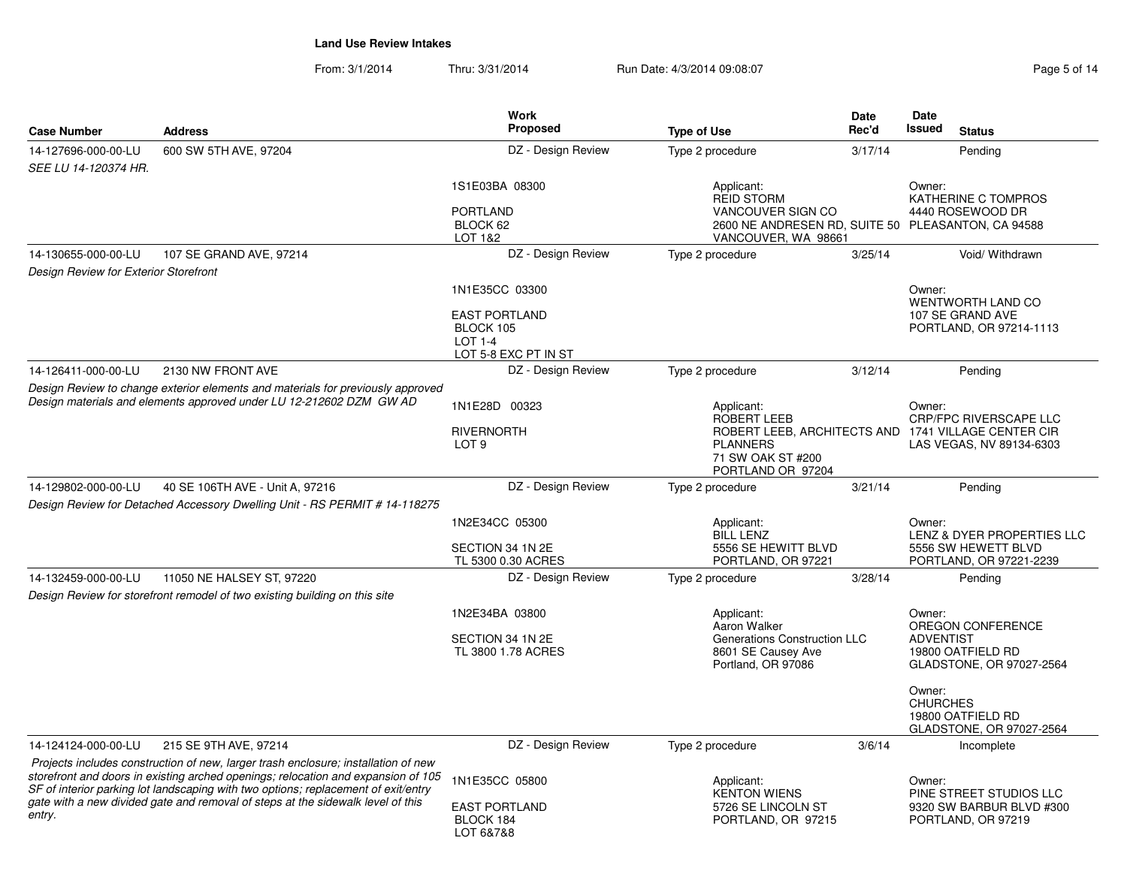From: 3/1/2014Thru: 3/31/2014 Run Date: 4/3/2014 09:08:07 Reg

| <b>Case Number</b>                    | <b>Address</b>                                                                                                                                                          | Work<br><b>Proposed</b>                                                     | <b>Type of Use</b>                                                                                                                     | <b>Date</b><br>Rec'd | Date<br><b>Issued</b>                              | <b>Status</b>                                                                |
|---------------------------------------|-------------------------------------------------------------------------------------------------------------------------------------------------------------------------|-----------------------------------------------------------------------------|----------------------------------------------------------------------------------------------------------------------------------------|----------------------|----------------------------------------------------|------------------------------------------------------------------------------|
| 14-127696-000-00-LU                   | 600 SW 5TH AVE, 97204                                                                                                                                                   | DZ - Design Review                                                          | Type 2 procedure                                                                                                                       | 3/17/14              |                                                    | Pending                                                                      |
| SEE LU 14-120374 HR.                  |                                                                                                                                                                         |                                                                             |                                                                                                                                        |                      |                                                    |                                                                              |
|                                       |                                                                                                                                                                         | 1S1E03BA 08300                                                              | Applicant:<br><b>REID STORM</b>                                                                                                        |                      | Owner:                                             | KATHERINE C TOMPROS                                                          |
|                                       |                                                                                                                                                                         | <b>PORTLAND</b><br>BLOCK 62                                                 | VANCOUVER SIGN CO<br>2600 NE ANDRESEN RD, SUITE 50 PLEASANTON, CA 94588                                                                |                      |                                                    | 4440 ROSEWOOD DR                                                             |
|                                       |                                                                                                                                                                         | LOT 1&2                                                                     | VANCOUVER, WA 98661                                                                                                                    |                      |                                                    |                                                                              |
| 14-130655-000-00-LU                   | 107 SE GRAND AVE, 97214                                                                                                                                                 | DZ - Design Review                                                          | Type 2 procedure                                                                                                                       | 3/25/14              |                                                    | Void/ Withdrawn                                                              |
| Design Review for Exterior Storefront |                                                                                                                                                                         |                                                                             |                                                                                                                                        |                      |                                                    |                                                                              |
|                                       |                                                                                                                                                                         | 1N1E35CC 03300                                                              |                                                                                                                                        |                      | Owner:                                             | WENTWORTH LAND CO                                                            |
|                                       |                                                                                                                                                                         | <b>EAST PORTLAND</b><br>BLOCK 105<br><b>LOT 1-4</b><br>LOT 5-8 EXC PT IN ST |                                                                                                                                        |                      |                                                    | 107 SE GRAND AVE<br>PORTLAND, OR 97214-1113                                  |
| 14-126411-000-00-LU                   | 2130 NW FRONT AVE                                                                                                                                                       | DZ - Design Review                                                          | Type 2 procedure                                                                                                                       | 3/12/14              |                                                    | Pending                                                                      |
|                                       |                                                                                                                                                                         |                                                                             |                                                                                                                                        |                      |                                                    |                                                                              |
|                                       | Design Review to change exterior elements and materials for previously approved<br>Design materials and elements approved under LU 12-212602 DZM GW AD                  | 1N1E28D 00323                                                               | Applicant:                                                                                                                             |                      | Owner:                                             |                                                                              |
|                                       |                                                                                                                                                                         | <b>RIVERNORTH</b><br>LOT <sub>9</sub>                                       | <b>ROBERT LEEB</b><br>ROBERT LEEB, ARCHITECTS AND 1741 VILLAGE CENTER CIR<br><b>PLANNERS</b><br>71 SW OAK ST #200<br>PORTLAND OR 97204 |                      | CRP/FPC RIVERSCAPE LLC<br>LAS VEGAS, NV 89134-6303 |                                                                              |
| 14-129802-000-00-LU                   | 40 SE 106TH AVE - Unit A, 97216                                                                                                                                         | DZ - Design Review                                                          | Type 2 procedure                                                                                                                       | 3/21/14              |                                                    | Pendina                                                                      |
|                                       | Design Review for Detached Accessory Dwelling Unit - RS PERMIT # 14-118275                                                                                              |                                                                             |                                                                                                                                        |                      |                                                    |                                                                              |
|                                       |                                                                                                                                                                         | 1N2E34CC 05300                                                              | Applicant:                                                                                                                             |                      | Owner:                                             |                                                                              |
|                                       |                                                                                                                                                                         | SECTION 34 1N 2E<br>TL 5300 0.30 ACRES                                      | <b>BILL LENZ</b><br>5556 SE HEWITT BLVD<br>PORTLAND, OR 97221                                                                          |                      |                                                    | LENZ & DYER PROPERTIES LLC<br>5556 SW HEWETT BLVD<br>PORTLAND, OR 97221-2239 |
| 14-132459-000-00-LU                   | 11050 NE HALSEY ST, 97220                                                                                                                                               | DZ - Design Review                                                          | Type 2 procedure                                                                                                                       | 3/28/14              |                                                    | Pending                                                                      |
|                                       | Design Review for storefront remodel of two existing building on this site                                                                                              |                                                                             |                                                                                                                                        |                      |                                                    |                                                                              |
|                                       |                                                                                                                                                                         | 1N2E34BA 03800                                                              | Applicant:                                                                                                                             |                      | Owner:                                             |                                                                              |
|                                       |                                                                                                                                                                         |                                                                             | Aaron Walker                                                                                                                           |                      |                                                    | OREGON CONFERENCE                                                            |
|                                       |                                                                                                                                                                         | SECTION 34 1N 2E<br>TL 3800 1.78 ACRES                                      | Generations Construction LLC<br>8601 SE Causey Ave                                                                                     |                      | <b>ADVENTIST</b>                                   | 19800 OATFIELD RD                                                            |
|                                       |                                                                                                                                                                         |                                                                             | Portland, OR 97086                                                                                                                     |                      |                                                    | GLADSTONE, OR 97027-2564                                                     |
|                                       |                                                                                                                                                                         |                                                                             |                                                                                                                                        |                      | Owner:<br><b>CHURCHES</b>                          | 19800 OATFIELD RD<br>GLADSTONE, OR 97027-2564                                |
| 14-124124-000-00-LU                   | 215 SE 9TH AVE, 97214                                                                                                                                                   | DZ - Design Review                                                          | Type 2 procedure                                                                                                                       | 3/6/14               |                                                    | Incomplete                                                                   |
|                                       | Projects includes construction of new, larger trash enclosure; installation of new<br>storefront and doors in existing arched openings; relocation and expansion of 105 | 1N1E35CC 05800                                                              | Applicant:                                                                                                                             |                      | Owner:                                             |                                                                              |
|                                       | SF of interior parking lot landscaping with two options; replacement of exit/entry                                                                                      |                                                                             | <b>KENTON WIENS</b>                                                                                                                    |                      |                                                    | PINE STREET STUDIOS LLC                                                      |
| entry.                                | gate with a new divided gate and removal of steps at the sidewalk level of this                                                                                         | <b>EAST PORTLAND</b><br>BLOCK 184<br>LOT 68788                              | 5726 SE LINCOLN ST<br>PORTLAND, OR 97215                                                                                               |                      |                                                    | 9320 SW BARBUR BLVD #300<br>PORTLAND, OR 97219                               |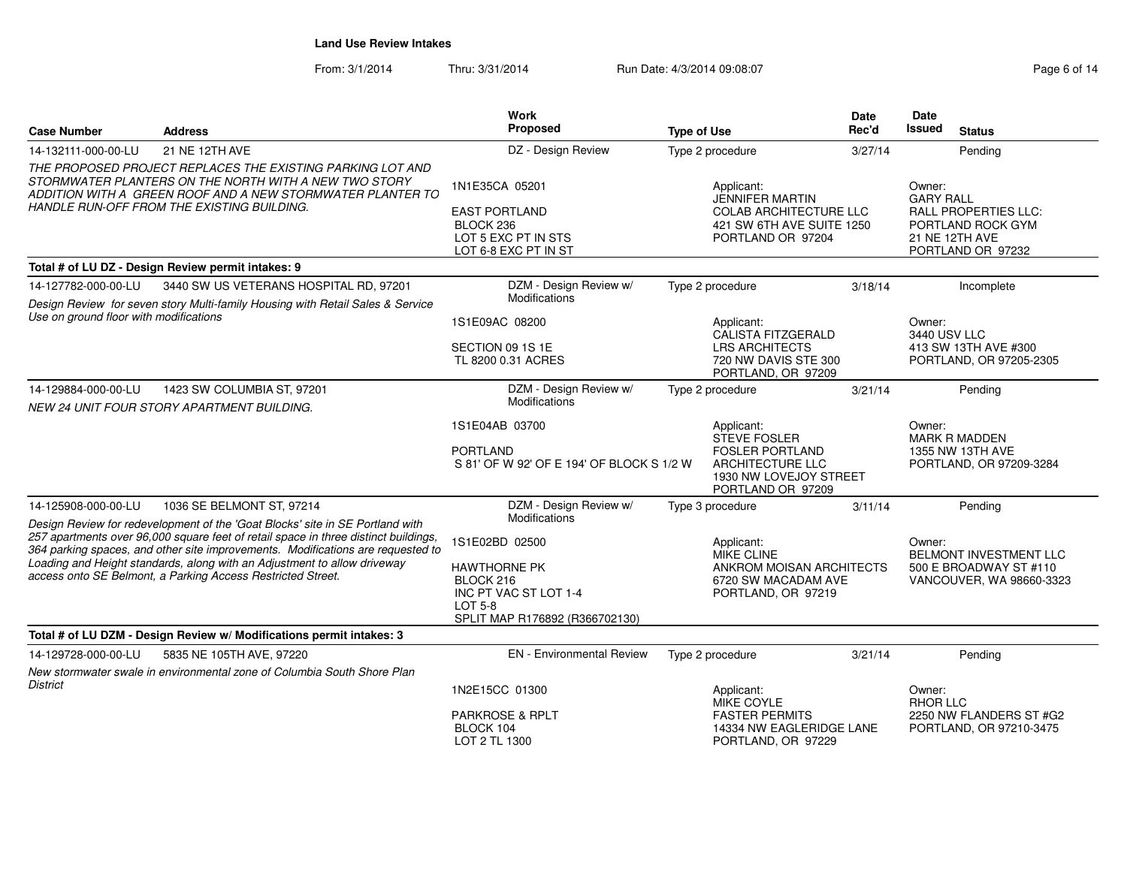From: 3/1/2014Thru: 3/31/2014 Run Date: 4/3/2014 09:08:07 Rege 6 of 14

| <b>Case Number</b>                     | <b>Address</b>                                                                                                                                                                                                                                                                                                                                                                                     | <b>Work</b><br>Proposed                                                                                                         | <b>Type of Use</b>                                                                                                             | Date<br>Rec'd | Date<br>Issued<br><b>Status</b>                                                                                |  |
|----------------------------------------|----------------------------------------------------------------------------------------------------------------------------------------------------------------------------------------------------------------------------------------------------------------------------------------------------------------------------------------------------------------------------------------------------|---------------------------------------------------------------------------------------------------------------------------------|--------------------------------------------------------------------------------------------------------------------------------|---------------|----------------------------------------------------------------------------------------------------------------|--|
| 14-132111-000-00-LU                    | 21 NE 12TH AVE                                                                                                                                                                                                                                                                                                                                                                                     | DZ - Design Review                                                                                                              | Type 2 procedure                                                                                                               | 3/27/14       | Pendina                                                                                                        |  |
|                                        | THE PROPOSED PROJECT REPLACES THE EXISTING PARKING LOT AND<br>STORMWATER PLANTERS ON THE NORTH WITH A NEW TWO STORY<br>ADDITION WITH A GREEN ROOF AND A NEW STORMWATER PLANTER TO<br>HANDLE RUN-OFF FROM THE EXISTING BUILDING.                                                                                                                                                                    | 1N1E35CA 05201<br><b>EAST PORTLAND</b><br>BLOCK 236<br>LOT 5 EXC PT IN STS<br>LOT 6-8 EXC PT IN ST                              | Applicant:<br><b>JENNIFER MARTIN</b><br><b>COLAB ARCHITECTURE LLC</b><br>421 SW 6TH AVE SUITE 1250<br>PORTLAND OR 97204        |               | Owner:<br><b>GARY RALL</b><br>RALL PROPERTIES LLC:<br>PORTLAND ROCK GYM<br>21 NE 12TH AVE<br>PORTLAND OR 97232 |  |
|                                        | Total # of LU DZ - Design Review permit intakes: 9                                                                                                                                                                                                                                                                                                                                                 |                                                                                                                                 |                                                                                                                                |               |                                                                                                                |  |
| 14-127782-000-00-LU                    | 3440 SW US VETERANS HOSPITAL RD, 97201<br>Design Review for seven story Multi-family Housing with Retail Sales & Service                                                                                                                                                                                                                                                                           | DZM - Design Review w/<br>Modifications                                                                                         | Type 2 procedure                                                                                                               | 3/18/14       | Incomplete                                                                                                     |  |
| Use on ground floor with modifications |                                                                                                                                                                                                                                                                                                                                                                                                    | 1S1E09AC 08200<br>SECTION 09 1S 1E<br>TL 8200 0.31 ACRES                                                                        | Applicant:<br><b>CALISTA FITZGERALD</b><br><b>LRS ARCHITECTS</b><br>720 NW DAVIS STE 300<br>PORTLAND, OR 97209                 |               | Owner:<br>3440 USV LLC<br>413 SW 13TH AVE #300<br>PORTLAND, OR 97205-2305                                      |  |
| 14-129884-000-00-LU                    | 1423 SW COLUMBIA ST, 97201<br>NEW 24 UNIT FOUR STORY APARTMENT BUILDING.                                                                                                                                                                                                                                                                                                                           | DZM - Design Review w/<br>Modifications                                                                                         | Type 2 procedure                                                                                                               | 3/21/14       | Pending                                                                                                        |  |
|                                        |                                                                                                                                                                                                                                                                                                                                                                                                    | 1S1E04AB 03700<br><b>PORTLAND</b><br>S 81' OF W 92' OF E 194' OF BLOCK S 1/2 W                                                  | Applicant:<br><b>STEVE FOSLER</b><br><b>FOSLER PORTLAND</b><br>ARCHITECTURE LLC<br>1930 NW LOVEJOY STREET<br>PORTLAND OR 97209 |               | Owner:<br><b>MARK R MADDEN</b><br>1355 NW 13TH AVE<br>PORTLAND, OR 97209-3284                                  |  |
| 14-125908-000-00-LU                    | 1036 SE BELMONT ST, 97214                                                                                                                                                                                                                                                                                                                                                                          | DZM - Design Review w/<br>Modifications                                                                                         | Type 3 procedure                                                                                                               | 3/11/14       | Pending                                                                                                        |  |
|                                        | Design Review for redevelopment of the 'Goat Blocks' site in SE Portland with<br>257 apartments over 96,000 square feet of retail space in three distinct buildings,<br>364 parking spaces, and other site improvements. Modifications are requested to<br>Loading and Height standards, along with an Adjustment to allow driveway<br>access onto SE Belmont, a Parking Access Restricted Street. | 1S1E02BD 02500<br><b>HAWTHORNE PK</b><br>BLOCK 216<br>INC PT VAC ST LOT 1-4<br><b>LOT 5-8</b><br>SPLIT MAP R176892 (R366702130) | Applicant:<br><b>MIKE CLINE</b><br>ANKROM MOISAN ARCHITECTS<br>6720 SW MACADAM AVE<br>PORTLAND, OR 97219                       |               | Owner:<br>BELMONT INVESTMENT LLC<br>500 E BROADWAY ST #110<br>VANCOUVER, WA 98660-3323                         |  |
|                                        | Total # of LU DZM - Design Review w/ Modifications permit intakes: 3                                                                                                                                                                                                                                                                                                                               |                                                                                                                                 |                                                                                                                                |               |                                                                                                                |  |
| 14-129728-000-00-LU                    | 5835 NE 105TH AVE, 97220                                                                                                                                                                                                                                                                                                                                                                           | <b>EN</b> - Environmental Review                                                                                                | Type 2 procedure                                                                                                               | 3/21/14       | Pendina                                                                                                        |  |
| <b>District</b>                        | New stormwater swale in environmental zone of Columbia South Shore Plan                                                                                                                                                                                                                                                                                                                            | 1N2E15CC 01300<br><b>PARKROSE &amp; RPLT</b><br>BLOCK 104<br>LOT 2 TL 1300                                                      | Applicant:<br>MIKE COYLE<br><b>FASTER PERMITS</b><br>14334 NW EAGLERIDGE LANE<br>PORTLAND, OR 97229                            |               | Owner:<br><b>RHOR LLC</b><br>2250 NW FLANDERS ST #G2<br>PORTLAND, OR 97210-3475                                |  |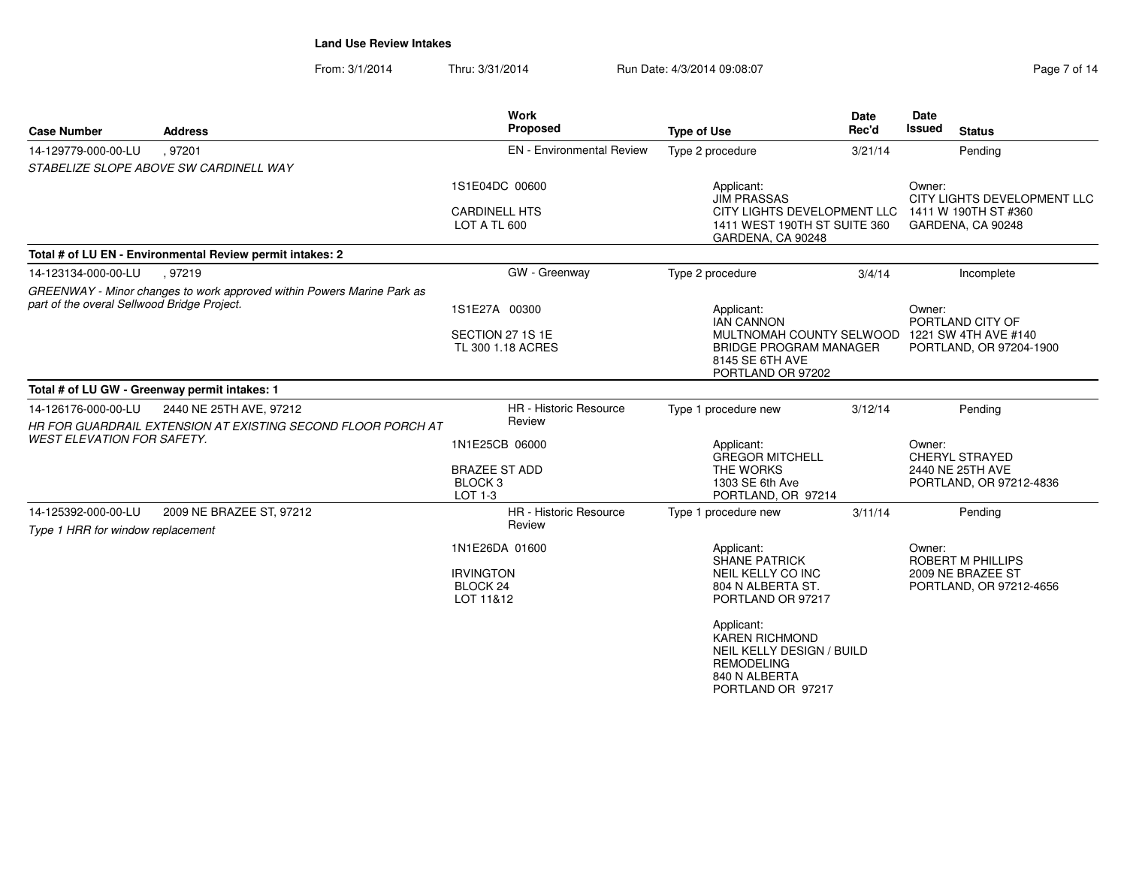From: 3/1/2014Thru: 3/31/2014 Run Date: 4/3/2014 09:08:07 Rege 7 of 14

| <b>Case Number</b>                                                                                                    | <b>Address</b>                                               | <b>Work</b><br>Proposed                                     | <b>Type of Use</b>                                                                                                          | Date<br>Rec'd | <b>Date</b><br><b>Issued</b><br><b>Status</b>                                      |
|-----------------------------------------------------------------------------------------------------------------------|--------------------------------------------------------------|-------------------------------------------------------------|-----------------------------------------------------------------------------------------------------------------------------|---------------|------------------------------------------------------------------------------------|
| 14-129779-000-00-LU                                                                                                   | .97201                                                       | <b>EN</b> - Environmental Review                            | Type 2 procedure                                                                                                            | 3/21/14       | Pending                                                                            |
|                                                                                                                       | STABELIZE SLOPE ABOVE SW CARDINELL WAY                       |                                                             |                                                                                                                             |               |                                                                                    |
|                                                                                                                       |                                                              | 1S1E04DC 00600                                              | Applicant:<br><b>JIM PRASSAS</b>                                                                                            |               | Owner:<br>CITY LIGHTS DEVELOPMENT LLC                                              |
|                                                                                                                       |                                                              | <b>CARDINELL HTS</b><br>LOT A TL 600                        | CITY LIGHTS DEVELOPMENT LLC<br>1411 WEST 190TH ST SUITE 360<br>GARDENA, CA 90248                                            |               | 1411 W 190TH ST #360<br>GARDENA, CA 90248                                          |
|                                                                                                                       | Total # of LU EN - Environmental Review permit intakes: 2    |                                                             |                                                                                                                             |               |                                                                                    |
| 14-123134-000-00-LU                                                                                                   | .97219                                                       | GW - Greenway                                               | Type 2 procedure                                                                                                            | 3/4/14        | Incomplete                                                                         |
| GREENWAY - Minor changes to work approved within Powers Marine Park as<br>part of the overal Sellwood Bridge Project. |                                                              | 1S1E27A 00300                                               | Applicant:<br><b>IAN CANNON</b>                                                                                             |               | Owner:<br>PORTLAND CITY OF                                                         |
|                                                                                                                       |                                                              | SECTION 27 1S 1E<br>TL 300 1.18 ACRES                       | <b>BRIDGE PROGRAM MANAGER</b><br>8145 SE 6TH AVE<br>PORTLAND OR 97202                                                       |               | MULTNOMAH COUNTY SELWOOD 1221 SW 4TH AVE #140<br>PORTLAND, OR 97204-1900           |
|                                                                                                                       | Total # of LU GW - Greenway permit intakes: 1                |                                                             |                                                                                                                             |               |                                                                                    |
| 14-126176-000-00-LU                                                                                                   | 2440 NE 25TH AVE, 97212                                      | <b>HR</b> - Historic Resource                               | Type 1 procedure new                                                                                                        | 3/12/14       | Pending                                                                            |
|                                                                                                                       | HR FOR GUARDRAIL EXTENSION AT EXISTING SECOND FLOOR PORCH AT | Review                                                      |                                                                                                                             |               |                                                                                    |
| <b>WEST ELEVATION FOR SAFETY.</b>                                                                                     |                                                              | 1N1E25CB 06000                                              | Applicant:<br><b>GREGOR MITCHELL</b>                                                                                        |               |                                                                                    |
|                                                                                                                       |                                                              | <b>BRAZEE ST ADD</b><br>BLOCK <sub>3</sub><br>LOT 1-3       | THE WORKS<br>1303 SE 6th Ave<br>PORTLAND, OR 97214                                                                          |               | 2440 NE 25TH AVE<br>PORTLAND, OR 97212-4836                                        |
| 14-125392-000-00-LU                                                                                                   | 2009 NE BRAZEE ST, 97212                                     | <b>HR</b> - Historic Resource                               | Type 1 procedure new                                                                                                        | 3/11/14       | Pending                                                                            |
| Type 1 HRR for window replacement                                                                                     |                                                              | Review                                                      |                                                                                                                             |               |                                                                                    |
|                                                                                                                       |                                                              | 1N1E26DA 01600<br><b>IRVINGTON</b><br>BLOCK 24<br>LOT 11&12 | Applicant:<br><b>SHANE PATRICK</b><br>NEIL KELLY CO INC<br>804 N ALBERTA ST.<br>PORTLAND OR 97217                           |               | Owner:<br><b>ROBERT M PHILLIPS</b><br>2009 NE BRAZEE ST<br>PORTLAND, OR 97212-4656 |
|                                                                                                                       |                                                              |                                                             | Applicant:<br><b>KAREN RICHMOND</b><br>NEIL KELLY DESIGN / BUILD<br><b>REMODELING</b><br>840 N ALBERTA<br>PORTLAND OR 97217 |               |                                                                                    |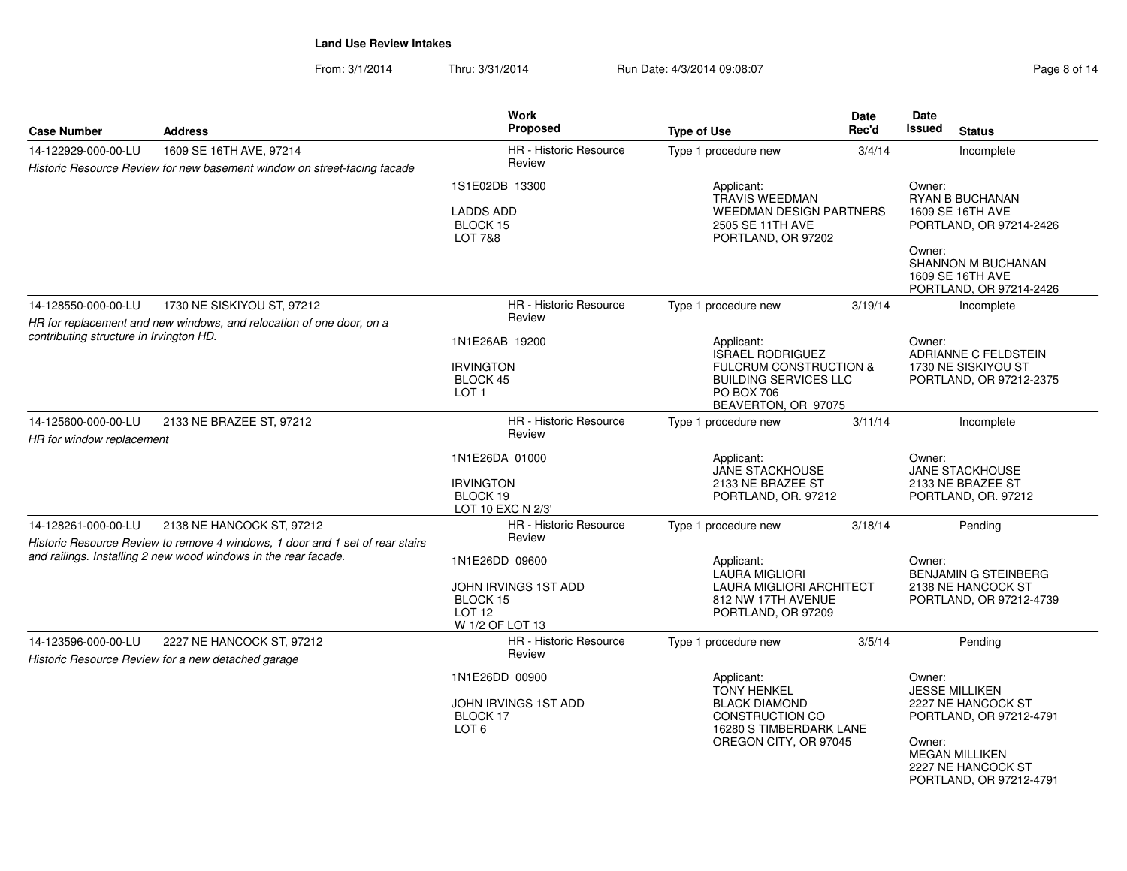From: 3/1/2014Thru: 3/31/2014 Run Date: 4/3/2014 09:08:07 Rege 8 of 14

| <b>Case Number</b>                               | <b>Address</b>                                                                                                                                   | Work<br><b>Proposed</b>                                                                              | <b>Type of Use</b>                                                                                                                              | Date<br>Rec'd                                                         | <b>Date</b><br><b>Issued</b><br><b>Status</b>                                          |  |
|--------------------------------------------------|--------------------------------------------------------------------------------------------------------------------------------------------------|------------------------------------------------------------------------------------------------------|-------------------------------------------------------------------------------------------------------------------------------------------------|-----------------------------------------------------------------------|----------------------------------------------------------------------------------------|--|
| 14-122929-000-00-LU                              | 1609 SE 16TH AVE, 97214                                                                                                                          | HR - Historic Resource                                                                               | Type 1 procedure new                                                                                                                            | 3/4/14                                                                | Incomplete                                                                             |  |
|                                                  | Historic Resource Review for new basement window on street-facing facade                                                                         | Review                                                                                               |                                                                                                                                                 |                                                                       |                                                                                        |  |
|                                                  |                                                                                                                                                  | 1S1E02DB 13300                                                                                       | Applicant:                                                                                                                                      | Owner:                                                                |                                                                                        |  |
|                                                  |                                                                                                                                                  | <b>LADDS ADD</b><br>BLOCK 15<br><b>LOT 7&amp;8</b>                                                   | <b>TRAVIS WEEDMAN</b><br><b>WEEDMAN DESIGN PARTNERS</b><br>2505 SE 11TH AVE<br>PORTLAND, OR 97202                                               |                                                                       | <b>RYAN B BUCHANAN</b><br>1609 SE 16TH AVE<br>PORTLAND, OR 97214-2426<br>Owner:        |  |
|                                                  |                                                                                                                                                  |                                                                                                      |                                                                                                                                                 |                                                                       | <b>SHANNON M BUCHANAN</b><br>1609 SE 16TH AVE<br>PORTLAND, OR 97214-2426               |  |
| 14-128550-000-00-LU                              | 1730 NE SISKIYOU ST, 97212                                                                                                                       | HR - Historic Resource                                                                               | Type 1 procedure new                                                                                                                            | 3/19/14                                                               | Incomplete                                                                             |  |
|                                                  | HR for replacement and new windows, and relocation of one door, on a                                                                             | Review                                                                                               |                                                                                                                                                 |                                                                       |                                                                                        |  |
| contributing structure in Irvington HD.          |                                                                                                                                                  | 1N1E26AB 19200<br><b>IRVINGTON</b><br><b>BLOCK 45</b><br>LOT <sub>1</sub>                            | Applicant:<br>ISRAEL RODRIGUEZ<br><b>FULCRUM CONSTRUCTION &amp;</b><br><b>BUILDING SERVICES LLC</b><br><b>PO BOX 706</b><br>BEAVERTON, OR 97075 |                                                                       | Owner:<br>ADRIANNE C FELDSTEIN<br>1730 NE SISKIYOU ST<br>PORTLAND, OR 97212-2375       |  |
| 14-125600-000-00-LU<br>HR for window replacement | 2133 NE BRAZEE ST, 97212                                                                                                                         | <b>HR</b> - Historic Resource<br>Review                                                              | Type 1 procedure new                                                                                                                            | 3/11/14                                                               | Incomplete                                                                             |  |
|                                                  |                                                                                                                                                  | 1N1E26DA 01000<br><b>IRVINGTON</b><br>BLOCK 19<br>LOT 10 EXC N 2/3'                                  | Applicant:<br>JANE STACKHOUSE<br>2133 NE BRAZEE ST<br>PORTLAND, OR. 97212                                                                       | Owner:<br>JANE STACKHOUSE<br>2133 NE BRAZEE ST<br>PORTLAND, OR. 97212 |                                                                                        |  |
| 14-128261-000-00-LU                              | 2138 NE HANCOCK ST, 97212                                                                                                                        | HR - Historic Resource                                                                               | Type 1 procedure new                                                                                                                            | 3/18/14                                                               | Pending                                                                                |  |
|                                                  | Historic Resource Review to remove 4 windows, 1 door and 1 set of rear stairs<br>and railings. Installing 2 new wood windows in the rear facade. | Review<br>1N1E26DD 09600<br>JOHN IRVINGS 1ST ADD<br>BLOCK 15<br>LOT <sub>12</sub><br>W 1/2 OF LOT 13 | Applicant:<br><b>LAURA MIGLIORI</b><br><b>LAURA MIGLIORI ARCHITECT</b><br>812 NW 17TH AVENUE<br>PORTLAND, OR 97209                              |                                                                       | Owner:<br><b>BENJAMIN G STEINBERG</b><br>2138 NE HANCOCK ST<br>PORTLAND, OR 97212-4739 |  |
| 14-123596-000-00-LU                              | 2227 NE HANCOCK ST, 97212<br>Historic Resource Review for a new detached garage                                                                  | HR - Historic Resource<br>Review                                                                     | Type 1 procedure new                                                                                                                            | 3/5/14                                                                | Pending                                                                                |  |
|                                                  |                                                                                                                                                  | 1N1E26DD 00900                                                                                       | Applicant:<br><b>TONY HENKEL</b>                                                                                                                |                                                                       | Owner:<br><b>JESSE MILLIKEN</b>                                                        |  |
|                                                  |                                                                                                                                                  | JOHN IRVINGS 1ST ADD<br>BLOCK 17<br>LOT <sub>6</sub>                                                 | <b>BLACK DIAMOND</b><br>CONSTRUCTION CO<br>16280 S TIMBERDARK LANE                                                                              |                                                                       | 2227 NE HANCOCK ST<br>PORTLAND, OR 97212-4791                                          |  |
|                                                  |                                                                                                                                                  |                                                                                                      | OREGON CITY, OR 97045                                                                                                                           |                                                                       | Owner:<br><b>MEGAN MILLIKEN</b><br>2227 NE HANCOCK ST<br>PORTLAND, OR 97212-4791       |  |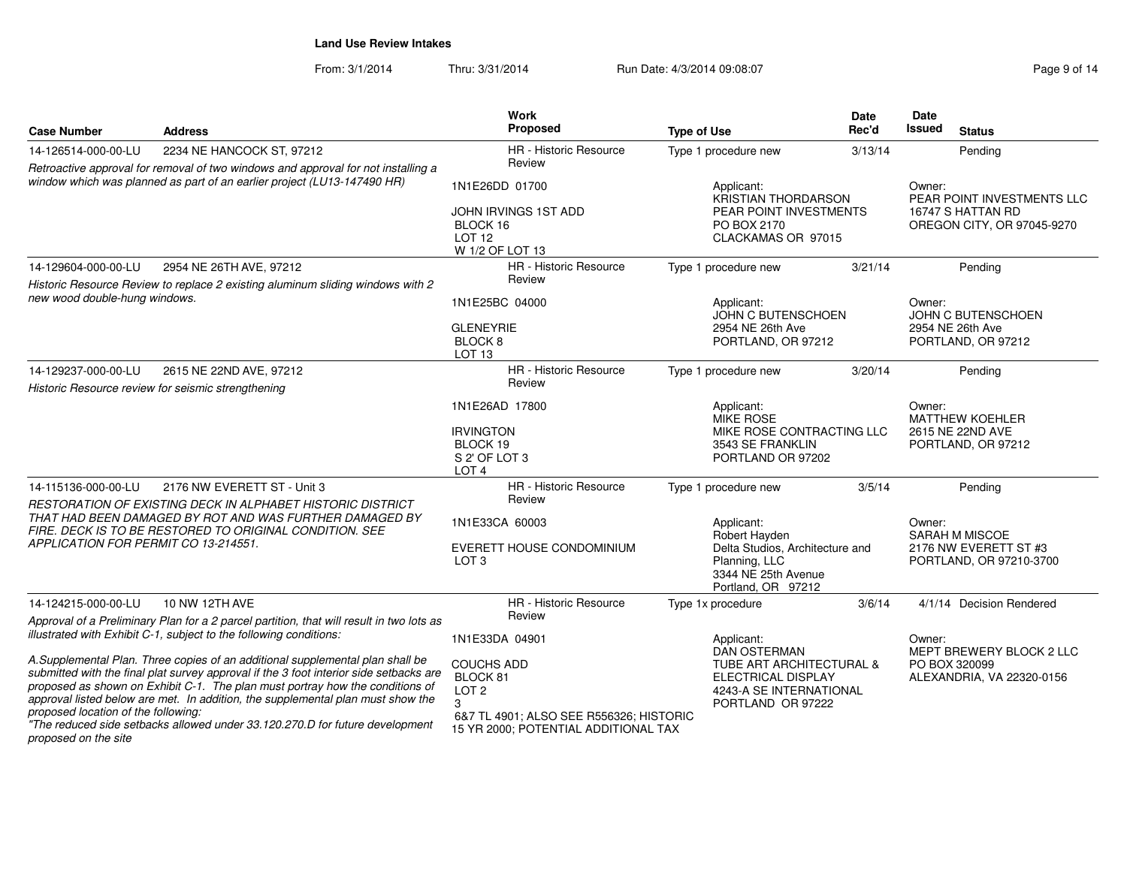From: 3/1/2014Thru: 3/31/2014 Run Date: 4/3/2014 09:08:07 Rege 9 of 14

| <b>Case Number</b>                                                                                                                                                                                                       | <b>Address</b>                                                                                                                                                                                                                                                                                                                                                                                                                                                                                                | Work<br><b>Proposed</b>                                                                                                       | <b>Type of Use</b>                                                                                                                                    | <b>Date</b><br>Rec'd | Date<br><b>Issued</b><br><b>Status</b>                                                  |  |
|--------------------------------------------------------------------------------------------------------------------------------------------------------------------------------------------------------------------------|---------------------------------------------------------------------------------------------------------------------------------------------------------------------------------------------------------------------------------------------------------------------------------------------------------------------------------------------------------------------------------------------------------------------------------------------------------------------------------------------------------------|-------------------------------------------------------------------------------------------------------------------------------|-------------------------------------------------------------------------------------------------------------------------------------------------------|----------------------|-----------------------------------------------------------------------------------------|--|
| 14-126514-000-00-LU                                                                                                                                                                                                      | 2234 NE HANCOCK ST, 97212                                                                                                                                                                                                                                                                                                                                                                                                                                                                                     | <b>HR</b> - Historic Resource                                                                                                 | Type 1 procedure new                                                                                                                                  | 3/13/14              | Pending                                                                                 |  |
|                                                                                                                                                                                                                          | Retroactive approval for removal of two windows and approval for not installing a<br>window which was planned as part of an earlier project (LU13-147490 HR)                                                                                                                                                                                                                                                                                                                                                  | Review<br>1N1E26DD 01700<br>JOHN IRVINGS 1ST ADD<br>BLOCK 16<br><b>LOT 12</b><br>W 1/2 OF LOT 13                              | Applicant:<br>KRISTIAN THORDARSON<br>PEAR POINT INVESTMENTS<br>PO BOX 2170<br>CLACKAMAS OR 97015                                                      |                      | Owner:<br>PEAR POINT INVESTMENTS LLC<br>16747 S HATTAN RD<br>OREGON CITY, OR 97045-9270 |  |
| 14-129604-000-00-LU                                                                                                                                                                                                      | 2954 NE 26TH AVE, 97212                                                                                                                                                                                                                                                                                                                                                                                                                                                                                       | <b>HR</b> - Historic Resource                                                                                                 | Type 1 procedure new                                                                                                                                  | 3/21/14              | Pending                                                                                 |  |
| new wood double-hung windows.                                                                                                                                                                                            | Historic Resource Review to replace 2 existing aluminum sliding windows with 2                                                                                                                                                                                                                                                                                                                                                                                                                                | Review<br>1N1E25BC 04000<br><b>GLENEYRIE</b><br>BLOCK <sub>8</sub><br>LOT <sub>13</sub>                                       | Applicant:<br>JOHN C BUTENSCHOEN<br>2954 NE 26th Ave<br>PORTLAND, OR 97212                                                                            |                      | Owner:<br>JOHN C BUTENSCHOEN<br>2954 NE 26th Ave<br>PORTLAND, OR 97212                  |  |
| 14-129237-000-00-LU                                                                                                                                                                                                      | 2615 NE 22ND AVE, 97212                                                                                                                                                                                                                                                                                                                                                                                                                                                                                       | <b>HR</b> - Historic Resource<br>Review                                                                                       | Type 1 procedure new                                                                                                                                  | 3/20/14              | Pending                                                                                 |  |
|                                                                                                                                                                                                                          | Historic Resource review for seismic strengthening                                                                                                                                                                                                                                                                                                                                                                                                                                                            | 1N1E26AD 17800<br><b>IRVINGTON</b><br>BLOCK 19<br>S 2' OF LOT 3<br>LOT <sub>4</sub>                                           | Applicant:<br><b>MIKE ROSE</b><br>MIKE ROSE CONTRACTING LLC<br>3543 SE FRANKLIN<br>PORTLAND OR 97202                                                  |                      | Owner:<br><b>MATTHEW KOEHLER</b><br>2615 NE 22ND AVE<br>PORTLAND, OR 97212              |  |
| 14-115136-000-00-LU                                                                                                                                                                                                      | 2176 NW EVERETT ST - Unit 3                                                                                                                                                                                                                                                                                                                                                                                                                                                                                   | HR - Historic Resource<br>Review                                                                                              | Type 1 procedure new                                                                                                                                  | 3/5/14               | Pending                                                                                 |  |
| RESTORATION OF EXISTING DECK IN ALPHABET HISTORIC DISTRICT<br>THAT HAD BEEN DAMAGED BY ROT AND WAS FURTHER DAMAGED BY<br>FIRE. DECK IS TO BE RESTORED TO ORIGINAL CONDITION. SEE<br>APPLICATION FOR PERMIT CO 13-214551. |                                                                                                                                                                                                                                                                                                                                                                                                                                                                                                               | 1N1E33CA 60003<br>EVERETT HOUSE CONDOMINIUM<br>LOT 3                                                                          | Applicant:<br>Robert Hayden<br>Delta Studios, Architecture and<br>Planning, LLC<br>3344 NE 25th Avenue<br>Portland, OR 97212                          |                      | Owner:<br>SARAH M MISCOE<br>2176 NW EVERETT ST #3<br>PORTLAND, OR 97210-3700            |  |
| 14-124215-000-00-LU                                                                                                                                                                                                      | 10 NW 12TH AVE                                                                                                                                                                                                                                                                                                                                                                                                                                                                                                | HR - Historic Resource                                                                                                        | Type 1x procedure                                                                                                                                     | 3/6/14               | 4/1/14 Decision Rendered                                                                |  |
| proposed location of the following:                                                                                                                                                                                      | Approval of a Preliminary Plan for a 2 parcel partition, that will result in two lots as<br>illustrated with Exhibit C-1, subject to the following conditions:<br>A.Supplemental Plan. Three copies of an additional supplemental plan shall be<br>submitted with the final plat survey approval if the 3 foot interior side setbacks are<br>proposed as shown on Exhibit C-1. The plan must portray how the conditions of<br>approval listed below are met. In addition, the supplemental plan must show the | Review<br>1N1E33DA 04901<br><b>COUCHS ADD</b><br>BLOCK 81<br>LOT <sub>2</sub><br>3<br>6&7 TL 4901; ALSO SEE R556326; HISTORIC | Applicant:<br><b>DAN OSTERMAN</b><br><b>TUBE ART ARCHITECTURAL &amp;</b><br><b>ELECTRICAL DISPLAY</b><br>4243-A SE INTERNATIONAL<br>PORTLAND OR 97222 |                      | Owner:<br>MEPT BREWERY BLOCK 2 LLC<br>PO BOX 320099<br>ALEXANDRIA, VA 22320-0156        |  |
| proposed on the site                                                                                                                                                                                                     | "The reduced side setbacks allowed under 33.120.270.D for future development                                                                                                                                                                                                                                                                                                                                                                                                                                  | 15 YR 2000; POTENTIAL ADDITIONAL TAX                                                                                          |                                                                                                                                                       |                      |                                                                                         |  |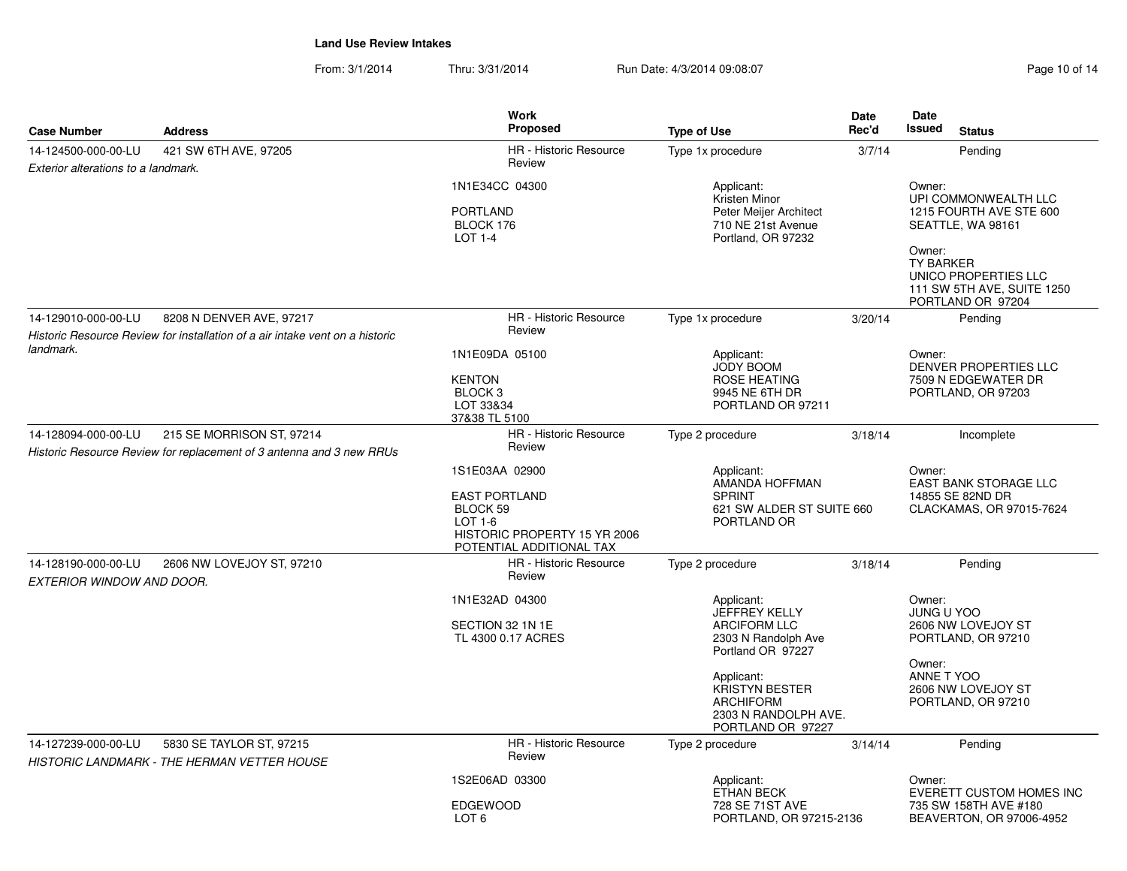From: 3/1/2014Thru: 3/31/2014 Run Date: 4/3/2014 09:08:07 Research 2010 01:14

| <b>Case Number</b>                                         | <b>Address</b>                                                                 | <b>Work</b><br>Proposed                                                                                                   | <b>Type of Use</b>                                                                                                                                                                                            | <b>Date</b><br>Rec'd | Date<br><b>Issued</b><br><b>Status</b>                                                                                                                                                  |
|------------------------------------------------------------|--------------------------------------------------------------------------------|---------------------------------------------------------------------------------------------------------------------------|---------------------------------------------------------------------------------------------------------------------------------------------------------------------------------------------------------------|----------------------|-----------------------------------------------------------------------------------------------------------------------------------------------------------------------------------------|
| 14-124500-000-00-LU<br>Exterior alterations to a landmark. | 421 SW 6TH AVE, 97205                                                          | <b>HR</b> - Historic Resource<br>Review                                                                                   | Type 1x procedure                                                                                                                                                                                             | 3/7/14               | Pending                                                                                                                                                                                 |
|                                                            |                                                                                | 1N1E34CC 04300<br><b>PORTLAND</b><br>BLOCK 176<br><b>LOT 1-4</b>                                                          | Applicant:<br>Kristen Minor<br>Peter Meijer Architect<br>710 NE 21st Avenue<br>Portland, OR 97232                                                                                                             |                      | Owner:<br>UPI COMMONWEALTH LLC<br>1215 FOURTH AVE STE 600<br>SEATTLE, WA 98161<br>Owner:<br><b>TY BARKER</b><br>UNICO PROPERTIES LLC<br>111 SW 5TH AVE, SUITE 1250<br>PORTLAND OR 97204 |
| 14-129010-000-00-LU                                        | 8208 N DENVER AVE, 97217                                                       | HR - Historic Resource                                                                                                    | Type 1x procedure                                                                                                                                                                                             | 3/20/14              | Pending                                                                                                                                                                                 |
|                                                            | Historic Resource Review for installation of a air intake vent on a historic   | Review                                                                                                                    |                                                                                                                                                                                                               |                      |                                                                                                                                                                                         |
| landmark.                                                  |                                                                                | 1N1E09DA 05100<br><b>KENTON</b><br>BLOCK <sub>3</sub><br>LOT 33&34<br>37&38 TL 5100                                       | Applicant:<br><b>JODY BOOM</b><br><b>ROSE HEATING</b><br>9945 NE 6TH DR<br>PORTLAND OR 97211                                                                                                                  |                      | Owner:<br>DENVER PROPERTIES LLC<br>7509 N EDGEWATER DR<br>PORTLAND, OR 97203                                                                                                            |
| 14-128094-000-00-LU                                        | 215 SE MORRISON ST. 97214                                                      | HR - Historic Resource                                                                                                    | Type 2 procedure                                                                                                                                                                                              | 3/18/14              | Incomplete                                                                                                                                                                              |
|                                                            | Historic Resource Review for replacement of 3 antenna and 3 new RRUs           | Review                                                                                                                    |                                                                                                                                                                                                               |                      |                                                                                                                                                                                         |
|                                                            |                                                                                | 1S1E03AA 02900<br><b>EAST PORTLAND</b><br>BLOCK 59<br>LOT 1-6<br>HISTORIC PROPERTY 15 YR 2006<br>POTENTIAL ADDITIONAL TAX | Applicant:<br>AMANDA HOFFMAN<br><b>SPRINT</b><br>621 SW ALDER ST SUITE 660<br>PORTLAND OR                                                                                                                     |                      | Owner:<br><b>EAST BANK STORAGE LLC</b><br>14855 SE 82ND DR<br>CLACKAMAS, OR 97015-7624                                                                                                  |
| 14-128190-000-00-LU<br>EXTERIOR WINDOW AND DOOR.           | 2606 NW LOVEJOY ST, 97210                                                      | HR - Historic Resource<br>Review                                                                                          | Type 2 procedure                                                                                                                                                                                              | 3/18/14              | Pending                                                                                                                                                                                 |
|                                                            |                                                                                | 1N1E32AD 04300<br>SECTION 32 1N 1E<br>TL 4300 0.17 ACRES                                                                  | Applicant:<br><b>JEFFREY KELLY</b><br><b>ARCIFORM LLC</b><br>2303 N Randolph Ave<br>Portland OR 97227<br>Applicant:<br><b>KRISTYN BESTER</b><br><b>ARCHIFORM</b><br>2303 N RANDOLPH AVE.<br>PORTLAND OR 97227 |                      | Owner:<br><b>JUNG U YOO</b><br>2606 NW LOVEJOY ST<br>PORTLAND, OR 97210<br>Owner:<br>ANNE T YOO<br>2606 NW LOVEJOY ST<br>PORTLAND, OR 97210                                             |
| 14-127239-000-00-LU                                        | 5830 SE TAYLOR ST, 97215<br><b>HISTORIC LANDMARK - THE HERMAN VETTER HOUSE</b> | HR - Historic Resource<br>Review                                                                                          | Type 2 procedure                                                                                                                                                                                              | 3/14/14              | Pending                                                                                                                                                                                 |
|                                                            |                                                                                | 1S2E06AD 03300                                                                                                            | Applicant:                                                                                                                                                                                                    |                      | Owner:                                                                                                                                                                                  |
|                                                            |                                                                                | <b>EDGEWOOD</b><br>LOT <sub>6</sub>                                                                                       | <b>ETHAN BECK</b><br>728 SE 71ST AVE<br>PORTLAND, OR 97215-2136                                                                                                                                               |                      | EVERETT CUSTOM HOMES INC<br>735 SW 158TH AVE #180<br>BEAVERTON, OR 97006-4952                                                                                                           |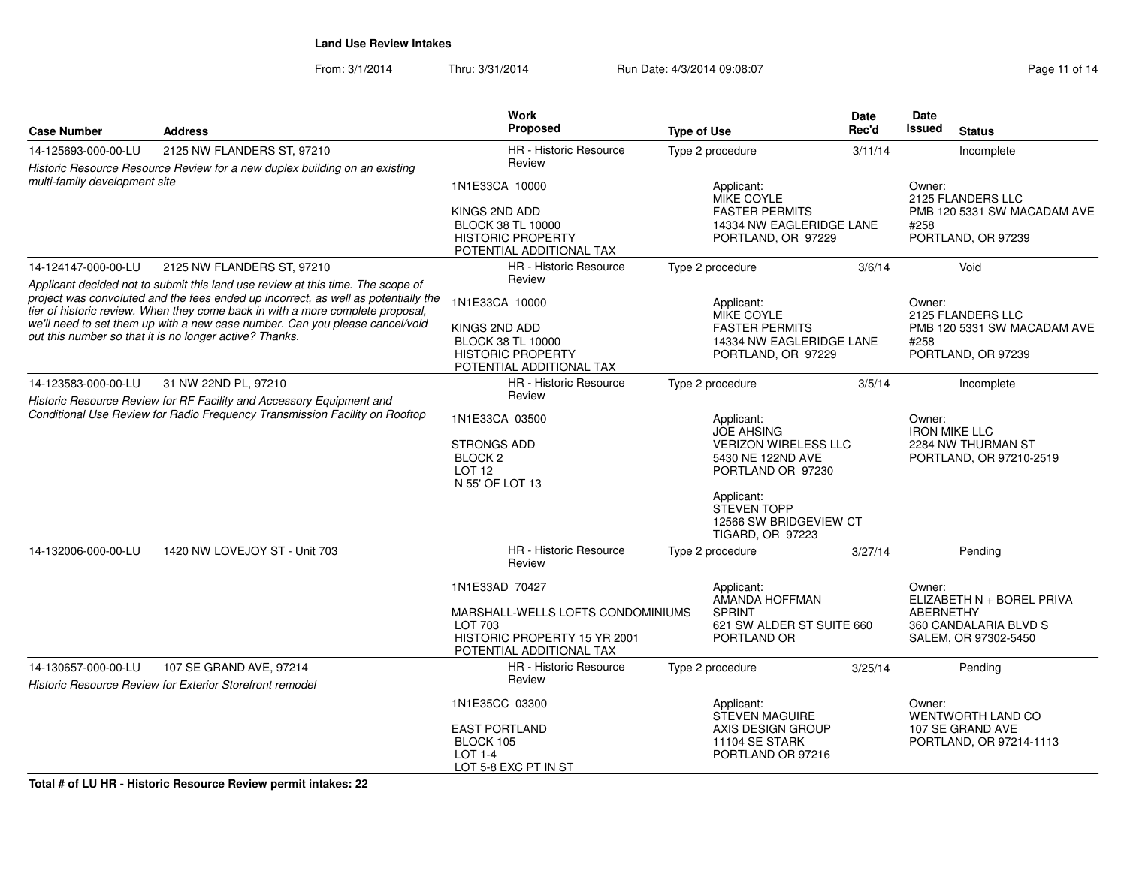From: 3/1/2014Thru: 3/31/2014 Run Date: 4/3/2014 09:08:07 Rege 11 of 14

| <b>Case Number</b>            | <b>Address</b>                                                                                                                                                       | Work<br><b>Proposed</b>                              | <b>Type of Use</b>              |                                                  | <b>Date</b><br>Rec'd | Date<br>Issued              | <b>Status</b>                                 |
|-------------------------------|----------------------------------------------------------------------------------------------------------------------------------------------------------------------|------------------------------------------------------|---------------------------------|--------------------------------------------------|----------------------|-----------------------------|-----------------------------------------------|
| 14-125693-000-00-LU           | 2125 NW FLANDERS ST, 97210                                                                                                                                           | HR - Historic Resource                               |                                 | Type 2 procedure                                 | 3/11/14              |                             | Incomplete                                    |
|                               | Historic Resource Resource Review for a new duplex building on an existing                                                                                           | Review                                               |                                 |                                                  |                      |                             |                                               |
| multi-family development site |                                                                                                                                                                      | 1N1E33CA 10000                                       | Applicant:<br><b>MIKE COYLE</b> |                                                  |                      | Owner:                      | 2125 FLANDERS LLC                             |
|                               |                                                                                                                                                                      | KINGS 2ND ADD                                        |                                 | <b>FASTER PERMITS</b>                            |                      |                             | PMB 120 5331 SW MACADAM AVE                   |
|                               |                                                                                                                                                                      | <b>BLOCK 38 TL 10000</b><br><b>HISTORIC PROPERTY</b> |                                 | 14334 NW EAGLERIDGE LANE<br>PORTLAND, OR 97229   |                      | #258                        | PORTLAND, OR 97239                            |
|                               |                                                                                                                                                                      | POTENTIAL ADDITIONAL TAX                             |                                 |                                                  |                      |                             |                                               |
| 14-124147-000-00-LU           | 2125 NW FLANDERS ST, 97210<br>Applicant decided not to submit this land use review at this time. The scope of                                                        | <b>HR</b> - Historic Resource<br>Review              |                                 | Type 2 procedure                                 | 3/6/14               |                             | Void                                          |
|                               | project was convoluted and the fees ended up incorrect, as well as potentially the<br>tier of historic review. When they come back in with a more complete proposal, | 1N1E33CA 10000                                       |                                 | Applicant:<br>MIKE COYLE                         |                      | Owner:<br>2125 FLANDERS LLC |                                               |
|                               | we'll need to set them up with a new case number. Can you please cancel/void                                                                                         | KINGS 2ND ADD                                        |                                 | <b>FASTER PERMITS</b>                            |                      |                             | PMB 120 5331 SW MACADAM AVE                   |
|                               | out this number so that it is no longer active? Thanks.                                                                                                              | <b>BLOCK 38 TL 10000</b>                             |                                 | 14334 NW EAGLERIDGE LANE                         |                      | #258                        |                                               |
|                               |                                                                                                                                                                      | <b>HISTORIC PROPERTY</b><br>POTENTIAL ADDITIONAL TAX |                                 | PORTLAND, OR 97229                               |                      | PORTLAND, OR 97239          |                                               |
| 14-123583-000-00-LU           | 31 NW 22ND PL, 97210                                                                                                                                                 | <b>HR</b> - Historic Resource                        |                                 | Type 2 procedure                                 | 3/5/14               |                             | Incomplete                                    |
|                               | Historic Resource Review for RF Facility and Accessory Equipment and                                                                                                 | Review                                               |                                 |                                                  |                      |                             |                                               |
|                               | Conditional Use Review for Radio Frequency Transmission Facility on Rooftop                                                                                          | 1N1E33CA 03500                                       |                                 | Applicant:                                       |                      | Owner:                      |                                               |
|                               |                                                                                                                                                                      | <b>STRONGS ADD</b>                                   |                                 | <b>JOE AHSING</b>                                |                      |                             | <b>IRON MIKE LLC</b><br>2284 NW THURMAN ST    |
|                               |                                                                                                                                                                      | BLOCK <sub>2</sub>                                   |                                 | <b>VERIZON WIRELESS LLC</b><br>5430 NE 122ND AVE |                      |                             | PORTLAND, OR 97210-2519                       |
|                               |                                                                                                                                                                      | <b>LOT 12</b>                                        |                                 | PORTLAND OR 97230                                |                      |                             |                                               |
|                               |                                                                                                                                                                      | N 55' OF LOT 13                                      |                                 |                                                  |                      |                             |                                               |
|                               |                                                                                                                                                                      |                                                      |                                 | Applicant:<br>STEVEN TOPP                        |                      |                             |                                               |
|                               |                                                                                                                                                                      |                                                      |                                 | 12566 SW BRIDGEVIEW CT<br>TIGARD, OR 97223       |                      |                             |                                               |
| 14-132006-000-00-LU           | 1420 NW LOVEJOY ST - Unit 703                                                                                                                                        | HR - Historic Resource<br>Review                     |                                 | Type 2 procedure                                 | 3/27/14              |                             | Pendina                                       |
|                               |                                                                                                                                                                      | 1N1E33AD 70427                                       |                                 | Applicant:<br>AMANDA HOFFMAN                     |                      | Owner:                      | ELIZABETH N + BOREL PRIVA                     |
|                               |                                                                                                                                                                      | MARSHALL-WELLS LOFTS CONDOMINIUMS                    |                                 | <b>SPRINT</b>                                    |                      | <b>ABERNETHY</b>            |                                               |
|                               |                                                                                                                                                                      | LOT 703<br>HISTORIC PROPERTY 15 YR 2001              |                                 | 621 SW ALDER ST SUITE 660<br>PORTLAND OR         |                      |                             | 360 CANDALARIA BLVD S<br>SALEM, OR 97302-5450 |
|                               |                                                                                                                                                                      | POTENTIAL ADDITIONAL TAX                             |                                 |                                                  |                      |                             |                                               |
| 14-130657-000-00-LU           | 107 SE GRAND AVE, 97214                                                                                                                                              | <b>HR</b> - Historic Resource                        |                                 | Type 2 procedure                                 | 3/25/14              |                             | Pending                                       |
|                               | <b>Historic Resource Review for Exterior Storefront remodel</b>                                                                                                      | Review                                               |                                 |                                                  |                      |                             |                                               |
|                               |                                                                                                                                                                      | 1N1E35CC 03300                                       |                                 | Applicant:<br>STEVEN MAGUIRE                     |                      | Owner:                      | WENTWORTH LAND CO                             |
|                               |                                                                                                                                                                      | <b>EAST PORTLAND</b>                                 |                                 | AXIS DESIGN GROUP                                |                      |                             | 107 SE GRAND AVE                              |
|                               |                                                                                                                                                                      | BLOCK 105<br><b>LOT 1-4</b>                          |                                 | 11104 SE STARK<br>PORTLAND OR 97216              |                      |                             | PORTLAND, OR 97214-1113                       |
|                               |                                                                                                                                                                      | LOT 5-8 EXC PT IN ST                                 |                                 |                                                  |                      |                             |                                               |

**Total # of LU HR - Historic Resource Review permit intakes: 22**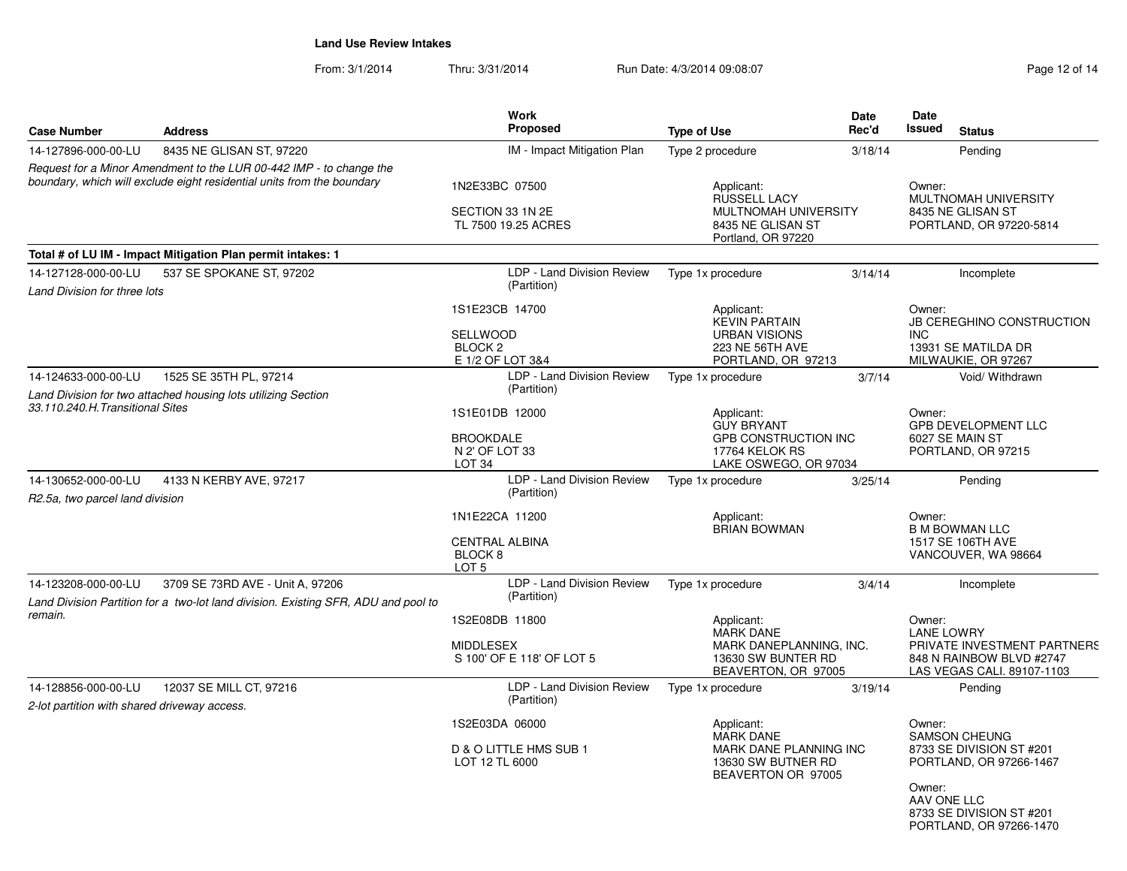From: 3/1/2014Thru: 3/31/2014 Run Date: 4/3/2014 09:08:07 Run Date: 4/3/2014 09:08:07

| <b>Case Number</b>                                                                                                                            | <b>Address</b>                                                                                                         | Work<br><b>Proposed</b>                                                     | <b>Type of Use</b>                                                                                   | Date<br>Rec'd                                                        | Date<br>Issued                                                                                  | <b>Status</b>                                                                                              |  |
|-----------------------------------------------------------------------------------------------------------------------------------------------|------------------------------------------------------------------------------------------------------------------------|-----------------------------------------------------------------------------|------------------------------------------------------------------------------------------------------|----------------------------------------------------------------------|-------------------------------------------------------------------------------------------------|------------------------------------------------------------------------------------------------------------|--|
| 14-127896-000-00-LU                                                                                                                           | 8435 NE GLISAN ST, 97220                                                                                               | IM - Impact Mitigation Plan                                                 | Type 2 procedure                                                                                     | 3/18/14                                                              |                                                                                                 | Pending                                                                                                    |  |
| Request for a Minor Amendment to the LUR 00-442 IMP - to change the<br>boundary, which will exclude eight residential units from the boundary |                                                                                                                        | 1N2E33BC 07500<br>SECTION 33 1N 2E<br>TL 7500 19.25 ACRES                   | Applicant:<br><b>RUSSELL LACY</b><br>MULTNOMAH UNIVERSITY<br>8435 NE GLISAN ST                       |                                                                      | Owner:<br>MULTNOMAH UNIVERSITY<br>8435 NE GLISAN ST<br>PORTLAND, OR 97220-5814                  |                                                                                                            |  |
|                                                                                                                                               | Total # of LU IM - Impact Mitigation Plan permit intakes: 1                                                            |                                                                             | Portland, OR 97220                                                                                   |                                                                      |                                                                                                 |                                                                                                            |  |
| 14-127128-000-00-LU                                                                                                                           | 537 SE SPOKANE ST, 97202                                                                                               | LDP - Land Division Review                                                  | Type 1x procedure                                                                                    | 3/14/14                                                              |                                                                                                 | Incomplete                                                                                                 |  |
| Land Division for three lots                                                                                                                  |                                                                                                                        | (Partition)                                                                 |                                                                                                      |                                                                      |                                                                                                 |                                                                                                            |  |
|                                                                                                                                               |                                                                                                                        | 1S1E23CB 14700<br><b>SELLWOOD</b><br>BLOCK <sub>2</sub><br>E 1/2 OF LOT 3&4 | Applicant:<br><b>KEVIN PARTAIN</b><br><b>URBAN VISIONS</b><br>223 NE 56TH AVE<br>PORTLAND, OR 97213  |                                                                      | Owner:<br>JB CEREGHINO CONSTRUCTION<br><b>INC</b><br>13931 SE MATILDA DR<br>MILWAUKIE, OR 97267 |                                                                                                            |  |
| 14-124633-000-00-LU                                                                                                                           | 1525 SE 35TH PL, 97214                                                                                                 | LDP - Land Division Review                                                  | Type 1x procedure                                                                                    | 3/7/14                                                               |                                                                                                 | Void/ Withdrawn                                                                                            |  |
| Land Division for two attached housing lots utilizing Section<br>33.110.240.H. Transitional Sites                                             |                                                                                                                        | (Partition)<br>1S1E01DB 12000<br><b>BROOKDALE</b>                           | Applicant:<br><b>GUY BRYANT</b>                                                                      | <b>GPB CONSTRUCTION INC</b>                                          |                                                                                                 | Owner:<br><b>GPB DEVELOPMENT LLC</b>                                                                       |  |
|                                                                                                                                               |                                                                                                                        | N 2' OF LOT 33<br>LOT <sub>34</sub>                                         | 17764 KELOK RS<br>LAKE OSWEGO, OR 97034                                                              |                                                                      | 6027 SE MAIN ST<br>PORTLAND, OR 97215                                                           |                                                                                                            |  |
| 14-130652-000-00-LU<br>4133 N KERBY AVE, 97217<br>R2.5a, two parcel land division                                                             |                                                                                                                        | LDP - Land Division Review<br>(Partition)                                   | Type 1x procedure                                                                                    | 3/25/14                                                              |                                                                                                 | Pending                                                                                                    |  |
|                                                                                                                                               |                                                                                                                        | 1N1E22CA 11200<br><b>CENTRAL ALBINA</b><br>BLOCK 8<br>LOT <sub>5</sub>      | Applicant:<br><b>BRIAN BOWMAN</b>                                                                    |                                                                      | Owner:<br><b>B M BOWMAN LLC</b><br>1517 SE 106TH AVE<br>VANCOUVER, WA 98664                     |                                                                                                            |  |
| 14-123208-000-00-LU<br>remain.                                                                                                                | 3709 SE 73RD AVE - Unit A, 97206<br>Land Division Partition for a two-lot land division. Existing SFR, ADU and pool to | LDP - Land Division Review<br>(Partition)                                   | Type 1x procedure                                                                                    | 3/4/14                                                               |                                                                                                 | Incomplete                                                                                                 |  |
|                                                                                                                                               |                                                                                                                        | 1S2E08DB 11800<br><b>MIDDLESEX</b><br>S 100' OF E 118' OF LOT 5             | Applicant:<br><b>MARK DANE</b>                                                                       | MARK DANEPLANNING, INC.<br>13630 SW BUNTER RD<br>BEAVERTON, OR 97005 |                                                                                                 | <b>LANE LOWRY</b><br>PRIVATE INVESTMENT PARTNERS<br>848 N RAINBOW BLVD #2747<br>LAS VEGAS CALI. 89107-1103 |  |
| 14-128856-000-00-LU<br>2-lot partition with shared driveway access.                                                                           | 12037 SE MILL CT, 97216                                                                                                | LDP - Land Division Review<br>(Partition)                                   | Type 1x procedure                                                                                    | 3/19/14                                                              |                                                                                                 | Pending                                                                                                    |  |
|                                                                                                                                               |                                                                                                                        | 1S2E03DA 06000<br>D & O LITTLE HMS SUB 1<br>LOT 12 TL 6000                  | Applicant:<br><b>MARK DANE</b><br>MARK DANE PLANNING INC<br>13630 SW BUTNER RD<br>BEAVERTON OR 97005 |                                                                      | Owner:<br>SAMSON CHEUNG<br>Owner:<br>AAV ONE LLC                                                | 8733 SE DIVISION ST #201<br>PORTLAND, OR 97266-1467                                                        |  |
|                                                                                                                                               |                                                                                                                        |                                                                             |                                                                                                      |                                                                      |                                                                                                 | 8733 SE DIVISION ST #201<br>PORTLAND, OR 97266-1470                                                        |  |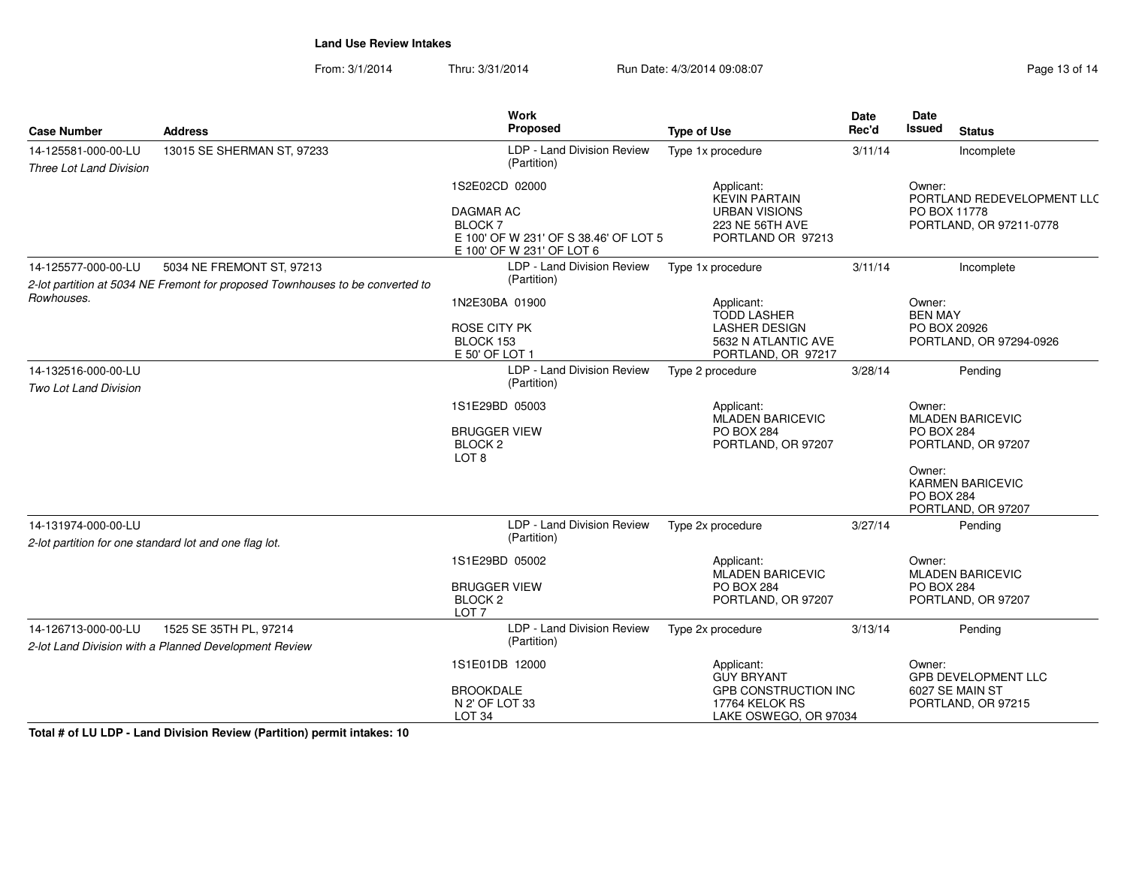From: 3/1/2014Thru: 3/31/2014 Run Date: 4/3/2014 09:08:07 Research 2010 13 of 14

| <b>Case Number</b>                                                                          | <b>Address</b>             | <b>Work</b><br>Proposed                                                                                                   | <b>Type of Use</b>                                                                                    | <b>Date</b><br>Rec'd                                                            | Date<br><b>Issued</b><br><b>Status</b>                                                                                                                       |  |
|---------------------------------------------------------------------------------------------|----------------------------|---------------------------------------------------------------------------------------------------------------------------|-------------------------------------------------------------------------------------------------------|---------------------------------------------------------------------------------|--------------------------------------------------------------------------------------------------------------------------------------------------------------|--|
| 14-125581-000-00-LU<br><b>Three Lot Land Division</b>                                       | 13015 SE SHERMAN ST, 97233 | LDP - Land Division Review<br>(Partition)                                                                                 | Type 1x procedure                                                                                     | 3/11/14                                                                         | Incomplete                                                                                                                                                   |  |
|                                                                                             |                            | 1S2E02CD 02000<br><b>DAGMAR AC</b><br><b>BLOCK7</b><br>E 100' OF W 231' OF S 38.46' OF LOT 5<br>E 100' OF W 231' OF LOT 6 | Applicant:<br><b>KEVIN PARTAIN</b><br><b>URBAN VISIONS</b><br>223 NE 56TH AVE<br>PORTLAND OR 97213    | Owner:<br>PORTLAND REDEVELOPMENT LLC<br>PO BOX 11778<br>PORTLAND, OR 97211-0778 |                                                                                                                                                              |  |
| 14-125577-000-00-LU<br>5034 NE FREMONT ST, 97213                                            |                            | LDP - Land Division Review                                                                                                | Type 1x procedure                                                                                     | 3/11/14                                                                         | Incomplete                                                                                                                                                   |  |
| 2-lot partition at 5034 NE Fremont for proposed Townhouses to be converted to<br>Rowhouses. |                            | (Partition)                                                                                                               |                                                                                                       |                                                                                 |                                                                                                                                                              |  |
|                                                                                             |                            | 1N2E30BA 01900<br><b>ROSE CITY PK</b><br>BLOCK 153<br>E 50' OF LOT 1                                                      | Applicant:<br><b>TODD LASHER</b><br><b>LASHER DESIGN</b><br>5632 N ATLANTIC AVE<br>PORTLAND, OR 97217 |                                                                                 | Owner:<br><b>BEN MAY</b><br>PO BOX 20926<br>PORTLAND, OR 97294-0926                                                                                          |  |
| 14-132516-000-00-LU                                                                         |                            | LDP - Land Division Review                                                                                                | Type 2 procedure                                                                                      | 3/28/14                                                                         | Pending                                                                                                                                                      |  |
| Two Lot Land Division                                                                       |                            | (Partition)                                                                                                               |                                                                                                       |                                                                                 |                                                                                                                                                              |  |
|                                                                                             |                            | 1S1E29BD 05003<br><b>BRUGGER VIEW</b><br>BLOCK <sub>2</sub><br>LOT <sub>8</sub>                                           | Applicant:<br><b>MLADEN BARICEVIC</b><br><b>PO BOX 284</b><br>PORTLAND, OR 97207                      |                                                                                 | Owner:<br><b>MLADEN BARICEVIC</b><br><b>PO BOX 284</b><br>PORTLAND, OR 97207<br>Owner:<br><b>KARMEN BARICEVIC</b><br><b>PO BOX 284</b><br>PORTLAND, OR 97207 |  |
| 14-131974-000-00-LU                                                                         |                            | LDP - Land Division Review                                                                                                | Type 2x procedure                                                                                     | 3/27/14                                                                         | Pending                                                                                                                                                      |  |
| 2-lot partition for one standard lot and one flag lot.                                      |                            | (Partition)                                                                                                               |                                                                                                       |                                                                                 |                                                                                                                                                              |  |
|                                                                                             |                            | 1S1E29BD 05002<br><b>BRUGGER VIEW</b><br>BLOCK <sub>2</sub><br>LOT <sub>7</sub>                                           | Applicant:<br>MLADEN BARICEVIC<br><b>PO BOX 284</b><br>PORTLAND, OR 97207                             |                                                                                 | Owner:<br><b>MLADEN BARICEVIC</b><br><b>PO BOX 284</b><br>PORTLAND, OR 97207                                                                                 |  |
| 14-126713-000-00-LU                                                                         | 1525 SE 35TH PL, 97214     | LDP - Land Division Review                                                                                                | Type 2x procedure                                                                                     | 3/13/14                                                                         | Pending                                                                                                                                                      |  |
| 2-lot Land Division with a Planned Development Review                                       |                            | (Partition)                                                                                                               |                                                                                                       |                                                                                 |                                                                                                                                                              |  |
|                                                                                             |                            | 1S1E01DB 12000                                                                                                            | Applicant:<br>Owner:<br><b>GUY BRYANT</b>                                                             |                                                                                 | GPB DEVELOPMENT LLC                                                                                                                                          |  |
|                                                                                             |                            | <b>BROOKDALE</b>                                                                                                          |                                                                                                       | <b>GPB CONSTRUCTION INC</b><br>6027 SE MAIN ST                                  |                                                                                                                                                              |  |
|                                                                                             |                            | N 2' OF LOT 33<br>LOT <sub>34</sub>                                                                                       | 17764 KELOK RS<br>LAKE OSWEGO, OR 97034                                                               |                                                                                 | PORTLAND, OR 97215                                                                                                                                           |  |

**Total # of LU LDP - Land Division Review (Partition) permit intakes: 10**